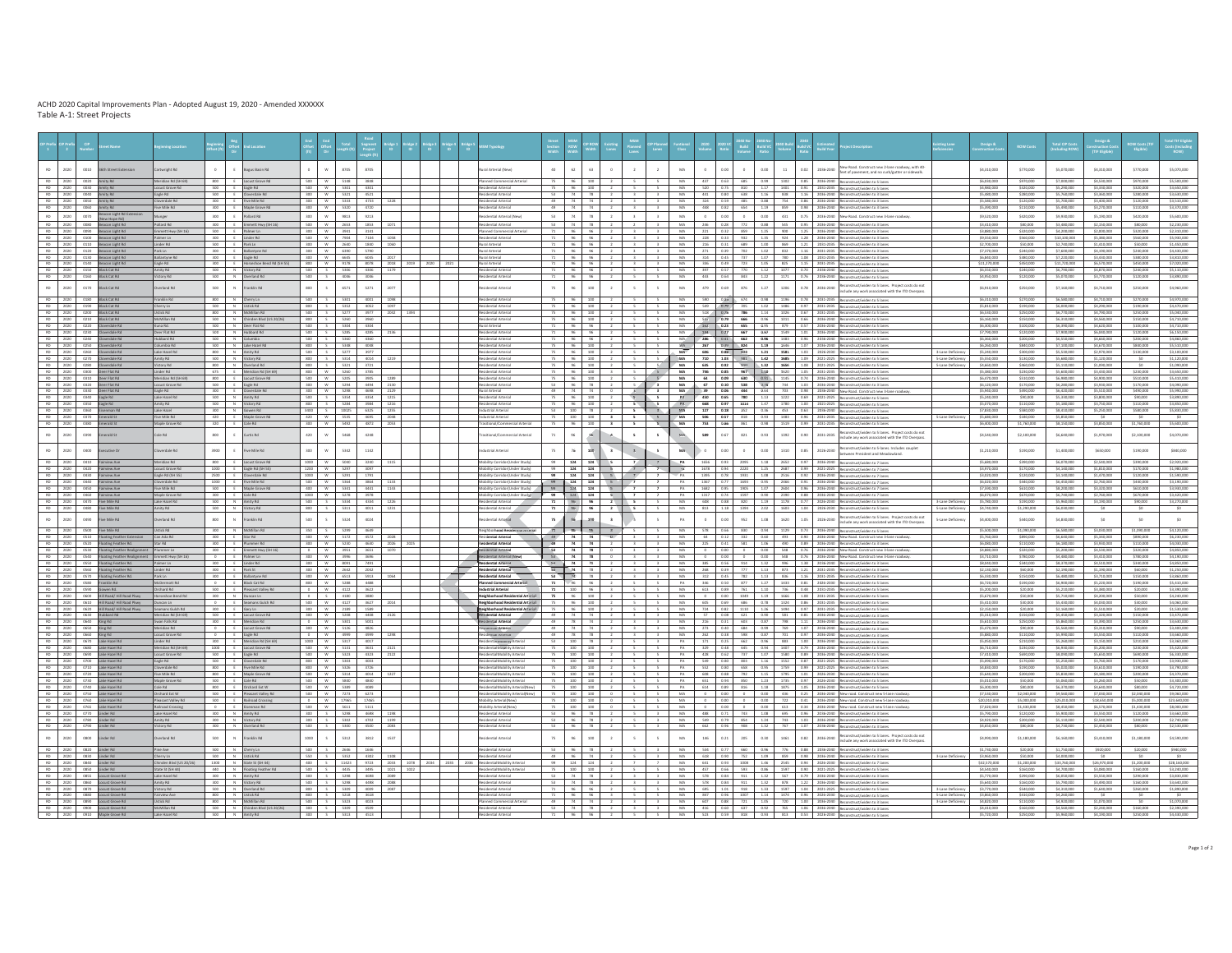**Beginning Location Beginning Location Beginning Conflict Beginning Beginning Beginning Beginning Conflict Direct Direct Direct Direct Direct Direct Direct Direct Direct Direct Direct Direct Direct Direct Direc** s to be a ser to a spect to the service of the service and the service of the contract and the community of the service of the service of the service of the service of the service of the service of the service of the serv RD <sup>2020</sup> <sup>0010</sup> 36th Street Extension Cartwright Rd <sup>0</sup> <sup>E</sup> Bogus Basin Rd <sup>0</sup> <sup>W</sup> <sup>8705</sup> <sup>8705</sup> Rural Arterial (New) <sup>40</sup> <sup>62</sup> <sup>63</sup> <sup>0</sup> <sup>2</sup> <sup>2</sup> MA <sup>0</sup> 0.00 <sup>0</sup> 0.00 <sup>11</sup> 0.02 2036-2040 New Road. Construct new 2-lane roadway, with 40- feet of pavement, and no curb/gutter or sidewalk. \$4,310,000 \$770,000 \$5,070,000 \$4,310,000 \$770,000 \$5,070,000 RD <sup>2020</sup> <sup>0020</sup> Amity Rd Meridian Rd (SH 69) <sup>800</sup> <sup>E</sup> Locust Grove Rd <sup>500</sup> <sup>W</sup> <sup>5148</sup> <sup>3848</sup> Planned Commercial Arterial <sup>75</sup> <sup>96</sup> <sup>100</sup> <sup>2</sup> <sup>5</sup> <sup>5</sup> MA <sup>437</sup> 0.63 <sup>685</sup> 0.99 <sup>1302</sup> 0.85 2036-2040 Reconstruct/widen to 5 lanes \$6,030,000 \$970,000 \$7,000,000 \$4,530,000 \$970,000 \$5,500,000 RD <sup>2020</sup> <sup>0030</sup> Amity Rd Locust Grove Rd <sup>500</sup> <sup>E</sup> Eagle Rd <sup>500</sup> <sup>W</sup> <sup>5301</sup> <sup>4301</sup> Residential Arterial <sup>75</sup> <sup>96</sup> <sup>100</sup> <sup>2</sup> <sup>5</sup> <sup>5</sup> MA <sup>520</sup> 0.75 <sup>810</sup> 1.17 <sup>1401</sup> 0.91 2031-2035 Reconstruct/widen to 5 lanes \$4,980,000 \$320,000 \$5,290,000 \$3,330,000 \$320,000 \$3,650,000 RD <sup>2020</sup> <sup>0040</sup> Amity Rd Eagle Rd <sup>500</sup> <sup>E</sup> Cloverdale Rd <sup>300</sup> <sup>W</sup> <sup>5321</sup> <sup>4521</sup> Residential Arterial <sup>53</sup> <sup>74</sup> <sup>78</sup> <sup>2</sup> <sup>3</sup> <sup>3</sup> MA <sup>441</sup> 0.80 <sup>638</sup> 1.16 <sup>838</sup> 1.16 2036-2040 Reconstruct/widen to 3 lanes \$5,480,000 \$280,000 \$5,760,000 \$3,360,000 \$280,000 \$3,630,000 RD <sup>2020</sup> <sup>0050</sup> Amity Rd Cloverdale Rd <sup>300</sup> <sup>E</sup> Five Mile Rd <sup>300</sup> <sup>W</sup> <sup>5333</sup> <sup>4733</sup> 1228 Residential Arterial <sup>49</sup> <sup>74</sup> <sup>74</sup> <sup>2</sup> <sup>3</sup> <sup>3</sup> MA <sup>324</sup> 0.59 <sup>485</sup> 0.88 <sup>754</sup> 0.86 2036-2040 Reconstruct/widen to 3 lanes \$5,580,000 \$120,000 \$5,700,000 \$3,400,000 \$120,000 \$3,510,000 100 2000 Amitykd | PreMiekd | 300 |€ Маркобом-№ 1 300 | № 1720 | | | | № № № № 121 | 2 | 3 | М | 46 | 0.21 65 | 0.31 2032-2040 № 000000 № 100,000 | 100,000 | 53,20,000 | 53,20,000 | 53,20,000 | 53,20,000 | 53,20,000 | 53  $\overline{00}$ www.notative.com/www.com/security/security/security/security/security/security/security/security/security/security/security/security/security/security/security/security/security/security/security/security/security/securit RD <sup>2020</sup> <sup>0080</sup> Beacon Light Rd Pollard Rd <sup>300</sup> <sup>E</sup> Emmett Hwy (SH 16) <sup>500</sup> <sup>W</sup> <sup>2653</sup> <sup>1853</sup> <sup>1071</sup> Residential Arterial <sup>53</sup> <sup>74</sup> <sup>78</sup> <sup>2</sup> <sup>2</sup> <sup>3</sup> MA <sup>246</sup> 0.28 <sup>772</sup> 0.88 <sup>545</sup> 0.95 2036-2040 Reconstruct/widen to 3 lanes \$3,410,000 \$80,000 \$3,480,000 \$2,150,000 \$80,000 \$2,230,000 RD <sup>2020</sup> <sup>0090</sup> Beacon Light Rd Emmett Hwy (SH 16) <sup>500</sup> <sup>E</sup> Palmer Ln <sup>300</sup> <sup>W</sup> <sup>3941</sup> <sup>3141</sup> Planned Commercial Arterial <sup>71</sup> <sup>96</sup> <sup>96</sup> <sup>2</sup> <sup>3</sup> <sup>3</sup> MA <sup>221</sup> 0.32 <sup>859</sup> 1.25 <sup>900</sup> 1.25 2036-2040 Reconstruct/widen to 3 lanes \$3,880,000 \$320,000 \$4,200,000 \$2,000,000 \$320,000 \$2,310,000 RD <sup>2020</sup> <sup>0100</sup> Beacon Light Rd Palmer Ln <sup>300</sup> <sup>E</sup> Linder Rd <sup>500</sup> <sup>W</sup> <sup>7904</sup> <sup>7104</sup> 1058 Residential Arterial <sup>71</sup> <sup>96</sup> <sup>96</sup> <sup>2</sup> <sup>3</sup> <sup>3</sup> MA <sup>228</sup> 0.33 <sup>932</sup> 1.35 <sup>924</sup> 1.28 2036-2040 Reconstruct/widen to 3 lanes \$9,550,000 \$560,000 \$10,100,000 \$5,380,000 \$560,000 \$5,930,000 RD <sup>2020</sup> <sup>0110</sup> Beacon Light Rd Linder Rd <sup>500</sup> <sup>E</sup> Park Ln <sup>300</sup> <sup>W</sup> <sup>2640</sup> <sup>1840</sup> <sup>1060</sup> Rural Arterial <sup>71</sup> <sup>96</sup> <sup>96</sup> <sup>2</sup> <sup>3</sup> <sup>3</sup> MA <sup>216</sup> 0.31 <sup>689</sup> 1.00 <sup>869</sup> 1.21 2031-2035 Reconstruct/widen to 3 lanes \$2,700,000 \$50,000 \$2,740,000 \$1,410,000 \$50,000 \$1,450,000 100 | 2020 | 0120 | 0120 | 0120 | 020 | 020 | 030 | 030 | 030 | 030 | 030 | 030 | 030 | 030 | 040 | 040 | 040 | 040 | 040 | 040 | 040 | 0400 | 0400 | 0400 | 0400 | 0400 | 0400 | 0400 | 0400 | 0400 | 0400 | 0400 | 0400 | 0 RD <sup>2020</sup> <sup>0130</sup> Beacon Light Rd Ballantyne Rd <sup>300</sup> <sup>E</sup> Eagle Rd <sup>300</sup> <sup>W</sup> <sup>6645</sup> <sup>6045</sup> <sup>2017</sup> Rural Arterial <sup>71</sup> <sup>96</sup> <sup>96</sup> <sup>2</sup> <sup>3</sup> <sup>3</sup> MA <sup>314</sup> 0.45 <sup>737</sup> 1.07 <sup>780</sup> 1.08 2031-2035 Reconstruct/widen to 3 lanes \$6,840,000 \$380,000 \$7,220,000 \$3,430,000 \$380,000 \$3,810,000 െ | 2020 | 0140 |കൈലൈല്കളെ | 300 | € Horseahoe18end16d [2415] | 800 | w | 9278 | 2023 | 2023 | 2023 | 2023 | 2023 | 2023 | 2023 | 2023 | 2023 | 2023 | 2023 | 2023 | 2023 | 2023 | 2023 | 2023 | 2023 | 2023 | 2023 | 2023 െ | 2020 | ലേഹ⊆ലെ ഷം | മനുഷം | മനുഷം | മനുഷം | മനുഷം | മനുഷം | മനുഷം | മനുഷം | മനുഷം | മനുഷം | മനുഷം | മനുഷം | മനുഷം | മനുഷം | മനുഷം | മനുഷം | മനുഷം | മനുഷം | മനുഷം | മനുഷം | മനുഷം | മനുഷം | മനുഷം | മനുഷം | മനുഷം | മനുഷ RD <sup>2020</sup> <sup>0160</sup> Black Cat Rd Victory Rd <sup>500</sup> <sup>N</sup> Overland Rd <sup>500</sup> <sup>S</sup> <sup>4046</sup> <sup>3046</sup> Residential Arterial <sup>71</sup> <sup>96</sup> <sup>96</sup> <sup>2</sup> <sup>5</sup> <sup>5</sup> MA <sup>443</sup> 0.64 <sup>843</sup> 1.22 <sup>1171</sup> 0.76 2036-2040 Reconstruct/widen to 5 lanes \$4,950,000 \$120,000 \$5,070,000 \$3,770,000 \$120,000 \$3,890,000 RD 2020 0.270 BlackCatRd Overland Rd 500 N Franklin Rd 500 S 6571 2077 R Residential 75 96 200 2 5 5 MA 479 0.69 876 1.27 1206 0.78 2036-2040 Reconstruct/widen to 5 lanes. Project costs do not include any work associated with the ITD Overpass. \$6,910,000 \$250,000 \$7,160,000 \$4,710,000 \$250,000 \$4,960,000 100 2000 BNACARMS | Frankfin MS | 800 | N Onery⊾n | 900 | S.000 | 4000 | 2008 | | | | Nevidentla/Aterial | 75 |96 | 300 | 2 | 5 | MA | 500 |0.00 |0.00 | 0.00 | 200 | 200 | 200 | 200 | 200,000 | 54,70,000 | 54,70,000 | 54, RD <sup>2020</sup> <sup>0190</sup> Black Cat Rd Cherry Ln <sup>500</sup> <sup>N</sup> Ustick Rd <sup>800</sup> <sup>S</sup> <sup>5352</sup> <sup>4052</sup> <sup>1097</sup> Residential Arterial <sup>75</sup> <sup>96</sup> <sup>100</sup> <sup>2</sup> <sup>5</sup> <sup>5</sup> MA <sup>549</sup> 0.79 <sup>705</sup> 1.02 <sup>1486</sup> 0.97 2031-2035 Reconstruct/widen to 5 lanes \$5,810,000 \$190,000 \$6,000,000 \$4,290,000 \$190,000 \$4,470,000 RD <sup>2020</sup> <sup>0200</sup> Black Cat Rd Ustick Rd <sup>800</sup> <sup>N</sup> McMillan Rd <sup>500</sup> <sup>S</sup> <sup>5277</sup> <sup>3977</sup> <sup>2042</sup> <sup>1394</sup> Residential Arterial <sup>75</sup> <sup>96</sup> <sup>100</sup> <sup>2</sup> <sup>5</sup> <sup>5</sup> MA <sup>518</sup> 0.75 <sup>786</sup> 1.14 <sup>1026</sup> 0.67 2031-2035 Reconstruct/widen to 5 lanes \$6,530,000 \$250,000 \$6,770,000 \$4,790,000 \$250,000 \$5,040,000 RD <sup>2020</sup> <sup>0210</sup> Black Cat Rd McMillan Rd <sup>500</sup> <sup>N</sup> Chinden Blvd (US 20/26) <sup>800</sup> <sup>S</sup> <sup>5260</sup> <sup>3960</sup> Residential Arterial <sup>75</sup> <sup>96</sup> <sup>100</sup> <sup>2</sup> <sup>5</sup> <sup>5</sup> MA <sup>547</sup> 0.79 <sup>666</sup> 0.96 <sup>1011</sup> 0.66 2036-2040 Reconstruct/widen to 5 lanes \$6,160,000 \$150,000 \$6,310,000 \$4,560,000 \$150,000 \$4,710,000 RD <sup>2020</sup> <sup>0220</sup> Cloverdale Rd Kuna Rd. 500 <sup>N</sup> Deer Flat Rd <sup>500</sup> <sup>S</sup> <sup>5304</sup> <sup>4304</sup> Rural Arterial <sup>71</sup> <sup>96</sup> <sup>96</sup> <sup>2</sup> <sup>5</sup> <sup>5</sup> MA <sup>162</sup> 0.23 <sup>655</sup> 0.95 <sup>879</sup> 0.57 2036-2040 Reconstruct/widen to 5 lanes \$6,300,000 \$100,000 \$6,390,000 \$4,620,000 \$100,000 \$4,710,000 RD <sup>2020</sup> <sup>0230</sup> Cloverdale Rd Deer Flat Rd <sup>500</sup> <sup>N</sup> Hubbard Rd <sup>500</sup> <sup>S</sup> <sup>5285</sup> <sup>4285</sup> <sup>2136</sup> Residential Arterial <sup>71</sup> <sup>96</sup> <sup>96</sup> <sup>2</sup> <sup>5</sup> <sup>5</sup> MA <sup>184</sup> 0.27 <sup>667</sup> 0.97 <sup>1549</sup> 1.01 2036-2040 Reconstruct/widen to 5 lanes \$7,790,000 \$120,000 \$7,900,000 \$6,040,000 \$120,000 \$6,150,000 10 2020 Coverdate Md Nubbard Md S00 N Columbia (S00 S S960 4960 | | | | MuddentalAnterial | 71 |96 | 96 | 2 | S | MA | 206 | 048 | 0.96 | 2196 | 0.96 | 2092-2040 Neconstruct/widents Slamas | \$5,560,000 | \$5,560,000 | \$4,6 10 2020 Coverdate Md Coverdate Codumn is a space of the statement of the State of the products are and the statement in the statement in the statement in the statement in the statement in the State of the State of the Sta RD <sup>2020</sup> <sup>0260</sup> Cloverdale Rd Lake Hazel Rd <sup>800</sup> <sup>N</sup> Amity Rd <sup>500</sup> <sup>S</sup> <sup>5277</sup> <sup>3977</sup> Residential Arterial <sup>75</sup> <sup>96</sup> <sup>100</sup> <sup>2</sup> <sup>5</sup> <sup>5</sup> MA <sup>606</sup> 0.88 <sup>833</sup> 1.21 <sup>1581</sup> 1.03 2026-2030 Reconstruct/widen to 5 lanes 3-Lane Deficiency \$5,240,000 \$300,000 \$5,530,000 \$2,970,000 \$130,000 \$3,100,000 10 200 Davenuminiat Analyte 500 NictoryN 00 SSM 401-1219 Nedemokrated 75 16 30 2 5 5 MA 700 1.03 141 1425 2005 2009 Data-2025 Nearato-adventers Season SABOD SABOD SABOD SABOD SABOD SABOD SABOD SABOD SABOD SABOD SABOD SABO RD <sup>2020</sup> <sup>0310</sup> Deer Flat Rd Meridian Rd (SH 69) <sup>800</sup> <sup>E</sup> Locust Grove Rd <sup>500</sup> <sup>W</sup> <sup>5205</sup> <sup>3905</sup> <sup>1289</sup> Residential Arterial <sup>75</sup> <sup>96</sup> <sup>100</sup> <sup>2</sup> <sup>5</sup> <sup>5</sup> MA <sup>64</sup> 0.09 <sup>630</sup> 0.91 <sup>1145</sup> 0.74 2036-2040 Reconstruct/widen to 5 lanes \$6,470,000 \$510,000 \$6,980,000 \$4,900,000 \$510,000 \$5,410,000 no | 2020 | 0320 |0497514.11d | LocustGrows Nd | SO | € Eagle Nd | 300 | W | SON | 4494 | 2130 | | | | | | Naddent0alArtenial | S3 | 96 | 78 | 2 | 5 | 3 | MA | 67 | 0.00 | 2036-2940 |Naconstruct/wident03.lanas | | \$6,20 RD <sup>2020</sup> <sup>0330</sup> Deer Flat Rd Eagle Rd <sup>300</sup> <sup>E</sup> Cloverdale Rd <sup>300</sup> <sup>W</sup> <sup>5298</sup> <sup>4698</sup> 2129 Rural Arterial <sup>49</sup> <sup>74</sup> <sup>74</sup> <sup>0</sup> <sup>3</sup> <sup>3</sup> MA <sup>39</sup> 0.06 <sup>444</sup> 0.64 <sup>703</sup> 0.98 2036-2040 New Road. Construct new 3-lane roadway. \$5,940,000 \$490,000 \$6,420,000 \$5,510,000 \$490,000 \$5,990,000 RD <sup>2020</sup> <sup>0340</sup> Eagle Rd Lake Hazel Rd <sup>500</sup> <sup>N</sup> Amity Rd <sup>500</sup> <sup>S</sup> <sup>5354</sup> <sup>4354</sup> <sup>1215</sup> Residential Arterial <sup>75</sup> <sup>96</sup> <sup>100</sup> <sup>2</sup> <sup>5</sup> <sup>5</sup> PA <sup>450</sup> 0.65 <sup>780</sup> 1.13 <sup>1222</sup> 0.69 2021-2025 Reconstruct/widen to 5 lanes \$5,240,000 \$90,000 \$5,330,000 \$3,800,000 \$90,000 \$3,890,000 10.00 2020 Eagle Md Ammly Md S200,000 S130,000 S130,000 S130,000 S130,000 N1000 S130,000 S130,000 S130,000 S130,000 S130,000 S130,000 S130,000 S130,000 S130,000 S130,000 S130,000 S130,000 S130,000 S130,000 S130,000 S130, RD <sup>2020</sup> <sup>0360</sup> Eisenman Rd Lake Hazel <sup>300</sup> <sup>N</sup> Gowen Rd <sup>3400</sup> <sup>S</sup> <sup>10025</sup> <sup>6325</sup> <sup>1255</sup> Industrial Arterial <sup>53</sup> <sup>100</sup> <sup>78</sup> <sup>2</sup> <sup>5</sup> <sup>3</sup> MA <sup>127</sup> 0.18 <sup>252</sup> 0.36 <sup>453</sup> 0.63 2036-2040 Reconstruct/widen to 5 lanes \$7,830,000 \$580,000 \$8,410,000 \$5,250,000 \$580,000 \$5,830,000 00 | 2020 | 62370 EmeraldiSt | FineMaleMal | 420 | € MapleGroveMal | 420 | w | 5355 | 495 | 204 | | | | | | |nduatrialArterial | 75 | 200 | 31 | \$ | \$ | MA | 505 | 0.57 | 838 | 0.95 | 203 | 348 | 0.96 | 203 | 348 | 0.96 | RD <sup>2020</sup> <sup>0380</sup> Emerald St Maple Grove Rd <sup>320</sup> <sup>E</sup> Cole Rd <sup>300</sup> <sup>W</sup> <sup>5492</sup> <sup>4872</sup> <sup>2053</sup> Trasitional/Commercial Arterial <sup>75</sup> <sup>96</sup> <sup>100</sup> <sup>3</sup> <sup>5</sup> <sup>5</sup> MA <sup>753</sup> 0.86 <sup>861</sup> 0.98 <sup>1519</sup> 0.99 2031-2035 Reconstruct/widen to 5 lanes \$6,400,000 \$1,760,000 \$8,150,000 \$3,850,000 \$1,760,000 \$5,600,000 RD <sup>2020</sup> <sup>0390</sup> Emerald St Cole Rd <sup>800</sup> <sup>E</sup> Curtis Rd <sup>420</sup> <sup>W</sup> <sup>5468</sup> <sup>4248</sup> Trasitional/Commercial Arterial <sup>71</sup> <sup>96</sup> <sup>96</sup> <sup>4</sup> <sup>5</sup> <sup>5</sup> MA <sup>589</sup> 0.67 <sup>821</sup> 0.93 <sup>1392</sup> 0.90 2031-2035 Reconstruct/widen to 5 lanes. Project costs do not include any work associated with the ITD Overpass. \$4,540,000 \$2,100,000 \$6,640,000 \$1,970,000 \$2,100,000 \$4,070,000 RD <sup>2020</sup> <sup>0400</sup> Executive Dr Cloverdale Rd <sup>3900</sup> <sup>E</sup> Five Mile Rd <sup>300</sup> <sup>W</sup> <sup>5342</sup> <sup>1142</sup> Industrial Arterial <sup>75</sup> <sup>76</sup> <sup>100</sup> <sup>3</sup> <sup>3</sup> <sup>5</sup> MA <sup>0</sup> 0.00 <sup>0</sup> 0.00 <sup>1310</sup> 0.85 2026-2030 Reconstruct/widen to 5-lanes. Includes couplet onstruct/widen to 5-lanes. Includes couplet | \$1,210,000 \$190,000 \$1,400,000 \$650,000 \$1,190,000 \$190,000 \$840,000 RD <sup>2020</sup> <sup>0410</sup> Fairview Ave Meridian Rd <sup>800</sup> <sup>E</sup> Locust Grove Rd <sup>1000</sup> <sup>W</sup> <sup>5040</sup> <sup>3240</sup> <sup>1115</sup> Mobility Corridor(Under Study) <sup>99</sup> <sup>124</sup> <sup>124</sup> <sup>5</sup> <sup>7</sup> <sup>7</sup> PA <sup>1656</sup> 0.93 <sup>2095</sup> 1.18 <sup>2652</sup> 0.97 2036-2040 Reconstruct/widen to 7 lanes \$5,680,000 \$390,000 \$6,070,000 \$2,540,000 \$390,000 \$2,920,000 no | 2020 | 0420 | fain/aw.kw | LocustGrow.Rd | 1000 | € Eagle.Rd (SHS5) | 1200 | w | 5297 | 3097 | | | | | Mobility.Com/dof(bloder Study) | 99 | 204 | 24 | S.| 1,7 | PK | 529 | 239 | 239 | 2321-2025 |Recon RD <sup>2020</sup> <sup>0430</sup> Fairview Ave Eagle Rd (SH 55) <sup>2500</sup> <sup>E</sup> Cloverdale Rd <sup>1000</sup> <sup>W</sup> <sup>5291</sup> <sup>1791</sup> Mobility Corridor(Under Study) <sup>99</sup> <sup>124</sup> <sup>124</sup> <sup>5</sup> <sup>7</sup> <sup>7</sup> PA <sup>1395</sup> 0.78 <sup>1931</sup> 1.08 <sup>2516</sup> 0.92 2036-2040 Reconstruct/widen to 7 lanes \$3,020,000 \$120,000 \$3,140,000 \$1,470,000 \$120,000 \$1,590,000 100 | 2020 | 040 Fairview Awe | Coverdale 1d | 100 | € Five Mile Md | 506 | 103 | 364 | 1333 | | | | Mobility Corridor(Under Study) | 99 | 24 | 25 | 7 | 7 | PA | 367 | 0.77 | 269 | 2035-2040 | Reconstruct/widen.to7.lanes 10 | 2020 | 0450 Fairview Ave | Fine Mile Md | 500 | € Maple Grove Md | 400 | w | S341 | 4441 | 1143 | | | | Mobility Corridor(Under Study) | 99 | 124 | 25 | 7 | 7 | PA | 582 | 0.95 | 105 | 201 | 260 | 820-2000 | Maple Md RD <sup>2020</sup> <sup>0460</sup> Fairview Ave Maple Grove Rd <sup>300</sup> <sup>E</sup> Cole Rd <sup>1000</sup> <sup>W</sup> <sup>5278</sup> <sup>3978</sup> Mobility Corridor(Under Study) <sup>99</sup> <sup>124</sup> <sup>124</sup> <sup>5</sup> <sup>7</sup> <sup>7</sup> PA <sup>1317</sup> 0.74 <sup>1597</sup> 0.90 <sup>2390</sup> 0.88 2036-2040 Reconstruct/widen to 7 lanes \$6,070,000 \$670,000 \$6,740,000 \$2,760,000 \$670,000 \$3,420,000 RD <sup>2020</sup> <sup>0470</sup> Five Mile Rd Lake Hazel Rd <sup>500</sup> <sup>N</sup> Amity Rd <sup>500</sup> <sup>S</sup> <sup>5334</sup> <sup>4334</sup> 1226 Residential Arterial <sup>71</sup> <sup>96</sup> <sup>96</sup> <sup>2</sup> <sup>5</sup> <sup>5</sup> MA <sup>608</sup> 0.88 <sup>820</sup> 1.19 <sup>1178</sup> 0.77 2026-2030 Reconstruct/widen to 5 lanes 3-Lane Deficiency \$5,780,000 \$190,000 \$5,960,000 \$3,190,000 \$90,000 \$3,270,000 RD <sup>2020</sup> <sup>0480</sup> Five Mile Rd Amity Rd <sup>500</sup> <sup>N</sup> Victory Rd <sup>800</sup> <sup>S</sup> <sup>5311</sup> <sup>4011</sup> <sup>1231</sup> Residential Arterial <sup>71</sup> <sup>96</sup> <sup>96</sup> <sup>2</sup> <sup>5</sup> <sup>5</sup> MA <sup>813</sup> 1.18 <sup>1394</sup> 2.02 <sup>1603</sup> 1.04 2026-2030 Reconstruct/widen to 5 lanes 5-Lane Deficiency \$4,740,000 \$1,290,000 \$6,030,000 \$0 \$0 \$0 RD 2020 Over Five Mile Rd Box Residential Rd 800 N Franklin Rd 500 S 5324 4024 Residential Residential Project Costs do not a second Reconstruct/widen to 5 lanes. Project costs do not a second arterial Residential Resident include any work associated with the ITD Overpass. 5-Lane Deficiency \$4,400,000 \$440,000 \$4,830,000 \$0 \$0 \$0 \$0<br>usle any work associated with the ITD Overpass. RD <sup>2020</sup> <sup>0500</sup> Five Mile Rd Ustick Rd <sup>300</sup> <sup>N</sup> McMillan Rd <sup>350</sup> <sup>S</sup> <sup>5299</sup> <sup>4649</sup> Neighborhood Residential Arterial <sup>71</sup> <sup>96</sup> <sup>96</sup> <sup>3</sup> <sup>5</sup> <sup>5</sup> MA <sup>578</sup> 0.66 <sup>830</sup> 0.94 <sup>1129</sup> 0.73 2036-2040 Reconstruct/widen to 5 lanes \$5,500,000 \$1,090,000 \$6,580,000 \$3,030,000 \$1,090,000 \$4,120,000 RD <sup>2020</sup> <sup>0510</sup> Floating Feather Extension Can Ada Rd <sup>300</sup> <sup>E</sup> Star Rd <sup>300</sup> <sup>W</sup> <sup>5172</sup> <sup>4572</sup> <sup>2028</sup> Residential Arterial <sup>49</sup> <sup>74</sup> <sup>74</sup> <sup>0</sup> <sup>3</sup> <sup>3</sup> MA <sup>64</sup> 0.12 <sup>332</sup> 0.60 <sup>493</sup> 0.90 2036-2040 New Road. Construct new 3-lane roadway. \$5,760,000 \$890,000 \$6,640,000 \$5,340,000 \$890,000 \$6,230,000 10 | 2020 | 6520 | 6520 | 6520 | 6520,000 | \$3.90,000 | \$3.90,000 | \$4.90,000 | \$4.90 | № | 225 | | № 10400 | № 104 | 24 | 2 | 3 | № | 225 | 0.41 | 225 | 0.41 | 225 | 0.41 | 226 | 2026-2040 | № 104 | 226 | 203-2040 | № 1 RD <sup>2020</sup> <sup>0530</sup> Floating Feather Realignment Plummer Ln <sup>300</sup> <sup>E</sup> Emmett Hwy (SH 16) <sup>0</sup> <sup>W</sup> <sup>3951</sup> <sup>3651</sup> <sup>1070</sup> Residential Arterial <sup>53</sup> <sup>74</sup> <sup>78</sup> <sup>0</sup> <sup>3</sup> <sup>3</sup> MA <sup>0</sup> 0.00 <sup>0</sup> 0.00 <sup>548</sup> 0.76 2036-2040 New Road. Construct new 3-lane roadway. \$4,880,000 \$320,000 \$5,200,000 \$4,530,000 \$320,000 \$4,850,000 00 | 2020 | 0540 | Floating Feather Realignment [Emmett Hwy Shr15) | 0 | € Palmer Ln | 300 | w | 3996 | 30| | | | | Realdental Antenal (News) | 53 | 74 | 78 | 0 | 3 | 3 | MA | 0 | 0.00 | 54 | 205 | 2015-2040 |New Road. Co 10 2020 | 0590 |Poazing Feather Nat. | Palmer t.n | 300 | € Linder Nd | 300 | W | 8001 | 7401 | | | | | Needdent0alAnderial | SS | 74 | 78 | 2 | 3 | MA | 35 | 0.56 | 0.54 | 1.32 | 095 | 1.38 | 0.35-2040 |Nconstruct/widen RD <sup>2020</sup> <sup>0560</sup> Floating Feather Rd. Linder Rd <sup>300</sup> <sup>E</sup> Park St <sup>300</sup> <sup>W</sup> <sup>2642</sup> 2042 Residential Arterial <sup>53</sup> <sup>74</sup> <sup>78</sup> <sup>2</sup> <sup>3</sup> <sup>3</sup> MA <sup>268</sup> 0.39 <sup>777</sup> 1.13 <sup>873</sup> 1.21 2031-2035 Reconstruct/widen to 3 lanes \$2,130,000 \$60,000 \$2,190,000 \$1,190,000 \$60,000 \$1,250,000 RD <sup>2020</sup> <sup>0570</sup> Floating Feather Rd. Park Ln <sup>300</sup> <sup>E</sup> Ballantyne Rd <sup>300</sup> <sup>W</sup> <sup>6513</sup> <sup>5913</sup> <sup>1064</sup> Residential Arterial <sup>53</sup> <sup>74</sup> <sup>78</sup> <sup>2</sup> <sup>3</sup> <sup>3</sup> MA <sup>312</sup> 0.45 <sup>782</sup> 1.13 <sup>836</sup> 1.16 2031-2035 Reconstruct/widen to 3 lanes \$6,330,000 \$150,000 \$6,480,000 \$3,710,000 \$150,000 \$3,860,000 RD <sup>2020</sup> <sup>0580</sup> Franklin Rd McDermott Rd <sup>0</sup> <sup>E</sup> Black Cat Rd <sup>800</sup> <sup>W</sup> <sup>5288</sup> <sup>4488</sup> Planned Commercial Arterial <sup>71</sup> <sup>96</sup> <sup>96</sup> <sup>2</sup> <sup>5</sup> <sup>5</sup> PA <sup>346</sup> 0.50 <sup>877</sup> 1.27 <sup>1433</sup> 0.81 2026-2030 Reconstruct/widen to 5 lanes \$6,720,000 \$190,000 \$6,900,000 \$5,220,000 \$190,000 \$5,410,000 RD <sup>2020</sup> <sup>0590</sup> Gowen Rd. Orchard Rd <sup>500</sup> <sup>E</sup> Pleasant Valley Rd <sup>0</sup> <sup>W</sup> <sup>4122</sup> <sup>3622</sup> Industrial Arterial <sup>71</sup> <sup>100</sup> <sup>96</sup> <sup>3</sup> <sup>5</sup> <sup>5</sup> MA <sup>613</sup> 0.89 <sup>761</sup> 1.10 <sup>736</sup> 0.48 2031-2035 Reconstruct/widen to 5 lanes \$5,200,000 \$20,000 \$5,210,000 \$3,380,000 \$20,000 \$3,390,000 RD <sup>2020</sup> <sup>0600</sup> Hill Road/ Hill Road Pkwy Horseshoe Bend Rd <sup>300</sup> <sup>N</sup> Duncan Ln <sup>0</sup> <sup>S</sup> <sup>4180</sup> <sup>3880</sup> Neighborhood Residential Arterial <sup>75</sup> <sup>96</sup> <sup>100</sup> <sup>2</sup> <sup>5</sup> <sup>5</sup> MA <sup>0</sup> 0.00 <sup>1049</sup> 1.19 <sup>1666</sup> 1.08 2031-2035 Reconstruct/widen to 5 lanes \$5,670,000 \$50,000 \$5,710,000 \$4,200,000 \$50,000 \$4,240,000 8D | 2020 | 0630 | Hill Road/Hill Road Phway | Duncas the New | 0 | € Seam ans Gutch Nd | 50 | w | 4:27 | 3627 | 2014 | | | ● Mac<mark>ephodon besidental Anterial Anterial Anterial 75 | 96 | 201</mark> 2 | 5 | 5 | MA | 605 | 0.89 | RD <sup>2020</sup> <sup>0620</sup> Hill Road/ Hill Road Pkwy Seamans Gulch Rd <sup>300</sup> <sup>E</sup> Gary Ln <sup>300</sup> <sup>W</sup> <sup>2189</sup> <sup>1589</sup> Neighborhood Residential Arterial <sup>75</sup> <sup>96</sup> <sup>100</sup> <sup>2</sup> <sup>5</sup> <sup>5</sup> MA <sup>724</sup> 0.82 <sup>1110</sup> 1.26 <sup>1494</sup> 0.97 2031-2035 Reconstruct/widen to 5 lanes \$2,150,000 \$20,000 \$2,160,000 \$1,510,000 \$20,000 \$1,530,000 RD <sup>2020</sup> <sup>0630</sup> Hubbard Rd Meridian Rd (SH 69) <sup>500</sup> <sup>E</sup> Locust Grove Rd <sup>300</sup> <sup>W</sup> <sup>5208</sup> <sup>4408</sup> <sup>2126</sup> Residential Arterial <sup>49</sup> <sup>74</sup> <sup>74</sup> <sup>2</sup> <sup>3</sup> <sup>3</sup> MA <sup>57</sup> 0.08 <sup>621</sup> 0.90 <sup>581</sup> 0.81 2036-2040 Reconstruct/widen to 3 lanes \$5,310,000 \$150,000 \$5,450,000 \$3,320,000 \$150,000 \$3,470,000 no | 2020 | 0640 |‱നുജ⊿ | Swan-FallsRd | 300 | € MenóSan-Rd | 0 | w | 5301 | 500 | | | | | Meadambal-Mondal | 4 | 78 | 2 | 3 | 3 | MA | 215 | 0.31 | 0.31 | 0.31 | 0.32 | 708 | 1.11 | 2016-2040 |Reconstruct/widen to 3 la RD <sup>2020</sup> <sup>0650</sup> King Rd Meridian Rd <sup>0</sup> <sup>E</sup> Locust Grove Rd <sup>300</sup> <sup>W</sup> <sup>5126</sup> <sup>4826</sup> Residential Arterial <sup>49</sup> <sup>74</sup> <sup>74</sup> <sup>2</sup> <sup>3</sup> <sup>3</sup> MA <sup>273</sup> 0.40 <sup>684</sup> 0.99 <sup>769</sup> 1.07 2036-2040 Reconstruct/widen to 3 lanes \$5,470,000 \$90,000 \$5,560,000 \$3,310,000 \$90,000 \$3,400,000 RD <sup>2020</sup> <sup>0660</sup> King Rd Locust Grove Rd <sup>0</sup> <sup>E</sup> Eagle Rd <sup>0</sup> <sup>W</sup> <sup>4999</sup> <sup>4999</sup> <sup>1298</sup> Residential Arterial <sup>49</sup> <sup>78</sup> <sup>78</sup> <sup>2</sup> <sup>3</sup> <sup>3</sup> MA <sup>262</sup> 0.38 <sup>598</sup> 0.87 <sup>701</sup> 0.97 2036-2040 Reconstruct/widen to 3 lanes \$5,880,000 \$110,000 \$5,990,000 \$3,550,000 \$110,000 \$3,660,000 RD <sup>2020</sup> <sup>0670</sup> Lake Hazel Rd Linder Rd <sup>300</sup> <sup>E</sup> Meridian Rd (SH 69) <sup>1000</sup> <sup>W</sup> <sup>5317</sup> <sup>4017</sup> ResidentialMobility Arterial <sup>53</sup> <sup>100</sup> <sup>78</sup> <sup>2</sup> <sup>5</sup> <sup>3</sup> PA <sup>171</sup> 0.25 <sup>662</sup> 0.96 <sup>883</sup> 1.00 2036-2040 Reconstruct/widen to 3 lanes \$5,050,000 \$210,000 \$5,260,000 \$3,150,000 \$210,000 \$3,360,000 RD <sup>2020</sup> <sup>0680</sup> Lake Hazel Rd Meridian Rd (SH 69) <sup>1000</sup> <sup>E</sup> Locust Grove Rd <sup>500</sup> <sup>W</sup> <sup>5131</sup> <sup>3631</sup> <sup>2121</sup> ResidentialMobility Arterial <sup>75</sup> <sup>100</sup> <sup>100</sup> <sup>2</sup> <sup>5</sup> <sup>5</sup> PA <sup>329</sup> 0.48 <sup>645</sup> 0.94 <sup>1407</sup> 0.79 2036-2040 Reconstruct/widen to 5 lanes \$6,710,000 \$230,000 \$6,930,000 \$5,200,000 \$230,000 \$5,420,000 RD <sup>2020</sup> <sup>0690</sup> Lake Hazel Rd Locust Grove Rd <sup>500</sup> <sup>E</sup> Eagle Rd <sup>500</sup> <sup>W</sup> <sup>5323</sup> <sup>4323</sup> <sup>2122</sup> ResidentialMobility Arterial <sup>75</sup> <sup>100</sup> <sup>100</sup> <sup>2</sup> <sup>5</sup> <sup>5</sup> PA <sup>428</sup> 0.62 <sup>737</sup> 1.07 <sup>1580</sup> 0.89 2036-2040 Reconstruct/widen to 5 lanes \$7,410,000 \$690,000 \$8,090,000 \$5,650,000 \$690,000 \$6,330,000 RD <sup>2020</sup> <sup>0700</sup> Lake Hazel Rd Eagle Rd <sup>500</sup> <sup>E</sup> Cloverdale Rd <sup>800</sup> <sup>W</sup> <sup>5303</sup> <sup>4003</sup> ResidentialMobility Arterial <sup>75</sup> <sup>100</sup> <sup>100</sup> <sup>2</sup> <sup>5</sup> <sup>5</sup> PA <sup>549</sup> 0.80 <sup>803</sup> 1.16 <sup>1552</sup> 0.87 2021-2025 Reconstruct/widen to 5 lanes \$5,090,000 \$170,000 \$5,250,000 \$3,760,000 \$170,000 \$3,930,000 RD <sup>2020</sup> <sup>0710</sup> Lake Hazel Rd Cloverdale Rd <sup>800</sup> <sup>E</sup> Five Mile Rd <sup>800</sup> <sup>W</sup> <sup>5326</sup> <sup>3726</sup> ResidentialMobility Arterial <sup>75</sup> <sup>100</sup> <sup>100</sup> <sup>2</sup> <sup>5</sup> <sup>5</sup> PA <sup>552</sup> 0.80 <sup>658</sup> 0.95 <sup>1759</sup> 0.99 2021-2025 Reconstruct/widen to 5 lanes \$4,830,000 \$190,000 \$5,020,000 \$3,610,000 \$190,000 \$3,790,000 RD <sup>2020</sup> <sup>0720</sup> Lake Hazel Rd Five Mile Rd <sup>800</sup> <sup>E</sup> Maple Grove Rd <sup>500</sup> <sup>W</sup> <sup>5314</sup> <sup>4014</sup> <sup>1227</sup> ResidentialMobility Arterial <sup>75</sup> <sup>100</sup> <sup>100</sup> <sup>2</sup> <sup>5</sup> <sup>5</sup> PA <sup>608</sup> 0.88 <sup>792</sup> 1.15 <sup>1795</sup> 1.01 2026-2030 Reconstruct/widen to 5 lanes \$5,640,000 \$200,000 \$5,830,000 \$4,180,000 \$200,000 \$4,370,000 RD <sup>2020</sup> <sup>0730</sup> Lake Hazel Rd Maple Grove Rd <sup>500</sup> <sup>E</sup> Cole Rd <sup>500</sup> <sup>W</sup> <sup>5840</sup> <sup>4840</sup> ResidentialMobility Arterial <sup>75</sup> <sup>100</sup> <sup>100</sup> <sup>2</sup> <sup>5</sup> <sup>5</sup> PA <sup>651</sup> 0.94 <sup>850</sup> 1.23 <sup>1735</sup> 0.97 2026-2030 Reconstruct/widen to 5 lanes \$5,010,000 \$50,000 \$5,060,000 \$3,260,000 \$50,000 \$3,300,000 RD <sup>2020</sup> <sup>0740</sup> Lake Hazel Rd Cole Rd <sup>800</sup> <sup>E</sup> Orchard Ext W <sup>500</sup> <sup>W</sup> <sup>5389</sup> <sup>4089</sup> ResidentialMobility Arterial(New) <sup>75</sup> <sup>100</sup> <sup>100</sup> <sup>2</sup> <sup>5</sup> <sup>5</sup> PA <sup>614</sup> 0.89 <sup>816</sup> 1.18 <sup>1875</sup> 1.05 2036-2040 Reconstruct/widen to 5 lanes \$6,300,000 \$80,000 \$6,370,000 \$4,640,000 \$80,000 \$4,720,000 RD <sup>2020</sup> <sup>0750</sup> Lake Hazel Rd Orchard Ext W <sup>500</sup> <sup>E</sup> Pleasant Valley Rd <sup>500</sup> <sup>W</sup> <sup>7273</sup> <sup>6273</sup> ResidentialMobility Arterial(New) <sup>75</sup> <sup>100</sup> <sup>100</sup> <sup>0</sup> <sup>5</sup> <sup>5</sup> MA <sup>0</sup> 0.00 <sup>0</sup> 0.00 <sup>436</sup> 0.25 2036-2040 New road. Construct new 5-lane roadway. \$7,530,000 \$2,040,000 \$9,560,000 \$7,030,000 \$2,040,000 \$9,060,000 RD <sup>2020</sup> <sup>0760</sup> Lake Hazel Rd Pleasant Valley Rd <sup>500</sup> <sup>E</sup> Railroad Crossing <sup>0</sup> <sup>W</sup> <sup>17965</sup> <sup>17465</sup> Mobility Arterial(New) <sup>75</sup> <sup>100</sup> <sup>100</sup> <sup>0</sup> <sup>5</sup> <sup>5</sup> MA <sup>0</sup> 0.00 <sup>0</sup> 0.00 <sup>722</sup> 0.41 2036-2040 New road. Construct new 5-lane roadway. \$20,010,000 \$5,000,000 \$25,010,000 \$18,650,000 \$5,000,000 \$23,640,000 RD <sup>2020</sup> <sup>0765</sup> Lake Hazel Rd Railroad Crossing <sup>0</sup> <sup>E</sup> Eisenman Rd <sup>500</sup> <sup>W</sup> <sup>5611</sup> <sup>5111</sup> Mobility Arterial(New) <sup>75</sup> <sup>100</sup> <sup>100</sup> <sup>0</sup> <sup>5</sup> <sup>5</sup> MA <sup>0</sup> 0.00 <sup>0</sup> 0.00 <sup>613</sup> 0.34 2036-2040 New road. Construct new 5-lane roadway. \$7,020,000 \$1,430,000 \$8,450,000 \$6,570,000 \$1,430,000 \$8,000,000 RD <sup>2020</sup> <sup>0770</sup> Linder Rd Lake Hazel Rd <sup>300</sup> <sup>N</sup> Amity Rd <sup>300</sup> <sup>S</sup> <sup>5298</sup> <sup>4698</sup> <sup>1198</sup> Residential Arterial <sup>53</sup> <sup>96</sup> <sup>78</sup> <sup>2</sup> <sup>5</sup> <sup>3</sup> MA <sup>488</sup> 0.71 <sup>743</sup> 1.08 <sup>695</sup> 0.96 2036-2040 Reconstruct/widen to 3 lanes \$5,790,000 \$120,000 \$5,900,000 \$3,550,000 \$120,000 \$3,660,000 no | 2020 | 0790 Linder®d | Amby®d | 300 | witaby®d | 300 | 4702 | 1399 | | | | №‱identalAnteral | S3 |96 |78 | 2 | S | 3 | MA | 549 |0.29 | 854 | 124 | 743 | 2036-2040 №‱mataucraidensidensidensidensidensidensidenside RD <sup>2020</sup> <sup>0790</sup> Linder Rd Victory Rd <sup>300</sup> <sup>N</sup> Overland Rd <sup>500</sup> <sup>S</sup> <sup>5300</sup> <sup>4500</sup> <sup>2083</sup> Residential Arterial <sup>53</sup> <sup>96</sup> <sup>78</sup> <sup>2</sup> <sup>5</sup> <sup>3</sup> MA <sup>662</sup> 0.96 <sup>908</sup> 1.32 <sup>767</sup> 1.07 2036-2040 Reconstruct/widen to 3 lanes \$4,650,000 \$80,000 \$4,730,000 \$2,450,000 \$80,000 \$2,530,000 RD 2020 0800 Linder Rd Coverland Rd 500 N Franklin Rd 500 S 5312 3812 1537 Residential Arterial 75 96 100 2 5 5 MA 146 0.21 205 0.30 1461 0.82 2036-2040 Reconstruct/widen to 5 lanes. Project costs do not instruct/widen to 5 lanes. Project costs do not<br>| de any work associated with the ITD Overpass. # \$4,990,000 \$1,180,000 \$5,160,000 \$6,160,000 \$1,180,000 \$4,590,000 \$4,590,000 RD 2020 Linder Rd Pine Ave 500 N Cherry Ln 500 S 346 1646 | | | | Maddential Arterial 53 |96 78 | 2 | 5 | 3 | MA 534 |0.77 660 |0.89 |2036-2040 Reconstruct/widen to 3 lanes | \$1,730,000 \$1,750,000 \$1,750,000 \$1,750,000 \$1, RD <sup>2020</sup> <sup>0830</sup> Linder Rd Cherry Ln <sup>500</sup> <sup>N</sup> Ustick Rd <sup>550</sup> <sup>S</sup> <sup>5352</sup> <sup>4302</sup> <sup>1108</sup> Residential Arterial <sup>49</sup> <sup>96</sup> <sup>74</sup> <sup>2</sup> <sup>5</sup> <sup>3</sup> MA <sup>618</sup> 0.90 <sup>752</sup> 1.09 <sup>859</sup> 0.98 2036-2040 Reconstruct/widen to 3 lanes 3-Lane Deficiency \$3,960,000 \$50,000 \$4,000,000 \$0 \$0 \$0 to | 2020 | 0340 |Lindar1td | Chindan Bhd (US20/25) | 1320 | № 5240,000 | 520,900 | 400 | 5 | 11-02 | 2033 | 2033 | 2033 | 2035 | 2035 | 2035 | 2036 | 2034 | 203 | 204 | 214 | 21 | 2 | 7 | MA | 641 | 039 | 2036 | 204 | RD <sup>2020</sup> <sup>0850</sup> Linder Rd State St (SH 44) <sup>440</sup> <sup>N</sup> Floating Feather Rd <sup>500</sup> <sup>S</sup> <sup>4435</sup> <sup>3495</sup> <sup>1021</sup> <sup>1022</sup> ResidentialMobility Arterial <sup>75</sup> <sup>100</sup> <sup>100</sup> <sup>2</sup> <sup>5</sup> <sup>5</sup> MA <sup>457</sup> 0.66 <sup>593</sup> 0.86 <sup>1597</sup> 0.90 2021-2025 Reconstruct/widen to 5 lanes \$4,540,000 \$160,000 \$4,700,000 \$3,080,000 \$160,000 \$3,240,000 RD <sup>2020</sup> <sup>0855</sup> Locust Grove Rd Lake Hazel Rd <sup>300</sup> <sup>N</sup> Amity Rd <sup>300</sup> <sup>S</sup> <sup>5298</sup> <sup>4698</sup> <sup>2089</sup> Residential Arterial <sup>53</sup> <sup>74</sup> <sup>78</sup> <sup>2</sup> <sup>3</sup> <sup>3</sup> MA <sup>578</sup> 0.84 <sup>911</sup> 1.32 <sup>567</sup> 0.79 2036-2040 Reconstruct/widen to 3 lanes \$5,770,000 \$290,000 \$6,050,000 \$3,550,000 \$290,000 \$3,830,000 RD <sup>2020</sup> <sup>0860</sup> Locust Grove Rd Amity Rd <sup>300</sup> <sup>N</sup> Victory Rd <sup>500</sup> <sup>S</sup> <sup>5298</sup> <sup>4498</sup> 2088 Residential Arterial <sup>53</sup> <sup>74</sup> <sup>78</sup> <sup>2</sup> <sup>3</sup> <sup>3</sup> MA <sup>578</sup> 0.84 <sup>911</sup> 1.32 <sup>878</sup> 1.22 2036-2040 Reconstruct/widen to 3 lanes \$5,640,000 \$160,000 \$5,790,000 \$3,490,000 \$160,000 \$3,640,000 RD <sup>2020</sup> <sup>0870</sup> Locust Grove Rd Victory Rd <sup>500</sup> <sup>N</sup> Overland Rd <sup>800</sup> <sup>S</sup> <sup>5309</sup> <sup>4009</sup> <sup>2087</sup> Residential Arterial <sup>71</sup> <sup>96</sup> <sup>96</sup> <sup>2</sup> <sup>5</sup> <sup>5</sup> MA <sup>695</sup> 1.01 <sup>918</sup> 1.33 <sup>1597</sup> 1.04 2021-2025 Reconstruct/widen to 5 lanes 3-Lane Deficiency \$3,770,000 \$540,000 \$4,310,000 \$1,640,000 \$260,000 \$1,890,000 RD <sup>2020</sup> <sup>0880</sup> Locust Grove Rd Fairview Ave <sup>800</sup> <sup>N</sup> Ustick Rd <sup>800</sup> <sup>S</sup> <sup>5218</sup> <sup>3618</sup> Residential Arterial <sup>71</sup> <sup>96</sup> <sup>96</sup> <sup>3</sup> <sup>5</sup> <sup>5</sup> MA <sup>847</sup> 0.96 <sup>1007</sup> 1.14 <sup>1474</sup> 0.96 2026-2030 Reconstruct/widen to 5 lanes 5-Lane Deficiency \$3,860,000 \$410,000 \$4,260,000 \$0 \$0 \$0 RD <sup>2020</sup> <sup>0890</sup> Locust Grove Rd Ustick Rd <sup>800</sup> <sup>N</sup> McMillan Rd <sup>500</sup> <sup>S</sup> <sup>5323</sup> <sup>4023</sup> Planned Commercial Arterial <sup>49</sup> <sup>74</sup> <sup>74</sup> <sup>2</sup> <sup>3</sup> <sup>3</sup> MA <sup>607</sup> 0.88 <sup>721</sup> 1.05 <sup>720</sup> 1.00 2036-2040 Reconstruct/widen to 3 lanes 3-Lane Deficiency \$4,820,000 \$110,000 \$4,920,000 \$1,070,000 \$0 \$1,070,000 RD <sup>2020</sup> <sup>0900</sup> Locust Grove Rd McMillan Rd <sup>500</sup> <sup>N</sup> Chinden Blvd (US 20/26) <sup>300</sup> <sup>S</sup> <sup>5309</sup> <sup>4509</sup> Residential Arterial <sup>53</sup> <sup>74</sup> <sup>78</sup> <sup>2</sup> <sup>3</sup> <sup>3</sup> MA <sup>416</sup> 0.60 <sup>637</sup> 0.92 <sup>765</sup> 1.06 2036-2040 Reconstruct/widen to 3 lanes \$4,410,000 \$160,000 \$4,560,000 \$2,240,000 \$160,000 \$2,390,000 DobiNeighborhood Residential Arterial<br>Meighborhood Residential Arterial († 2012)<br>Meighborhood Residential Arterial († 2014)<br>Meijobential Arterial († 2014)<br>Residential Arterial († 2014)<br>Residential Arterial († 2014)<br>Residential DR <sup>9</sup>  $\qquad$  71  $\qquad$ R <del>त स</del>ा उ 7 - (Newthe contract of the contract of the contract of the contract of the contract of Arterial 5 49 74 74 dential or**hood Residential Arteria**  $\begin{array}{c|ccccc}\n-96 & & 96 & & 3 & & 5 \\
\hline\n74 & & 74 & & -0 & & 3\n\end{array}$ DRAterial RA  $\begin{array}{|c|c|c|c|c|c|c|} \hline 71 & 96 & 96 & 2 \\ \hline 71 & 96 & 96 & 2 \\ \hline \end{array}$ A  $dy$  99 124 124  $7<sup>7</sup>$ 7 7  $\begin{array}{|c|c|c|c|c|c|c|c|} \hline 0 & 124 & 124 & 5 & 7 & 7 & 9 \ \hline 0 & 124 & 124 & 5 & 7 & 7 & 9 \ \hline 0 & 124 & 124 & 5 & 7 & 7 & 9 \ \hline 0 & 124 & 124 & 5 & 7 & 7 & 9 \ \hline \end{array}$ RAF AF F FT T<sup>0</sup> 3 5 5 MA 753 0.86 AFT 100 100 3 5 5 MA 506 0.57 818 0.93  $MA$ 2 5 5 PA 668 0.97 1014 1.47  $\begin{array}{|c|c|c|c|c|c|c|c|} \hline \text{5} & \text{MA} & \text{710} & \text{1.03} & \text{961} & \text{1.42} & \text{168} \\ \hline \text{5} & \text{MA} & \text{635} & \text{0.92} & \text{910} & \text{1.32} & \text{165} \\ \hline \text{5} & \text{MA} & \text{746} & \text{0.85} & \text{967} & \text{1.10} & \text{162} \\ \hline \end{array}$ 4 286 0.41 662 0.96 1 123 655 85<br>127 667 85 <sup>70</sup> TF

RD <sup>2020</sup> <sup>0910</sup> Maple Grove Rd Lake Hazel Rd <sup>500</sup> <sup>N</sup> Amity Rd <sup>300</sup> <sup>S</sup> <sup>5313</sup> <sup>4513</sup> Residential Arterial <sup>71</sup> <sup>96</sup> <sup>96</sup> <sup>2</sup> <sup>5</sup> <sup>5</sup> MA <sup>523</sup> 0.59 <sup>818</sup> 0.93 <sup>813</sup> 0.53 2026-2030 Reconstruct/widen to 5 lanes \$5,720,000 \$250,000 \$5,960,000 \$4,190,000 \$250,000 \$4,430,000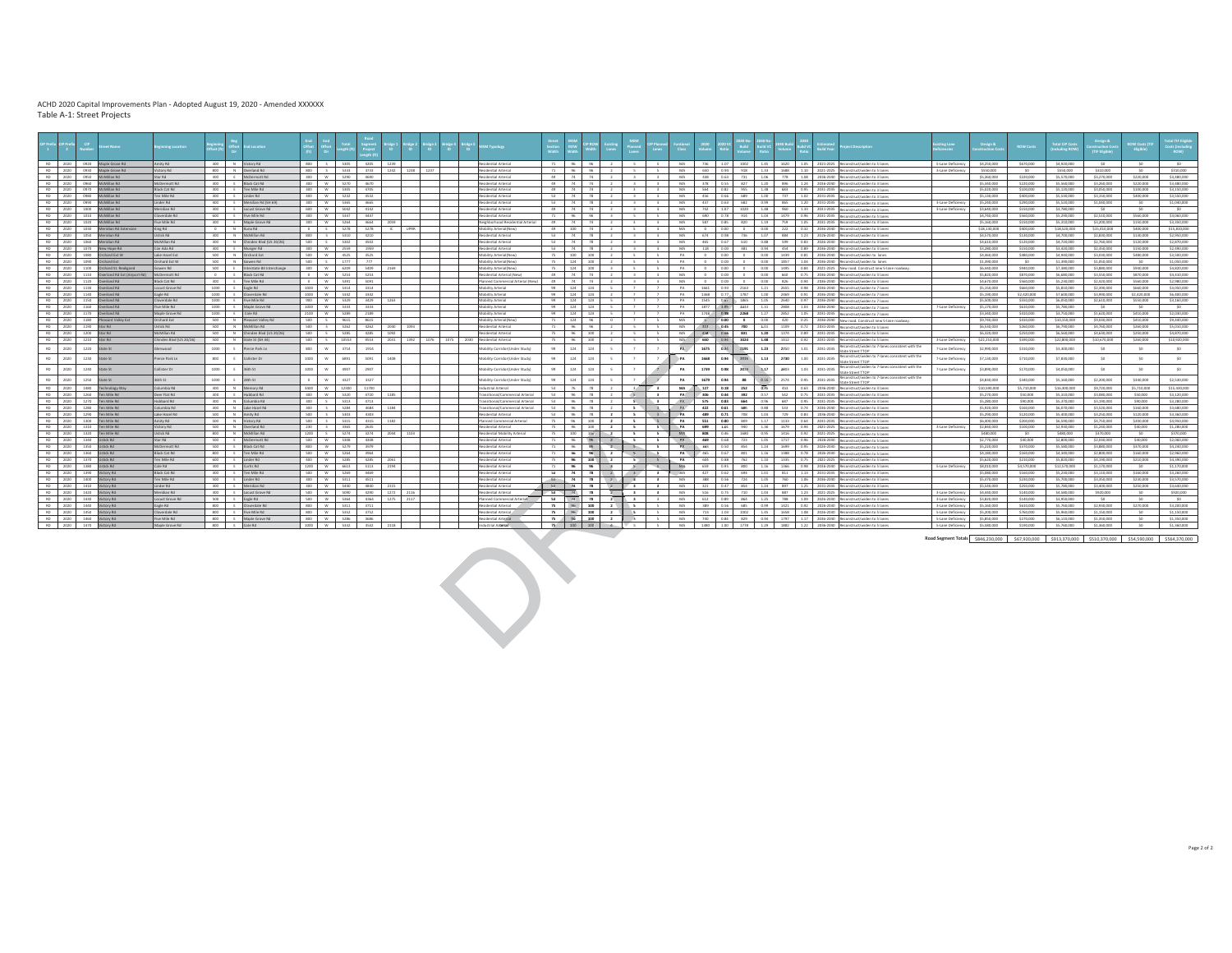| incities anim          |                                                                                                                                                                                                                                                                                                                                                                                                                                                                                                                                               | Location |                                                                                                                                                                                                                                                                                                                                                                                                                                                                                                                                                                                                                                                                                                                                                                                                                                                                                                                                                                                                                                                                                                                                                                                                                          |     | legment<br>Project                                                    |                                                                                                                                                                                                                                                                                                                                                                                                                                                                                                                                                                                                                                                                                                                                                                                                                                           |                                                                                                                                                                                                                                                                                                                                                            |                                                         | SM Typology                       |                                                                                                                                                                                                                                                                                                                                                                                                                                                                                                                                                                                                                                                                                                                                                                                                                                                                                                                                         | ROW                                                                           |                                                     |                              | <b>Manne</b><br>Lanes                                                                                                                                                                                                             |                                                                                                                                                                                                                                                                                                                                                                                                                                                                                                                                                                                                                                                                                                                                                         |                                                                                                                                                                                                                                                                                                                                                                                                                                                                                                                                                                                                                                                |                                                                                                                                                       |                                                                                | <b>Build</b>         | ild VO                                |                                                                                                                                                                                                                                                                                                                                                                           | ald V                                                                           |                                                                                                                                |                                                                       | sting Lane                                                                                                                                                                                                                                                                                                                                                                                                                                                                                                                                                                                                                                                                                                                                                                                                                                                                                                                                                                                                                                                                                                                                                                                                                                                                                                                                                                                                                                                                                                                                                                                                                                                                                                                                                                                                                                                                                                                                                                                                                                                                                                                                                                                                                                                                                                                                                                                                                                                                                                                                                                                                                                                                                                                                                                                                                                                                                                                                                                                                                                                                                                                                                                                                                                                                                                                                                                                                         | Design $\mathbf{S}_i$                                                                                 | <b>ROW Costs</b>                                                                                                                                                                                                                                                                                                                                                                                                                                                                                                                          | <b>Total CIP Costs</b><br>uding ROW                                                                                                                                                                                                                                                                                           | <b>THE Elisib</b>                                                                                                                                                                                                                                                                                                                                                                                            | <b>ROW Costs (TII</b><br>Eligible)                                                                                                                                                                                                                                                                                                                                                              | otal TIF Eligible                                                                                                                                                                                                                                                                                                                                                              |
|------------------------|-----------------------------------------------------------------------------------------------------------------------------------------------------------------------------------------------------------------------------------------------------------------------------------------------------------------------------------------------------------------------------------------------------------------------------------------------------------------------------------------------------------------------------------------------|----------|--------------------------------------------------------------------------------------------------------------------------------------------------------------------------------------------------------------------------------------------------------------------------------------------------------------------------------------------------------------------------------------------------------------------------------------------------------------------------------------------------------------------------------------------------------------------------------------------------------------------------------------------------------------------------------------------------------------------------------------------------------------------------------------------------------------------------------------------------------------------------------------------------------------------------------------------------------------------------------------------------------------------------------------------------------------------------------------------------------------------------------------------------------------------------------------------------------------------------|-----|-----------------------------------------------------------------------|-------------------------------------------------------------------------------------------------------------------------------------------------------------------------------------------------------------------------------------------------------------------------------------------------------------------------------------------------------------------------------------------------------------------------------------------------------------------------------------------------------------------------------------------------------------------------------------------------------------------------------------------------------------------------------------------------------------------------------------------------------------------------------------------------------------------------------------------|------------------------------------------------------------------------------------------------------------------------------------------------------------------------------------------------------------------------------------------------------------------------------------------------------------------------------------------------------------|---------------------------------------------------------|-----------------------------------|-----------------------------------------------------------------------------------------------------------------------------------------------------------------------------------------------------------------------------------------------------------------------------------------------------------------------------------------------------------------------------------------------------------------------------------------------------------------------------------------------------------------------------------------------------------------------------------------------------------------------------------------------------------------------------------------------------------------------------------------------------------------------------------------------------------------------------------------------------------------------------------------------------------------------------------------|-------------------------------------------------------------------------------|-----------------------------------------------------|------------------------------|-----------------------------------------------------------------------------------------------------------------------------------------------------------------------------------------------------------------------------------|---------------------------------------------------------------------------------------------------------------------------------------------------------------------------------------------------------------------------------------------------------------------------------------------------------------------------------------------------------------------------------------------------------------------------------------------------------------------------------------------------------------------------------------------------------------------------------------------------------------------------------------------------------------------------------------------------------------------------------------------------------|------------------------------------------------------------------------------------------------------------------------------------------------------------------------------------------------------------------------------------------------------------------------------------------------------------------------------------------------------------------------------------------------------------------------------------------------------------------------------------------------------------------------------------------------------------------------------------------------------------------------------------------------|-------------------------------------------------------------------------------------------------------------------------------------------------------|--------------------------------------------------------------------------------|----------------------|---------------------------------------|---------------------------------------------------------------------------------------------------------------------------------------------------------------------------------------------------------------------------------------------------------------------------------------------------------------------------------------------------------------------------|---------------------------------------------------------------------------------|--------------------------------------------------------------------------------------------------------------------------------|-----------------------------------------------------------------------|--------------------------------------------------------------------------------------------------------------------------------------------------------------------------------------------------------------------------------------------------------------------------------------------------------------------------------------------------------------------------------------------------------------------------------------------------------------------------------------------------------------------------------------------------------------------------------------------------------------------------------------------------------------------------------------------------------------------------------------------------------------------------------------------------------------------------------------------------------------------------------------------------------------------------------------------------------------------------------------------------------------------------------------------------------------------------------------------------------------------------------------------------------------------------------------------------------------------------------------------------------------------------------------------------------------------------------------------------------------------------------------------------------------------------------------------------------------------------------------------------------------------------------------------------------------------------------------------------------------------------------------------------------------------------------------------------------------------------------------------------------------------------------------------------------------------------------------------------------------------------------------------------------------------------------------------------------------------------------------------------------------------------------------------------------------------------------------------------------------------------------------------------------------------------------------------------------------------------------------------------------------------------------------------------------------------------------------------------------------------------------------------------------------------------------------------------------------------------------------------------------------------------------------------------------------------------------------------------------------------------------------------------------------------------------------------------------------------------------------------------------------------------------------------------------------------------------------------------------------------------------------------------------------------------------------------------------------------------------------------------------------------------------------------------------------------------------------------------------------------------------------------------------------------------------------------------------------------------------------------------------------------------------------------------------------------------------------------------------------------------------------------------------------------|-------------------------------------------------------------------------------------------------------|-------------------------------------------------------------------------------------------------------------------------------------------------------------------------------------------------------------------------------------------------------------------------------------------------------------------------------------------------------------------------------------------------------------------------------------------------------------------------------------------------------------------------------------------|-------------------------------------------------------------------------------------------------------------------------------------------------------------------------------------------------------------------------------------------------------------------------------------------------------------------------------|--------------------------------------------------------------------------------------------------------------------------------------------------------------------------------------------------------------------------------------------------------------------------------------------------------------------------------------------------------------------------------------------------------------|-------------------------------------------------------------------------------------------------------------------------------------------------------------------------------------------------------------------------------------------------------------------------------------------------------------------------------------------------------------------------------------------------|--------------------------------------------------------------------------------------------------------------------------------------------------------------------------------------------------------------------------------------------------------------------------------------------------------------------------------------------------------------------------------|
| List voim/             |                                                                                                                                                                                                                                                                                                                                                                                                                                                                                                                                               |          |                                                                                                                                                                                                                                                                                                                                                                                                                                                                                                                                                                                                                                                                                                                                                                                                                                                                                                                                                                                                                                                                                                                                                                                                                          |     |                                                                       | 1239                                                                                                                                                                                                                                                                                                                                                                                                                                                                                                                                                                                                                                                                                                                                                                                                                                      |                                                                                                                                                                                                                                                                                                                                                            |                                                         | IsinstyA Isitmabized              |                                                                                                                                                                                                                                                                                                                                                                                                                                                                                                                                                                                                                                                                                                                                                                                                                                                                                                                                         |                                                                               |                                                     |                              |                                                                                                                                                                                                                                   |                                                                                                                                                                                                                                                                                                                                                                                                                                                                                                                                                                                                                                                                                                                                                         | MA                                                                                                                                                                                                                                                                                                                                                                                                                                                                                                                                                                                                                                             |                                                                                                                                                       |                                                                                |                      |                                       |                                                                                                                                                                                                                                                                                                                                                                           |                                                                                 |                                                                                                                                |                                                                       | 5-Lane Deficiency                                                                                                                                                                                                                                                                                                                                                                                                                                                                                                                                                                                                                                                                                                                                                                                                                                                                                                                                                                                                                                                                                                                                                                                                                                                                                                                                                                                                                                                                                                                                                                                                                                                                                                                                                                                                                                                                                                                                                                                                                                                                                                                                                                                                                                                                                                                                                                                                                                                                                                                                                                                                                                                                                                                                                                                                                                                                                                                                                                                                                                                                                                                                                                                                                                                                                                                                                                                                  | \$4,250,000                                                                                           | \$670,000                                                                                                                                                                                                                                                                                                                                                                                                                                                                                                                                 | \$4,920,000                                                                                                                                                                                                                                                                                                                   | SO                                                                                                                                                                                                                                                                                                                                                                                                           | SO                                                                                                                                                                                                                                                                                                                                                                                              | SO                                                                                                                                                                                                                                                                                                                                                                             |
|                        |                                                                                                                                                                                                                                                                                                                                                                                                                                                                                                                                               |          |                                                                                                                                                                                                                                                                                                                                                                                                                                                                                                                                                                                                                                                                                                                                                                                                                                                                                                                                                                                                                                                                                                                                                                                                                          |     | 3733                                                                  |                                                                                                                                                                                                                                                                                                                                                                                                                                                                                                                                                                                                                                                                                                                                                                                                                                           |                                                                                                                                                                                                                                                                                                                                                            |                                                         |                                   |                                                                                                                                                                                                                                                                                                                                                                                                                                                                                                                                                                                                                                                                                                                                                                                                                                                                                                                                         |                                                                               |                                                     |                              |                                                                                                                                                                                                                                   |                                                                                                                                                                                                                                                                                                                                                                                                                                                                                                                                                                                                                                                                                                                                                         |                                                                                                                                                                                                                                                                                                                                                                                                                                                                                                                                                                                                                                                |                                                                                                                                                       |                                                                                |                      | 1.33                                  | 1688                                                                                                                                                                                                                                                                                                                                                                      |                                                                                 |                                                                                                                                |                                                                       | 3-Lane Defici                                                                                                                                                                                                                                                                                                                                                                                                                                                                                                                                                                                                                                                                                                                                                                                                                                                                                                                                                                                                                                                                                                                                                                                                                                                                                                                                                                                                                                                                                                                                                                                                                                                                                                                                                                                                                                                                                                                                                                                                                                                                                                                                                                                                                                                                                                                                                                                                                                                                                                                                                                                                                                                                                                                                                                                                                                                                                                                                                                                                                                                                                                                                                                                                                                                                                                                                                                                                      |                                                                                                       |                                                                                                                                                                                                                                                                                                                                                                                                                                                                                                                                           |                                                                                                                                                                                                                                                                                                                               |                                                                                                                                                                                                                                                                                                                                                                                                              |                                                                                                                                                                                                                                                                                                                                                                                                 | \$310,000                                                                                                                                                                                                                                                                                                                                                                      |
|                        |                                                                                                                                                                                                                                                                                                                                                                                                                                                                                                                                               |          |                                                                                                                                                                                                                                                                                                                                                                                                                                                                                                                                                                                                                                                                                                                                                                                                                                                                                                                                                                                                                                                                                                                                                                                                                          |     |                                                                       |                                                                                                                                                                                                                                                                                                                                                                                                                                                                                                                                                                                                                                                                                                                                                                                                                                           |                                                                                                                                                                                                                                                                                                                                                            |                                                         |                                   |                                                                                                                                                                                                                                                                                                                                                                                                                                                                                                                                                                                                                                                                                                                                                                                                                                                                                                                                         |                                                                               |                                                     |                              |                                                                                                                                                                                                                                   |                                                                                                                                                                                                                                                                                                                                                                                                                                                                                                                                                                                                                                                                                                                                                         |                                                                                                                                                                                                                                                                                                                                                                                                                                                                                                                                                                                                                                                |                                                                                                                                                       |                                                                                |                      |                                       |                                                                                                                                                                                                                                                                                                                                                                           |                                                                                 |                                                                                                                                |                                                                       |                                                                                                                                                                                                                                                                                                                                                                                                                                                                                                                                                                                                                                                                                                                                                                                                                                                                                                                                                                                                                                                                                                                                                                                                                                                                                                                                                                                                                                                                                                                                                                                                                                                                                                                                                                                                                                                                                                                                                                                                                                                                                                                                                                                                                                                                                                                                                                                                                                                                                                                                                                                                                                                                                                                                                                                                                                                                                                                                                                                                                                                                                                                                                                                                                                                                                                                                                                                                                    |                                                                                                       |                                                                                                                                                                                                                                                                                                                                                                                                                                                                                                                                           |                                                                                                                                                                                                                                                                                                                               |                                                                                                                                                                                                                                                                                                                                                                                                              |                                                                                                                                                                                                                                                                                                                                                                                                 | \$3,480,000<br>53,480,000                                                                                                                                                                                                                                                                                                                                                      |
|                        |                                                                                                                                                                                                                                                                                                                                                                                                                                                                                                                                               |          |                                                                                                                                                                                                                                                                                                                                                                                                                                                                                                                                                                                                                                                                                                                                                                                                                                                                                                                                                                                                                                                                                                                                                                                                                          |     |                                                                       |                                                                                                                                                                                                                                                                                                                                                                                                                                                                                                                                                                                                                                                                                                                                                                                                                                           |                                                                                                                                                                                                                                                                                                                                                            |                                                         |                                   |                                                                                                                                                                                                                                                                                                                                                                                                                                                                                                                                                                                                                                                                                                                                                                                                                                                                                                                                         |                                                                               |                                                     |                              |                                                                                                                                                                                                                                   |                                                                                                                                                                                                                                                                                                                                                                                                                                                                                                                                                                                                                                                                                                                                                         |                                                                                                                                                                                                                                                                                                                                                                                                                                                                                                                                                                                                                                                |                                                                                                                                                       |                                                                                |                      |                                       |                                                                                                                                                                                                                                                                                                                                                                           |                                                                                 |                                                                                                                                |                                                                       |                                                                                                                                                                                                                                                                                                                                                                                                                                                                                                                                                                                                                                                                                                                                                                                                                                                                                                                                                                                                                                                                                                                                                                                                                                                                                                                                                                                                                                                                                                                                                                                                                                                                                                                                                                                                                                                                                                                                                                                                                                                                                                                                                                                                                                                                                                                                                                                                                                                                                                                                                                                                                                                                                                                                                                                                                                                                                                                                                                                                                                                                                                                                                                                                                                                                                                                                                                                                                    |                                                                                                       |                                                                                                                                                                                                                                                                                                                                                                                                                                                                                                                                           |                                                                                                                                                                                                                                                                                                                               |                                                                                                                                                                                                                                                                                                                                                                                                              |                                                                                                                                                                                                                                                                                                                                                                                                 | \$3,150,000                                                                                                                                                                                                                                                                                                                                                                    |
| en Mile Rd             |                                                                                                                                                                                                                                                                                                                                                                                                                                                                                                                                               |          |                                                                                                                                                                                                                                                                                                                                                                                                                                                                                                                                                                                                                                                                                                                                                                                                                                                                                                                                                                                                                                                                                                                                                                                                                          |     | 4532                                                                  |                                                                                                                                                                                                                                                                                                                                                                                                                                                                                                                                                                                                                                                                                                                                                                                                                                           |                                                                                                                                                                                                                                                                                                                                                            |                                                         | Residential Arterial              |                                                                                                                                                                                                                                                                                                                                                                                                                                                                                                                                                                                                                                                                                                                                                                                                                                                                                                                                         |                                                                               |                                                     |                              |                                                                                                                                                                                                                                   |                                                                                                                                                                                                                                                                                                                                                                                                                                                                                                                                                                                                                                                                                                                                                         | MA                                                                                                                                                                                                                                                                                                                                                                                                                                                                                                                                                                                                                                             |                                                                                                                                                       |                                                                                |                      |                                       |                                                                                                                                                                                                                                                                                                                                                                           |                                                                                 |                                                                                                                                |                                                                       |                                                                                                                                                                                                                                                                                                                                                                                                                                                                                                                                                                                                                                                                                                                                                                                                                                                                                                                                                                                                                                                                                                                                                                                                                                                                                                                                                                                                                                                                                                                                                                                                                                                                                                                                                                                                                                                                                                                                                                                                                                                                                                                                                                                                                                                                                                                                                                                                                                                                                                                                                                                                                                                                                                                                                                                                                                                                                                                                                                                                                                                                                                                                                                                                                                                                                                                                                                                                                    | \$5,130,000                                                                                           | \$400,000                                                                                                                                                                                                                                                                                                                                                                                                                                                                                                                                 | \$5,530,000                                                                                                                                                                                                                                                                                                                   | \$3,150,000                                                                                                                                                                                                                                                                                                                                                                                                  | \$400,000                                                                                                                                                                                                                                                                                                                                                                                       | \$3,550,000                                                                                                                                                                                                                                                                                                                                                                    |
| inder Rd               |                                                                                                                                                                                                                                                                                                                                                                                                                                                                                                                                               |          |                                                                                                                                                                                                                                                                                                                                                                                                                                                                                                                                                                                                                                                                                                                                                                                                                                                                                                                                                                                                                                                                                                                                                                                                                          |     | 4665                                                                  |                                                                                                                                                                                                                                                                                                                                                                                                                                                                                                                                                                                                                                                                                                                                                                                                                                           |                                                                                                                                                                                                                                                                                                                                                            |                                                         | Residential Arterial              |                                                                                                                                                                                                                                                                                                                                                                                                                                                                                                                                                                                                                                                                                                                                                                                                                                                                                                                                         |                                                                               |                                                     |                              |                                                                                                                                                                                                                                   |                                                                                                                                                                                                                                                                                                                                                                                                                                                                                                                                                                                                                                                                                                                                                         | MA                                                                                                                                                                                                                                                                                                                                                                                                                                                                                                                                                                                                                                             |                                                                                                                                                       |                                                                                |                      |                                       |                                                                                                                                                                                                                                                                                                                                                                           |                                                                                 |                                                                                                                                |                                                                       | 3-Lane Deficiency                                                                                                                                                                                                                                                                                                                                                                                                                                                                                                                                                                                                                                                                                                                                                                                                                                                                                                                                                                                                                                                                                                                                                                                                                                                                                                                                                                                                                                                                                                                                                                                                                                                                                                                                                                                                                                                                                                                                                                                                                                                                                                                                                                                                                                                                                                                                                                                                                                                                                                                                                                                                                                                                                                                                                                                                                                                                                                                                                                                                                                                                                                                                                                                                                                                                                                                                                                                                  | \$5,240,000                                                                                           | \$290,000                                                                                                                                                                                                                                                                                                                                                                                                                                                                                                                                 | \$5,520,000                                                                                                                                                                                                                                                                                                                   | \$1,040,000                                                                                                                                                                                                                                                                                                                                                                                                  | $\infty$                                                                                                                                                                                                                                                                                                                                                                                        | \$1,040,000                                                                                                                                                                                                                                                                                                                                                                    |
|                        |                                                                                                                                                                                                                                                                                                                                                                                                                                                                                                                                               |          |                                                                                                                                                                                                                                                                                                                                                                                                                                                                                                                                                                                                                                                                                                                                                                                                                                                                                                                                                                                                                                                                                                                                                                                                                          |     |                                                                       |                                                                                                                                                                                                                                                                                                                                                                                                                                                                                                                                                                                                                                                                                                                                                                                                                                           |                                                                                                                                                                                                                                                                                                                                                            |                                                         |                                   |                                                                                                                                                                                                                                                                                                                                                                                                                                                                                                                                                                                                                                                                                                                                                                                                                                                                                                                                         |                                                                               |                                                     |                              |                                                                                                                                                                                                                                   |                                                                                                                                                                                                                                                                                                                                                                                                                                                                                                                                                                                                                                                                                                                                                         |                                                                                                                                                                                                                                                                                                                                                                                                                                                                                                                                                                                                                                                |                                                                                                                                                       |                                                                                |                      |                                       |                                                                                                                                                                                                                                                                                                                                                                           |                                                                                 |                                                                                                                                |                                                                       |                                                                                                                                                                                                                                                                                                                                                                                                                                                                                                                                                                                                                                                                                                                                                                                                                                                                                                                                                                                                                                                                                                                                                                                                                                                                                                                                                                                                                                                                                                                                                                                                                                                                                                                                                                                                                                                                                                                                                                                                                                                                                                                                                                                                                                                                                                                                                                                                                                                                                                                                                                                                                                                                                                                                                                                                                                                                                                                                                                                                                                                                                                                                                                                                                                                                                                                                                                                                                    |                                                                                                       |                                                                                                                                                                                                                                                                                                                                                                                                                                                                                                                                           |                                                                                                                                                                                                                                                                                                                               |                                                                                                                                                                                                                                                                                                                                                                                                              | SO.                                                                                                                                                                                                                                                                                                                                                                                             | $-90$                                                                                                                                                                                                                                                                                                                                                                          |
|                        |                                                                                                                                                                                                                                                                                                                                                                                                                                                                                                                                               |          |                                                                                                                                                                                                                                                                                                                                                                                                                                                                                                                                                                                                                                                                                                                                                                                                                                                                                                                                                                                                                                                                                                                                                                                                                          |     |                                                                       |                                                                                                                                                                                                                                                                                                                                                                                                                                                                                                                                                                                                                                                                                                                                                                                                                                           |                                                                                                                                                                                                                                                                                                                                                            |                                                         |                                   |                                                                                                                                                                                                                                                                                                                                                                                                                                                                                                                                                                                                                                                                                                                                                                                                                                                                                                                                         |                                                                               |                                                     |                              |                                                                                                                                                                                                                                   |                                                                                                                                                                                                                                                                                                                                                                                                                                                                                                                                                                                                                                                                                                                                                         |                                                                                                                                                                                                                                                                                                                                                                                                                                                                                                                                                                                                                                                |                                                                                                                                                       |                                                                                |                      |                                       |                                                                                                                                                                                                                                                                                                                                                                           |                                                                                 |                                                                                                                                |                                                                       |                                                                                                                                                                                                                                                                                                                                                                                                                                                                                                                                                                                                                                                                                                                                                                                                                                                                                                                                                                                                                                                                                                                                                                                                                                                                                                                                                                                                                                                                                                                                                                                                                                                                                                                                                                                                                                                                                                                                                                                                                                                                                                                                                                                                                                                                                                                                                                                                                                                                                                                                                                                                                                                                                                                                                                                                                                                                                                                                                                                                                                                                                                                                                                                                                                                                                                                                                                                                                    |                                                                                                       |                                                                                                                                                                                                                                                                                                                                                                                                                                                                                                                                           |                                                                                                                                                                                                                                                                                                                               |                                                                                                                                                                                                                                                                                                                                                                                                              |                                                                                                                                                                                                                                                                                                                                                                                                 | 53.050.000<br>\$3,350,000                                                                                                                                                                                                                                                                                                                                                      |
|                        |                                                                                                                                                                                                                                                                                                                                                                                                                                                                                                                                               |          |                                                                                                                                                                                                                                                                                                                                                                                                                                                                                                                                                                                                                                                                                                                                                                                                                                                                                                                                                                                                                                                                                                                                                                                                                          |     |                                                                       | -IC                                                                                                                                                                                                                                                                                                                                                                                                                                                                                                                                                                                                                                                                                                                                                                                                                                       |                                                                                                                                                                                                                                                                                                                                                            |                                                         |                                   | 49                                                                                                                                                                                                                                                                                                                                                                                                                                                                                                                                                                                                                                                                                                                                                                                                                                                                                                                                      |                                                                               |                                                     |                              | $\sim$                                                                                                                                                                                                                            |                                                                                                                                                                                                                                                                                                                                                                                                                                                                                                                                                                                                                                                                                                                                                         | MA                                                                                                                                                                                                                                                                                                                                                                                                                                                                                                                                                                                                                                             |                                                                                                                                                       |                                                                                |                      |                                       | 222                                                                                                                                                                                                                                                                                                                                                                       |                                                                                 |                                                                                                                                |                                                                       |                                                                                                                                                                                                                                                                                                                                                                                                                                                                                                                                                                                                                                                                                                                                                                                                                                                                                                                                                                                                                                                                                                                                                                                                                                                                                                                                                                                                                                                                                                                                                                                                                                                                                                                                                                                                                                                                                                                                                                                                                                                                                                                                                                                                                                                                                                                                                                                                                                                                                                                                                                                                                                                                                                                                                                                                                                                                                                                                                                                                                                                                                                                                                                                                                                                                                                                                                                                                                    |                                                                                                       | \$400,000                                                                                                                                                                                                                                                                                                                                                                                                                                                                                                                                 | \$18,520,000                                                                                                                                                                                                                                                                                                                  |                                                                                                                                                                                                                                                                                                                                                                                                              | \$400,000                                                                                                                                                                                                                                                                                                                                                                                       | \$15,810,000                                                                                                                                                                                                                                                                                                                                                                   |
| stick Rd               |                                                                                                                                                                                                                                                                                                                                                                                                                                                                                                                                               |          |                                                                                                                                                                                                                                                                                                                                                                                                                                                                                                                                                                                                                                                                                                                                                                                                                                                                                                                                                                                                                                                                                                                                                                                                                          |     | 4210                                                                  |                                                                                                                                                                                                                                                                                                                                                                                                                                                                                                                                                                                                                                                                                                                                                                                                                                           |                                                                                                                                                                                                                                                                                                                                                            |                                                         | lesidential Arterial              | 53                                                                                                                                                                                                                                                                                                                                                                                                                                                                                                                                                                                                                                                                                                                                                                                                                                                                                                                                      |                                                                               |                                                     |                              |                                                                                                                                                                                                                                   |                                                                                                                                                                                                                                                                                                                                                                                                                                                                                                                                                                                                                                                                                                                                                         | MA                                                                                                                                                                                                                                                                                                                                                                                                                                                                                                                                                                                                                                             |                                                                                                                                                       |                                                                                |                      |                                       |                                                                                                                                                                                                                                                                                                                                                                           |                                                                                 |                                                                                                                                |                                                                       |                                                                                                                                                                                                                                                                                                                                                                                                                                                                                                                                                                                                                                                                                                                                                                                                                                                                                                                                                                                                                                                                                                                                                                                                                                                                                                                                                                                                                                                                                                                                                                                                                                                                                                                                                                                                                                                                                                                                                                                                                                                                                                                                                                                                                                                                                                                                                                                                                                                                                                                                                                                                                                                                                                                                                                                                                                                                                                                                                                                                                                                                                                                                                                                                                                                                                                                                                                                                                    | \$4,570,000                                                                                           | \$130,000                                                                                                                                                                                                                                                                                                                                                                                                                                                                                                                                 | \$4,700,000                                                                                                                                                                                                                                                                                                                   | \$2,830,000                                                                                                                                                                                                                                                                                                                                                                                                  | \$130,000                                                                                                                                                                                                                                                                                                                                                                                       | \$2,950,000                                                                                                                                                                                                                                                                                                                                                                    |
|                        |                                                                                                                                                                                                                                                                                                                                                                                                                                                                                                                                               |          |                                                                                                                                                                                                                                                                                                                                                                                                                                                                                                                                                                                                                                                                                                                                                                                                                                                                                                                                                                                                                                                                                                                                                                                                                          |     | 4502                                                                  |                                                                                                                                                                                                                                                                                                                                                                                                                                                                                                                                                                                                                                                                                                                                                                                                                                           |                                                                                                                                                                                                                                                                                                                                                            |                                                         |                                   | 63                                                                                                                                                                                                                                                                                                                                                                                                                                                                                                                                                                                                                                                                                                                                                                                                                                                                                                                                      |                                                                               |                                                     |                              |                                                                                                                                                                                                                                   |                                                                                                                                                                                                                                                                                                                                                                                                                                                                                                                                                                                                                                                                                                                                                         | <b>MA</b>                                                                                                                                                                                                                                                                                                                                                                                                                                                                                                                                                                                                                                      |                                                                                                                                                       |                                                                                |                      |                                       |                                                                                                                                                                                                                                                                                                                                                                           |                                                                                 |                                                                                                                                |                                                                       |                                                                                                                                                                                                                                                                                                                                                                                                                                                                                                                                                                                                                                                                                                                                                                                                                                                                                                                                                                                                                                                                                                                                                                                                                                                                                                                                                                                                                                                                                                                                                                                                                                                                                                                                                                                                                                                                                                                                                                                                                                                                                                                                                                                                                                                                                                                                                                                                                                                                                                                                                                                                                                                                                                                                                                                                                                                                                                                                                                                                                                                                                                                                                                                                                                                                                                                                                                                                                    | \$4,610,000                                                                                           | \$120,000                                                                                                                                                                                                                                                                                                                                                                                                                                                                                                                                 | S4 720 000                                                                                                                                                                                                                                                                                                                    | \$2,760,000                                                                                                                                                                                                                                                                                                                                                                                                  | \$120,000                                                                                                                                                                                                                                                                                                                                                                                       | \$2.870,000                                                                                                                                                                                                                                                                                                                                                                    |
|                        |                                                                                                                                                                                                                                                                                                                                                                                                                                                                                                                                               |          |                                                                                                                                                                                                                                                                                                                                                                                                                                                                                                                                                                                                                                                                                                                                                                                                                                                                                                                                                                                                                                                                                                                                                                                                                          |     |                                                                       |                                                                                                                                                                                                                                                                                                                                                                                                                                                                                                                                                                                                                                                                                                                                                                                                                                           |                                                                                                                                                                                                                                                                                                                                                            |                                                         |                                   |                                                                                                                                                                                                                                                                                                                                                                                                                                                                                                                                                                                                                                                                                                                                                                                                                                                                                                                                         |                                                                               |                                                     |                              |                                                                                                                                                                                                                                   |                                                                                                                                                                                                                                                                                                                                                                                                                                                                                                                                                                                                                                                                                                                                                         |                                                                                                                                                                                                                                                                                                                                                                                                                                                                                                                                                                                                                                                |                                                                                                                                                       |                                                                                |                      |                                       |                                                                                                                                                                                                                                                                                                                                                                           |                                                                                 |                                                                                                                                |                                                                       |                                                                                                                                                                                                                                                                                                                                                                                                                                                                                                                                                                                                                                                                                                                                                                                                                                                                                                                                                                                                                                                                                                                                                                                                                                                                                                                                                                                                                                                                                                                                                                                                                                                                                                                                                                                                                                                                                                                                                                                                                                                                                                                                                                                                                                                                                                                                                                                                                                                                                                                                                                                                                                                                                                                                                                                                                                                                                                                                                                                                                                                                                                                                                                                                                                                                                                                                                                                                                    |                                                                                                       |                                                                                                                                                                                                                                                                                                                                                                                                                                                                                                                                           |                                                                                                                                                                                                                                                                                                                               |                                                                                                                                                                                                                                                                                                                                                                                                              |                                                                                                                                                                                                                                                                                                                                                                                                 | 52,490,000<br>\$3,500,000                                                                                                                                                                                                                                                                                                                                                      |
|                        |                                                                                                                                                                                                                                                                                                                                                                                                                                                                                                                                               |          |                                                                                                                                                                                                                                                                                                                                                                                                                                                                                                                                                                                                                                                                                                                                                                                                                                                                                                                                                                                                                                                                                                                                                                                                                          |     | $\overline{m}$                                                        |                                                                                                                                                                                                                                                                                                                                                                                                                                                                                                                                                                                                                                                                                                                                                                                                                                           |                                                                                                                                                                                                                                                                                                                                                            |                                                         |                                   |                                                                                                                                                                                                                                                                                                                                                                                                                                                                                                                                                                                                                                                                                                                                                                                                                                                                                                                                         |                                                                               |                                                     |                              |                                                                                                                                                                                                                                   |                                                                                                                                                                                                                                                                                                                                                                                                                                                                                                                                                                                                                                                                                                                                                         |                                                                                                                                                                                                                                                                                                                                                                                                                                                                                                                                                                                                                                                |                                                                                                                                                       |                                                                                |                      |                                       |                                                                                                                                                                                                                                                                                                                                                                           |                                                                                 |                                                                                                                                |                                                                       |                                                                                                                                                                                                                                                                                                                                                                                                                                                                                                                                                                                                                                                                                                                                                                                                                                                                                                                                                                                                                                                                                                                                                                                                                                                                                                                                                                                                                                                                                                                                                                                                                                                                                                                                                                                                                                                                                                                                                                                                                                                                                                                                                                                                                                                                                                                                                                                                                                                                                                                                                                                                                                                                                                                                                                                                                                                                                                                                                                                                                                                                                                                                                                                                                                                                                                                                                                                                                    |                                                                                                       |                                                                                                                                                                                                                                                                                                                                                                                                                                                                                                                                           |                                                                                                                                                                                                                                                                                                                               |                                                                                                                                                                                                                                                                                                                                                                                                              |                                                                                                                                                                                                                                                                                                                                                                                                 | \$1,050,000                                                                                                                                                                                                                                                                                                                                                                    |
|                        |                                                                                                                                                                                                                                                                                                                                                                                                                                                                                                                                               |          |                                                                                                                                                                                                                                                                                                                                                                                                                                                                                                                                                                                                                                                                                                                                                                                                                                                                                                                                                                                                                                                                                                                                                                                                                          |     | 5409                                                                  | 2169                                                                                                                                                                                                                                                                                                                                                                                                                                                                                                                                                                                                                                                                                                                                                                                                                                      |                                                                                                                                                                                                                                                                                                                                                            |                                                         |                                   |                                                                                                                                                                                                                                                                                                                                                                                                                                                                                                                                                                                                                                                                                                                                                                                                                                                                                                                                         |                                                                               |                                                     |                              |                                                                                                                                                                                                                                   |                                                                                                                                                                                                                                                                                                                                                                                                                                                                                                                                                                                                                                                                                                                                                         | PA                                                                                                                                                                                                                                                                                                                                                                                                                                                                                                                                                                                                                                             |                                                                                                                                                       |                                                                                |                      |                                       |                                                                                                                                                                                                                                                                                                                                                                           |                                                                                 |                                                                                                                                |                                                                       |                                                                                                                                                                                                                                                                                                                                                                                                                                                                                                                                                                                                                                                                                                                                                                                                                                                                                                                                                                                                                                                                                                                                                                                                                                                                                                                                                                                                                                                                                                                                                                                                                                                                                                                                                                                                                                                                                                                                                                                                                                                                                                                                                                                                                                                                                                                                                                                                                                                                                                                                                                                                                                                                                                                                                                                                                                                                                                                                                                                                                                                                                                                                                                                                                                                                                                                                                                                                                    | \$6,440,000                                                                                           | \$940,000                                                                                                                                                                                                                                                                                                                                                                                                                                                                                                                                 | \$7,980,000                                                                                                                                                                                                                                                                                                                   | \$3,880,000                                                                                                                                                                                                                                                                                                                                                                                                  | \$940,000                                                                                                                                                                                                                                                                                                                                                                                       | \$4,820,000                                                                                                                                                                                                                                                                                                                                                                    |
| MrDermott Rd           |                                                                                                                                                                                                                                                                                                                                                                                                                                                                                                                                               |          |                                                                                                                                                                                                                                                                                                                                                                                                                                                                                                                                                                                                                                                                                                                                                                                                                                                                                                                                                                                                                                                                                                                                                                                                                          |     |                                                                       |                                                                                                                                                                                                                                                                                                                                                                                                                                                                                                                                                                                                                                                                                                                                                                                                                                           |                                                                                                                                                                                                                                                                                                                                                            |                                                         | <b>Residential Arterial (New)</b> |                                                                                                                                                                                                                                                                                                                                                                                                                                                                                                                                                                                                                                                                                                                                                                                                                                                                                                                                         |                                                                               |                                                     |                              |                                                                                                                                                                                                                                   |                                                                                                                                                                                                                                                                                                                                                                                                                                                                                                                                                                                                                                                                                                                                                         | <b>MA</b>                                                                                                                                                                                                                                                                                                                                                                                                                                                                                                                                                                                                                                      |                                                                                                                                                       |                                                                                |                      |                                       |                                                                                                                                                                                                                                                                                                                                                                           |                                                                                 |                                                                                                                                |                                                                       |                                                                                                                                                                                                                                                                                                                                                                                                                                                                                                                                                                                                                                                                                                                                                                                                                                                                                                                                                                                                                                                                                                                                                                                                                                                                                                                                                                                                                                                                                                                                                                                                                                                                                                                                                                                                                                                                                                                                                                                                                                                                                                                                                                                                                                                                                                                                                                                                                                                                                                                                                                                                                                                                                                                                                                                                                                                                                                                                                                                                                                                                                                                                                                                                                                                                                                                                                                                                                    | \$5,820,000                                                                                           | \$870,000                                                                                                                                                                                                                                                                                                                                                                                                                                                                                                                                 | 56,680,000                                                                                                                                                                                                                                                                                                                    | 53,550,000                                                                                                                                                                                                                                                                                                                                                                                                   | \$870,000                                                                                                                                                                                                                                                                                                                                                                                       | \$4,410,000                                                                                                                                                                                                                                                                                                                                                                    |
| <b>Nark Cat Rd</b>     |                                                                                                                                                                                                                                                                                                                                                                                                                                                                                                                                               |          |                                                                                                                                                                                                                                                                                                                                                                                                                                                                                                                                                                                                                                                                                                                                                                                                                                                                                                                                                                                                                                                                                                                                                                                                                          |     | 5091                                                                  |                                                                                                                                                                                                                                                                                                                                                                                                                                                                                                                                                                                                                                                                                                                                                                                                                                           |                                                                                                                                                                                                                                                                                                                                                            |                                                         | Planned Commercial Arterial (New  |                                                                                                                                                                                                                                                                                                                                                                                                                                                                                                                                                                                                                                                                                                                                                                                                                                                                                                                                         |                                                                               |                                                     |                              |                                                                                                                                                                                                                                   |                                                                                                                                                                                                                                                                                                                                                                                                                                                                                                                                                                                                                                                                                                                                                         | <b>MA</b>                                                                                                                                                                                                                                                                                                                                                                                                                                                                                                                                                                                                                                      |                                                                                                                                                       |                                                                                |                      |                                       |                                                                                                                                                                                                                                                                                                                                                                           |                                                                                 |                                                                                                                                |                                                                       |                                                                                                                                                                                                                                                                                                                                                                                                                                                                                                                                                                                                                                                                                                                                                                                                                                                                                                                                                                                                                                                                                                                                                                                                                                                                                                                                                                                                                                                                                                                                                                                                                                                                                                                                                                                                                                                                                                                                                                                                                                                                                                                                                                                                                                                                                                                                                                                                                                                                                                                                                                                                                                                                                                                                                                                                                                                                                                                                                                                                                                                                                                                                                                                                                                                                                                                                                                                                                    | \$4,670,000                                                                                           | 5560,000                                                                                                                                                                                                                                                                                                                                                                                                                                                                                                                                  | \$5,230,000                                                                                                                                                                                                                                                                                                                   | \$2,420,000                                                                                                                                                                                                                                                                                                                                                                                                  | \$560,000                                                                                                                                                                                                                                                                                                                                                                                       | 52.980.000                                                                                                                                                                                                                                                                                                                                                                     |
|                        |                                                                                                                                                                                                                                                                                                                                                                                                                                                                                                                                               |          |                                                                                                                                                                                                                                                                                                                                                                                                                                                                                                                                                                                                                                                                                                                                                                                                                                                                                                                                                                                                                                                                                                                                                                                                                          |     |                                                                       |                                                                                                                                                                                                                                                                                                                                                                                                                                                                                                                                                                                                                                                                                                                                                                                                                                           |                                                                                                                                                                                                                                                                                                                                                            |                                                         |                                   | 99                                                                                                                                                                                                                                                                                                                                                                                                                                                                                                                                                                                                                                                                                                                                                                                                                                                                                                                                      |                                                                               |                                                     |                              | $\overline{7}$                                                                                                                                                                                                                    |                                                                                                                                                                                                                                                                                                                                                                                                                                                                                                                                                                                                                                                                                                                                                         |                                                                                                                                                                                                                                                                                                                                                                                                                                                                                                                                                                                                                                                |                                                                                                                                                       |                                                                                |                      |                                       |                                                                                                                                                                                                                                                                                                                                                                           |                                                                                 |                                                                                                                                |                                                                       |                                                                                                                                                                                                                                                                                                                                                                                                                                                                                                                                                                                                                                                                                                                                                                                                                                                                                                                                                                                                                                                                                                                                                                                                                                                                                                                                                                                                                                                                                                                                                                                                                                                                                                                                                                                                                                                                                                                                                                                                                                                                                                                                                                                                                                                                                                                                                                                                                                                                                                                                                                                                                                                                                                                                                                                                                                                                                                                                                                                                                                                                                                                                                                                                                                                                                                                                                                                                                    |                                                                                                       |                                                                                                                                                                                                                                                                                                                                                                                                                                                                                                                                           |                                                                                                                                                                                                                                                                                                                               |                                                                                                                                                                                                                                                                                                                                                                                                              |                                                                                                                                                                                                                                                                                                                                                                                                 | \$3,050,000<br>\$6,400,000                                                                                                                                                                                                                                                                                                                                                     |
|                        |                                                                                                                                                                                                                                                                                                                                                                                                                                                                                                                                               |          |                                                                                                                                                                                                                                                                                                                                                                                                                                                                                                                                                                                                                                                                                                                                                                                                                                                                                                                                                                                                                                                                                                                                                                                                                          |     |                                                                       |                                                                                                                                                                                                                                                                                                                                                                                                                                                                                                                                                                                                                                                                                                                                                                                                                                           |                                                                                                                                                                                                                                                                                                                                                            |                                                         |                                   |                                                                                                                                                                                                                                                                                                                                                                                                                                                                                                                                                                                                                                                                                                                                                                                                                                                                                                                                         |                                                                               |                                                     |                              |                                                                                                                                                                                                                                   |                                                                                                                                                                                                                                                                                                                                                                                                                                                                                                                                                                                                                                                                                                                                                         |                                                                                                                                                                                                                                                                                                                                                                                                                                                                                                                                                                                                                                                |                                                                                                                                                       |                                                                                |                      |                                       |                                                                                                                                                                                                                                                                                                                                                                           |                                                                                 |                                                                                                                                |                                                                       |                                                                                                                                                                                                                                                                                                                                                                                                                                                                                                                                                                                                                                                                                                                                                                                                                                                                                                                                                                                                                                                                                                                                                                                                                                                                                                                                                                                                                                                                                                                                                                                                                                                                                                                                                                                                                                                                                                                                                                                                                                                                                                                                                                                                                                                                                                                                                                                                                                                                                                                                                                                                                                                                                                                                                                                                                                                                                                                                                                                                                                                                                                                                                                                                                                                                                                                                                                                                                    |                                                                                                       |                                                                                                                                                                                                                                                                                                                                                                                                                                                                                                                                           |                                                                                                                                                                                                                                                                                                                               |                                                                                                                                                                                                                                                                                                                                                                                                              |                                                                                                                                                                                                                                                                                                                                                                                                 | \$3,160,000                                                                                                                                                                                                                                                                                                                                                                    |
| Five Mile Rd           |                                                                                                                                                                                                                                                                                                                                                                                                                                                                                                                                               |          |                                                                                                                                                                                                                                                                                                                                                                                                                                                                                                                                                                                                                                                                                                                                                                                                                                                                                                                                                                                                                                                                                                                                                                                                                          |     |                                                                       |                                                                                                                                                                                                                                                                                                                                                                                                                                                                                                                                                                                                                                                                                                                                                                                                                                           |                                                                                                                                                                                                                                                                                                                                                            |                                                         | Mohility Arterial                 |                                                                                                                                                                                                                                                                                                                                                                                                                                                                                                                                                                                                                                                                                                                                                                                                                                                                                                                                         |                                                                               |                                                     |                              |                                                                                                                                                                                                                                   |                                                                                                                                                                                                                                                                                                                                                                                                                                                                                                                                                                                                                                                                                                                                                         | PA                                                                                                                                                                                                                                                                                                                                                                                                                                                                                                                                                                                                                                             |                                                                                                                                                       |                                                                                |                      |                                       |                                                                                                                                                                                                                                                                                                                                                                           |                                                                                 |                                                                                                                                |                                                                       |                                                                                                                                                                                                                                                                                                                                                                                                                                                                                                                                                                                                                                                                                                                                                                                                                                                                                                                                                                                                                                                                                                                                                                                                                                                                                                                                                                                                                                                                                                                                                                                                                                                                                                                                                                                                                                                                                                                                                                                                                                                                                                                                                                                                                                                                                                                                                                                                                                                                                                                                                                                                                                                                                                                                                                                                                                                                                                                                                                                                                                                                                                                                                                                                                                                                                                                                                                                                                    | \$5,170,000                                                                                           | \$510,000                                                                                                                                                                                                                                                                                                                                                                                                                                                                                                                                 | 55, 280, 000                                                                                                                                                                                                                                                                                                                  | $-90$                                                                                                                                                                                                                                                                                                                                                                                                        | $-50$                                                                                                                                                                                                                                                                                                                                                                                           | $-90$                                                                                                                                                                                                                                                                                                                                                                          |
| Maple Grove Rd         |                                                                                                                                                                                                                                                                                                                                                                                                                                                                                                                                               |          |                                                                                                                                                                                                                                                                                                                                                                                                                                                                                                                                                                                                                                                                                                                                                                                                                                                                                                                                                                                                                                                                                                                                                                                                                          |     | 2189                                                                  |                                                                                                                                                                                                                                                                                                                                                                                                                                                                                                                                                                                                                                                                                                                                                                                                                                           |                                                                                                                                                                                                                                                                                                                                                            |                                                         | Mobility Arterial                 | 99                                                                                                                                                                                                                                                                                                                                                                                                                                                                                                                                                                                                                                                                                                                                                                                                                                                                                                                                      |                                                                               |                                                     |                              |                                                                                                                                                                                                                                   |                                                                                                                                                                                                                                                                                                                                                                                                                                                                                                                                                                                                                                                                                                                                                         | PA                                                                                                                                                                                                                                                                                                                                                                                                                                                                                                                                                                                                                                             |                                                                                                                                                       |                                                                                |                      |                                       |                                                                                                                                                                                                                                                                                                                                                                           |                                                                                 |                                                                                                                                |                                                                       |                                                                                                                                                                                                                                                                                                                                                                                                                                                                                                                                                                                                                                                                                                                                                                                                                                                                                                                                                                                                                                                                                                                                                                                                                                                                                                                                                                                                                                                                                                                                                                                                                                                                                                                                                                                                                                                                                                                                                                                                                                                                                                                                                                                                                                                                                                                                                                                                                                                                                                                                                                                                                                                                                                                                                                                                                                                                                                                                                                                                                                                                                                                                                                                                                                                                                                                                                                                                                    | \$3,340,000                                                                                           | \$410,000                                                                                                                                                                                                                                                                                                                                                                                                                                                                                                                                 | \$3,750,000                                                                                                                                                                                                                                                                                                                   | \$1,620,000                                                                                                                                                                                                                                                                                                                                                                                                  | \$410,000                                                                                                                                                                                                                                                                                                                                                                                       | \$2,030,000                                                                                                                                                                                                                                                                                                                                                                    |
| Orchard Ext            |                                                                                                                                                                                                                                                                                                                                                                                                                                                                                                                                               |          |                                                                                                                                                                                                                                                                                                                                                                                                                                                                                                                                                                                                                                                                                                                                                                                                                                                                                                                                                                                                                                                                                                                                                                                                                          |     | 8615                                                                  |                                                                                                                                                                                                                                                                                                                                                                                                                                                                                                                                                                                                                                                                                                                                                                                                                                           |                                                                                                                                                                                                                                                                                                                                                            |                                                         | Mobility Arterial(New)            |                                                                                                                                                                                                                                                                                                                                                                                                                                                                                                                                                                                                                                                                                                                                                                                                                                                                                                                                         |                                                                               |                                                     |                              |                                                                                                                                                                                                                                   |                                                                                                                                                                                                                                                                                                                                                                                                                                                                                                                                                                                                                                                                                                                                                         | MA                                                                                                                                                                                                                                                                                                                                                                                                                                                                                                                                                                                                                                             |                                                                                                                                                       |                                                                                |                      |                                       |                                                                                                                                                                                                                                                                                                                                                                           |                                                                                 |                                                                                                                                |                                                                       |                                                                                                                                                                                                                                                                                                                                                                                                                                                                                                                                                                                                                                                                                                                                                                                                                                                                                                                                                                                                                                                                                                                                                                                                                                                                                                                                                                                                                                                                                                                                                                                                                                                                                                                                                                                                                                                                                                                                                                                                                                                                                                                                                                                                                                                                                                                                                                                                                                                                                                                                                                                                                                                                                                                                                                                                                                                                                                                                                                                                                                                                                                                                                                                                                                                                                                                                                                                                                    | \$9,740,000                                                                                           | \$410,000                                                                                                                                                                                                                                                                                                                                                                                                                                                                                                                                 | \$10,150,000                                                                                                                                                                                                                                                                                                                  | \$9,030,000                                                                                                                                                                                                                                                                                                                                                                                                  | \$410,000                                                                                                                                                                                                                                                                                                                                                                                       | \$9,440,000                                                                                                                                                                                                                                                                                                                                                                    |
|                        |                                                                                                                                                                                                                                                                                                                                                                                                                                                                                                                                               |          |                                                                                                                                                                                                                                                                                                                                                                                                                                                                                                                                                                                                                                                                                                                                                                                                                                                                                                                                                                                                                                                                                                                                                                                                                          |     |                                                                       |                                                                                                                                                                                                                                                                                                                                                                                                                                                                                                                                                                                                                                                                                                                                                                                                                                           |                                                                                                                                                                                                                                                                                                                                                            |                                                         |                                   |                                                                                                                                                                                                                                                                                                                                                                                                                                                                                                                                                                                                                                                                                                                                                                                                                                                                                                                                         |                                                                               |                                                     |                              |                                                                                                                                                                                                                                   |                                                                                                                                                                                                                                                                                                                                                                                                                                                                                                                                                                                                                                                                                                                                                         |                                                                                                                                                                                                                                                                                                                                                                                                                                                                                                                                                                                                                                                |                                                                                                                                                       |                                                                                |                      |                                       |                                                                                                                                                                                                                                                                                                                                                                           |                                                                                 |                                                                                                                                |                                                                       |                                                                                                                                                                                                                                                                                                                                                                                                                                                                                                                                                                                                                                                                                                                                                                                                                                                                                                                                                                                                                                                                                                                                                                                                                                                                                                                                                                                                                                                                                                                                                                                                                                                                                                                                                                                                                                                                                                                                                                                                                                                                                                                                                                                                                                                                                                                                                                                                                                                                                                                                                                                                                                                                                                                                                                                                                                                                                                                                                                                                                                                                                                                                                                                                                                                                                                                                                                                                                    |                                                                                                       |                                                                                                                                                                                                                                                                                                                                                                                                                                                                                                                                           |                                                                                                                                                                                                                                                                                                                               |                                                                                                                                                                                                                                                                                                                                                                                                              |                                                                                                                                                                                                                                                                                                                                                                                                 | \$5,010,000                                                                                                                                                                                                                                                                                                                                                                    |
|                        |                                                                                                                                                                                                                                                                                                                                                                                                                                                                                                                                               |          |                                                                                                                                                                                                                                                                                                                                                                                                                                                                                                                                                                                                                                                                                                                                                                                                                                                                                                                                                                                                                                                                                                                                                                                                                          |     |                                                                       |                                                                                                                                                                                                                                                                                                                                                                                                                                                                                                                                                                                                                                                                                                                                                                                                                                           |                                                                                                                                                                                                                                                                                                                                                            |                                                         |                                   |                                                                                                                                                                                                                                                                                                                                                                                                                                                                                                                                                                                                                                                                                                                                                                                                                                                                                                                                         |                                                                               |                                                     |                              |                                                                                                                                                                                                                                   |                                                                                                                                                                                                                                                                                                                                                                                                                                                                                                                                                                                                                                                                                                                                                         |                                                                                                                                                                                                                                                                                                                                                                                                                                                                                                                                                                                                                                                |                                                                                                                                                       |                                                                                |                      |                                       |                                                                                                                                                                                                                                                                                                                                                                           |                                                                                 |                                                                                                                                |                                                                       |                                                                                                                                                                                                                                                                                                                                                                                                                                                                                                                                                                                                                                                                                                                                                                                                                                                                                                                                                                                                                                                                                                                                                                                                                                                                                                                                                                                                                                                                                                                                                                                                                                                                                                                                                                                                                                                                                                                                                                                                                                                                                                                                                                                                                                                                                                                                                                                                                                                                                                                                                                                                                                                                                                                                                                                                                                                                                                                                                                                                                                                                                                                                                                                                                                                                                                                                                                                                                    |                                                                                                       |                                                                                                                                                                                                                                                                                                                                                                                                                                                                                                                                           |                                                                                                                                                                                                                                                                                                                               |                                                                                                                                                                                                                                                                                                                                                                                                              |                                                                                                                                                                                                                                                                                                                                                                                                 | \$4,870,000<br>\$10,920,000                                                                                                                                                                                                                                                                                                                                                    |
|                        |                                                                                                                                                                                                                                                                                                                                                                                                                                                                                                                                               |          |                                                                                                                                                                                                                                                                                                                                                                                                                                                                                                                                                                                                                                                                                                                                                                                                                                                                                                                                                                                                                                                                                                                                                                                                                          |     |                                                                       |                                                                                                                                                                                                                                                                                                                                                                                                                                                                                                                                                                                                                                                                                                                                                                                                                                           |                                                                                                                                                                                                                                                                                                                                                            |                                                         |                                   |                                                                                                                                                                                                                                                                                                                                                                                                                                                                                                                                                                                                                                                                                                                                                                                                                                                                                                                                         |                                                                               |                                                     |                              |                                                                                                                                                                                                                                   |                                                                                                                                                                                                                                                                                                                                                                                                                                                                                                                                                                                                                                                                                                                                                         |                                                                                                                                                                                                                                                                                                                                                                                                                                                                                                                                                                                                                                                |                                                                                                                                                       |                                                                                |                      |                                       |                                                                                                                                                                                                                                                                                                                                                                           |                                                                                 |                                                                                                                                |                                                                       |                                                                                                                                                                                                                                                                                                                                                                                                                                                                                                                                                                                                                                                                                                                                                                                                                                                                                                                                                                                                                                                                                                                                                                                                                                                                                                                                                                                                                                                                                                                                                                                                                                                                                                                                                                                                                                                                                                                                                                                                                                                                                                                                                                                                                                                                                                                                                                                                                                                                                                                                                                                                                                                                                                                                                                                                                                                                                                                                                                                                                                                                                                                                                                                                                                                                                                                                                                                                                    |                                                                                                       |                                                                                                                                                                                                                                                                                                                                                                                                                                                                                                                                           |                                                                                                                                                                                                                                                                                                                               |                                                                                                                                                                                                                                                                                                                                                                                                              |                                                                                                                                                                                                                                                                                                                                                                                                 | \$0                                                                                                                                                                                                                                                                                                                                                                            |
| ierce Park Ln          |                                                                                                                                                                                                                                                                                                                                                                                                                                                                                                                                               |          | 1000                                                                                                                                                                                                                                                                                                                                                                                                                                                                                                                                                                                                                                                                                                                                                                                                                                                                                                                                                                                                                                                                                                                                                                                                                     |     | 5091                                                                  | 1408                                                                                                                                                                                                                                                                                                                                                                                                                                                                                                                                                                                                                                                                                                                                                                                                                                      |                                                                                                                                                                                                                                                                                                                                                            |                                                         | Mobility Corridor/Under Study)    | 99                                                                                                                                                                                                                                                                                                                                                                                                                                                                                                                                                                                                                                                                                                                                                                                                                                                                                                                                      | 124                                                                           |                                                     |                              | $\overline{z}$                                                                                                                                                                                                                    |                                                                                                                                                                                                                                                                                                                                                                                                                                                                                                                                                                                                                                                                                                                                                         | PA                                                                                                                                                                                                                                                                                                                                                                                                                                                                                                                                                                                                                                             | 1668                                                                                                                                                  |                                                                                |                      | 1.13                                  |                                                                                                                                                                                                                                                                                                                                                                           | 1.00                                                                            |                                                                                                                                |                                                                       | 7-Lane Deficiency                                                                                                                                                                                                                                                                                                                                                                                                                                                                                                                                                                                                                                                                                                                                                                                                                                                                                                                                                                                                                                                                                                                                                                                                                                                                                                                                                                                                                                                                                                                                                                                                                                                                                                                                                                                                                                                                                                                                                                                                                                                                                                                                                                                                                                                                                                                                                                                                                                                                                                                                                                                                                                                                                                                                                                                                                                                                                                                                                                                                                                                                                                                                                                                                                                                                                                                                                                                                  | \$7,130,000                                                                                           | \$710,000                                                                                                                                                                                                                                                                                                                                                                                                                                                                                                                                 | \$7,830,000                                                                                                                                                                                                                                                                                                                   | \$0                                                                                                                                                                                                                                                                                                                                                                                                          | SO                                                                                                                                                                                                                                                                                                                                                                                              | \$0                                                                                                                                                                                                                                                                                                                                                                            |
| ollister Dr            |                                                                                                                                                                                                                                                                                                                                                                                                                                                                                                                                               |          | 1000                                                                                                                                                                                                                                                                                                                                                                                                                                                                                                                                                                                                                                                                                                                                                                                                                                                                                                                                                                                                                                                                                                                                                                                                                     |     | 2907                                                                  |                                                                                                                                                                                                                                                                                                                                                                                                                                                                                                                                                                                                                                                                                                                                                                                                                                           |                                                                                                                                                                                                                                                                                                                                                            |                                                         | Mobility Corridor(Under Study)    | 99                                                                                                                                                                                                                                                                                                                                                                                                                                                                                                                                                                                                                                                                                                                                                                                                                                                                                                                                      | 124                                                                           |                                                     |                              | $\overline{z}$                                                                                                                                                                                                                    |                                                                                                                                                                                                                                                                                                                                                                                                                                                                                                                                                                                                                                                                                                                                                         | PA                                                                                                                                                                                                                                                                                                                                                                                                                                                                                                                                                                                                                                             | 1739                                                                                                                                                  |                                                                                |                      |                                       |                                                                                                                                                                                                                                                                                                                                                                           |                                                                                 |                                                                                                                                |                                                                       | 7-Lane Deficiency                                                                                                                                                                                                                                                                                                                                                                                                                                                                                                                                                                                                                                                                                                                                                                                                                                                                                                                                                                                                                                                                                                                                                                                                                                                                                                                                                                                                                                                                                                                                                                                                                                                                                                                                                                                                                                                                                                                                                                                                                                                                                                                                                                                                                                                                                                                                                                                                                                                                                                                                                                                                                                                                                                                                                                                                                                                                                                                                                                                                                                                                                                                                                                                                                                                                                                                                                                                                  | \$3,890,000                                                                                           | \$170,000                                                                                                                                                                                                                                                                                                                                                                                                                                                                                                                                 | \$4,050,000                                                                                                                                                                                                                                                                                                                   | \$0                                                                                                                                                                                                                                                                                                                                                                                                          | SO                                                                                                                                                                                                                                                                                                                                                                                              | \$0                                                                                                                                                                                                                                                                                                                                                                            |
| Sth St                 |                                                                                                                                                                                                                                                                                                                                                                                                                                                                                                                                               |          | $^{\circ}$                                                                                                                                                                                                                                                                                                                                                                                                                                                                                                                                                                                                                                                                                                                                                                                                                                                                                                                                                                                                                                                                                                                                                                                                               |     | 3327                                                                  |                                                                                                                                                                                                                                                                                                                                                                                                                                                                                                                                                                                                                                                                                                                                                                                                                                           |                                                                                                                                                                                                                                                                                                                                                            |                                                         | Mobility Corridor(Under Study)    | 99                                                                                                                                                                                                                                                                                                                                                                                                                                                                                                                                                                                                                                                                                                                                                                                                                                                                                                                                      | 124                                                                           |                                                     |                              | $\overline{z}$                                                                                                                                                                                                                    |                                                                                                                                                                                                                                                                                                                                                                                                                                                                                                                                                                                                                                                                                                                                                         | PA                                                                                                                                                                                                                                                                                                                                                                                                                                                                                                                                                                                                                                             | 1679                                                                                                                                                  |                                                                                | 88                   | 0.16                                  | 2574                                                                                                                                                                                                                                                                                                                                                                      |                                                                                 |                                                                                                                                | Reconstruct/widen to 7-lanes consistent with the<br>State Street TTOP |                                                                                                                                                                                                                                                                                                                                                                                                                                                                                                                                                                                                                                                                                                                                                                                                                                                                                                                                                                                                                                                                                                                                                                                                                                                                                                                                                                                                                                                                                                                                                                                                                                                                                                                                                                                                                                                                                                                                                                                                                                                                                                                                                                                                                                                                                                                                                                                                                                                                                                                                                                                                                                                                                                                                                                                                                                                                                                                                                                                                                                                                                                                                                                                                                                                                                                                                                                                                                    | \$4,830,000                                                                                           | \$340,000                                                                                                                                                                                                                                                                                                                                                                                                                                                                                                                                 | \$5,160,000                                                                                                                                                                                                                                                                                                                   | \$2,200,000                                                                                                                                                                                                                                                                                                                                                                                                  | 5340,000                                                                                                                                                                                                                                                                                                                                                                                        | \$2,530,000                                                                                                                                                                                                                                                                                                                                                                    |
|                        |                                                                                                                                                                                                                                                                                                                                                                                                                                                                                                                                               |          |                                                                                                                                                                                                                                                                                                                                                                                                                                                                                                                                                                                                                                                                                                                                                                                                                                                                                                                                                                                                                                                                                                                                                                                                                          |     |                                                                       |                                                                                                                                                                                                                                                                                                                                                                                                                                                                                                                                                                                                                                                                                                                                                                                                                                           |                                                                                                                                                                                                                                                                                                                                                            |                                                         |                                   |                                                                                                                                                                                                                                                                                                                                                                                                                                                                                                                                                                                                                                                                                                                                                                                                                                                                                                                                         |                                                                               |                                                     |                              |                                                                                                                                                                                                                                   |                                                                                                                                                                                                                                                                                                                                                                                                                                                                                                                                                                                                                                                                                                                                                         |                                                                                                                                                                                                                                                                                                                                                                                                                                                                                                                                                                                                                                                |                                                                                                                                                       |                                                                                |                      |                                       |                                                                                                                                                                                                                                                                                                                                                                           |                                                                                 |                                                                                                                                |                                                                       |                                                                                                                                                                                                                                                                                                                                                                                                                                                                                                                                                                                                                                                                                                                                                                                                                                                                                                                                                                                                                                                                                                                                                                                                                                                                                                                                                                                                                                                                                                                                                                                                                                                                                                                                                                                                                                                                                                                                                                                                                                                                                                                                                                                                                                                                                                                                                                                                                                                                                                                                                                                                                                                                                                                                                                                                                                                                                                                                                                                                                                                                                                                                                                                                                                                                                                                                                                                                                    |                                                                                                       |                                                                                                                                                                                                                                                                                                                                                                                                                                                                                                                                           |                                                                                                                                                                                                                                                                                                                               |                                                                                                                                                                                                                                                                                                                                                                                                              |                                                                                                                                                                                                                                                                                                                                                                                                 | 515,430,000                                                                                                                                                                                                                                                                                                                                                                    |
|                        |                                                                                                                                                                                                                                                                                                                                                                                                                                                                                                                                               |          |                                                                                                                                                                                                                                                                                                                                                                                                                                                                                                                                                                                                                                                                                                                                                                                                                                                                                                                                                                                                                                                                                                                                                                                                                          |     |                                                                       |                                                                                                                                                                                                                                                                                                                                                                                                                                                                                                                                                                                                                                                                                                                                                                                                                                           |                                                                                                                                                                                                                                                                                                                                                            |                                                         |                                   |                                                                                                                                                                                                                                                                                                                                                                                                                                                                                                                                                                                                                                                                                                                                                                                                                                                                                                                                         |                                                                               |                                                     |                              |                                                                                                                                                                                                                                   |                                                                                                                                                                                                                                                                                                                                                                                                                                                                                                                                                                                                                                                                                                                                                         |                                                                                                                                                                                                                                                                                                                                                                                                                                                                                                                                                                                                                                                |                                                                                                                                                       |                                                                                |                      |                                       |                                                                                                                                                                                                                                                                                                                                                                           |                                                                                 |                                                                                                                                |                                                                       |                                                                                                                                                                                                                                                                                                                                                                                                                                                                                                                                                                                                                                                                                                                                                                                                                                                                                                                                                                                                                                                                                                                                                                                                                                                                                                                                                                                                                                                                                                                                                                                                                                                                                                                                                                                                                                                                                                                                                                                                                                                                                                                                                                                                                                                                                                                                                                                                                                                                                                                                                                                                                                                                                                                                                                                                                                                                                                                                                                                                                                                                                                                                                                                                                                                                                                                                                                                                                    |                                                                                                       |                                                                                                                                                                                                                                                                                                                                                                                                                                                                                                                                           |                                                                                                                                                                                                                                                                                                                               |                                                                                                                                                                                                                                                                                                                                                                                                              |                                                                                                                                                                                                                                                                                                                                                                                                 | \$3,120,000<br>\$3,280,000                                                                                                                                                                                                                                                                                                                                                     |
| <b>bR</b> sidmulo      |                                                                                                                                                                                                                                                                                                                                                                                                                                                                                                                                               |          |                                                                                                                                                                                                                                                                                                                                                                                                                                                                                                                                                                                                                                                                                                                                                                                                                                                                                                                                                                                                                                                                                                                                                                                                                          |     |                                                                       | 1184                                                                                                                                                                                                                                                                                                                                                                                                                                                                                                                                                                                                                                                                                                                                                                                                                                      |                                                                                                                                                                                                                                                                                                                                                            |                                                         | Transitional/Commercial Arterial  | 53                                                                                                                                                                                                                                                                                                                                                                                                                                                                                                                                                                                                                                                                                                                                                                                                                                                                                                                                      |                                                                               |                                                     |                              |                                                                                                                                                                                                                                   |                                                                                                                                                                                                                                                                                                                                                                                                                                                                                                                                                                                                                                                                                                                                                         | PA                                                                                                                                                                                                                                                                                                                                                                                                                                                                                                                                                                                                                                             |                                                                                                                                                       |                                                                                |                      |                                       |                                                                                                                                                                                                                                                                                                                                                                           |                                                                                 |                                                                                                                                |                                                                       |                                                                                                                                                                                                                                                                                                                                                                                                                                                                                                                                                                                                                                                                                                                                                                                                                                                                                                                                                                                                                                                                                                                                                                                                                                                                                                                                                                                                                                                                                                                                                                                                                                                                                                                                                                                                                                                                                                                                                                                                                                                                                                                                                                                                                                                                                                                                                                                                                                                                                                                                                                                                                                                                                                                                                                                                                                                                                                                                                                                                                                                                                                                                                                                                                                                                                                                                                                                                                    | \$5,920,000                                                                                           | \$160,000                                                                                                                                                                                                                                                                                                                                                                                                                                                                                                                                 | \$6,070,000                                                                                                                                                                                                                                                                                                                   | \$3,520,000                                                                                                                                                                                                                                                                                                                                                                                                  | \$160,000                                                                                                                                                                                                                                                                                                                                                                                       | \$3,680,000                                                                                                                                                                                                                                                                                                                                                                    |
| <b>P/R loccH ode I</b> |                                                                                                                                                                                                                                                                                                                                                                                                                                                                                                                                               |          |                                                                                                                                                                                                                                                                                                                                                                                                                                                                                                                                                                                                                                                                                                                                                                                                                                                                                                                                                                                                                                                                                                                                                                                                                          |     |                                                                       |                                                                                                                                                                                                                                                                                                                                                                                                                                                                                                                                                                                                                                                                                                                                                                                                                                           |                                                                                                                                                                                                                                                                                                                                                            |                                                         | <b>Residential Arterial</b>       |                                                                                                                                                                                                                                                                                                                                                                                                                                                                                                                                                                                                                                                                                                                                                                                                                                                                                                                                         |                                                                               |                                                     |                              |                                                                                                                                                                                                                                   |                                                                                                                                                                                                                                                                                                                                                                                                                                                                                                                                                                                                                                                                                                                                                         |                                                                                                                                                                                                                                                                                                                                                                                                                                                                                                                                                                                                                                                |                                                                                                                                                       |                                                                                |                      |                                       |                                                                                                                                                                                                                                                                                                                                                                           |                                                                                 |                                                                                                                                |                                                                       |                                                                                                                                                                                                                                                                                                                                                                                                                                                                                                                                                                                                                                                                                                                                                                                                                                                                                                                                                                                                                                                                                                                                                                                                                                                                                                                                                                                                                                                                                                                                                                                                                                                                                                                                                                                                                                                                                                                                                                                                                                                                                                                                                                                                                                                                                                                                                                                                                                                                                                                                                                                                                                                                                                                                                                                                                                                                                                                                                                                                                                                                                                                                                                                                                                                                                                                                                                                                                    | 55,290,000                                                                                            | \$120,000                                                                                                                                                                                                                                                                                                                                                                                                                                                                                                                                 | 55,400,000                                                                                                                                                                                                                                                                                                                    | \$3.250.000                                                                                                                                                                                                                                                                                                                                                                                                  | \$120,000                                                                                                                                                                                                                                                                                                                                                                                       | 53.360.000                                                                                                                                                                                                                                                                                                                                                                     |
| <b>Amity Rd.</b>       |                                                                                                                                                                                                                                                                                                                                                                                                                                                                                                                                               |          |                                                                                                                                                                                                                                                                                                                                                                                                                                                                                                                                                                                                                                                                                                                                                                                                                                                                                                                                                                                                                                                                                                                                                                                                                          |     |                                                                       | 1182                                                                                                                                                                                                                                                                                                                                                                                                                                                                                                                                                                                                                                                                                                                                                                                                                                      |                                                                                                                                                                                                                                                                                                                                                            |                                                         | Planned Commercial Arterial       | 75                                                                                                                                                                                                                                                                                                                                                                                                                                                                                                                                                                                                                                                                                                                                                                                                                                                                                                                                      |                                                                               |                                                     |                              |                                                                                                                                                                                                                                   |                                                                                                                                                                                                                                                                                                                                                                                                                                                                                                                                                                                                                                                                                                                                                         | $P_A$                                                                                                                                                                                                                                                                                                                                                                                                                                                                                                                                                                                                                                          |                                                                                                                                                       |                                                                                |                      |                                       |                                                                                                                                                                                                                                                                                                                                                                           |                                                                                 |                                                                                                                                |                                                                       |                                                                                                                                                                                                                                                                                                                                                                                                                                                                                                                                                                                                                                                                                                                                                                                                                                                                                                                                                                                                                                                                                                                                                                                                                                                                                                                                                                                                                                                                                                                                                                                                                                                                                                                                                                                                                                                                                                                                                                                                                                                                                                                                                                                                                                                                                                                                                                                                                                                                                                                                                                                                                                                                                                                                                                                                                                                                                                                                                                                                                                                                                                                                                                                                                                                                                                                                                                                                                    | \$6,400,000                                                                                           | \$200,000                                                                                                                                                                                                                                                                                                                                                                                                                                                                                                                                 | 56,590,000                                                                                                                                                                                                                                                                                                                    | \$4,750,000                                                                                                                                                                                                                                                                                                                                                                                                  | \$200,000                                                                                                                                                                                                                                                                                                                                                                                       | 54.950.000                                                                                                                                                                                                                                                                                                                                                                     |
|                        |                                                                                                                                                                                                                                                                                                                                                                                                                                                                                                                                               |          |                                                                                                                                                                                                                                                                                                                                                                                                                                                                                                                                                                                                                                                                                                                                                                                                                                                                                                                                                                                                                                                                                                                                                                                                                          |     |                                                                       |                                                                                                                                                                                                                                                                                                                                                                                                                                                                                                                                                                                                                                                                                                                                                                                                                                           |                                                                                                                                                                                                                                                                                                                                                            |                                                         |                                   |                                                                                                                                                                                                                                                                                                                                                                                                                                                                                                                                                                                                                                                                                                                                                                                                                                                                                                                                         |                                                                               |                                                     |                              |                                                                                                                                                                                                                                   |                                                                                                                                                                                                                                                                                                                                                                                                                                                                                                                                                                                                                                                                                                                                                         |                                                                                                                                                                                                                                                                                                                                                                                                                                                                                                                                                                                                                                                |                                                                                                                                                       |                                                                                |                      |                                       |                                                                                                                                                                                                                                                                                                                                                                           |                                                                                 |                                                                                                                                |                                                                       |                                                                                                                                                                                                                                                                                                                                                                                                                                                                                                                                                                                                                                                                                                                                                                                                                                                                                                                                                                                                                                                                                                                                                                                                                                                                                                                                                                                                                                                                                                                                                                                                                                                                                                                                                                                                                                                                                                                                                                                                                                                                                                                                                                                                                                                                                                                                                                                                                                                                                                                                                                                                                                                                                                                                                                                                                                                                                                                                                                                                                                                                                                                                                                                                                                                                                                                                                                                                                    |                                                                                                       |                                                                                                                                                                                                                                                                                                                                                                                                                                                                                                                                           |                                                                                                                                                                                                                                                                                                                               |                                                                                                                                                                                                                                                                                                                                                                                                              |                                                                                                                                                                                                                                                                                                                                                                                                 | \$1,280,000<br>\$370,000                                                                                                                                                                                                                                                                                                                                                       |
|                        |                                                                                                                                                                                                                                                                                                                                                                                                                                                                                                                                               |          |                                                                                                                                                                                                                                                                                                                                                                                                                                                                                                                                                                                                                                                                                                                                                                                                                                                                                                                                                                                                                                                                                                                                                                                                                          |     |                                                                       |                                                                                                                                                                                                                                                                                                                                                                                                                                                                                                                                                                                                                                                                                                                                                                                                                                           |                                                                                                                                                                                                                                                                                                                                                            |                                                         |                                   |                                                                                                                                                                                                                                                                                                                                                                                                                                                                                                                                                                                                                                                                                                                                                                                                                                                                                                                                         |                                                                               |                                                     |                              |                                                                                                                                                                                                                                   |                                                                                                                                                                                                                                                                                                                                                                                                                                                                                                                                                                                                                                                                                                                                                         |                                                                                                                                                                                                                                                                                                                                                                                                                                                                                                                                                                                                                                                |                                                                                                                                                       |                                                                                |                      |                                       |                                                                                                                                                                                                                                                                                                                                                                           |                                                                                 |                                                                                                                                |                                                                       |                                                                                                                                                                                                                                                                                                                                                                                                                                                                                                                                                                                                                                                                                                                                                                                                                                                                                                                                                                                                                                                                                                                                                                                                                                                                                                                                                                                                                                                                                                                                                                                                                                                                                                                                                                                                                                                                                                                                                                                                                                                                                                                                                                                                                                                                                                                                                                                                                                                                                                                                                                                                                                                                                                                                                                                                                                                                                                                                                                                                                                                                                                                                                                                                                                                                                                                                                                                                                    | \$2,770,000                                                                                           | 540,000                                                                                                                                                                                                                                                                                                                                                                                                                                                                                                                                   | \$2,800,000                                                                                                                                                                                                                                                                                                                   |                                                                                                                                                                                                                                                                                                                                                                                                              | san one                                                                                                                                                                                                                                                                                                                                                                                         | 52.050.000                                                                                                                                                                                                                                                                                                                                                                     |
| McDermott Rd           |                                                                                                                                                                                                                                                                                                                                                                                                                                                                                                                                               |          |                                                                                                                                                                                                                                                                                                                                                                                                                                                                                                                                                                                                                                                                                                                                                                                                                                                                                                                                                                                                                                                                                                                                                                                                                          |     |                                                                       |                                                                                                                                                                                                                                                                                                                                                                                                                                                                                                                                                                                                                                                                                                                                                                                                                                           |                                                                                                                                                                                                                                                                                                                                                            |                                                         | Residential Arterial              |                                                                                                                                                                                                                                                                                                                                                                                                                                                                                                                                                                                                                                                                                                                                                                                                                                                                                                                                         |                                                                               |                                                     |                              |                                                                                                                                                                                                                                   |                                                                                                                                                                                                                                                                                                                                                                                                                                                                                                                                                                                                                                                                                                                                                         |                                                                                                                                                                                                                                                                                                                                                                                                                                                                                                                                                                                                                                                |                                                                                                                                                       |                                                                                |                      |                                       |                                                                                                                                                                                                                                                                                                                                                                           |                                                                                 |                                                                                                                                |                                                                       |                                                                                                                                                                                                                                                                                                                                                                                                                                                                                                                                                                                                                                                                                                                                                                                                                                                                                                                                                                                                                                                                                                                                                                                                                                                                                                                                                                                                                                                                                                                                                                                                                                                                                                                                                                                                                                                                                                                                                                                                                                                                                                                                                                                                                                                                                                                                                                                                                                                                                                                                                                                                                                                                                                                                                                                                                                                                                                                                                                                                                                                                                                                                                                                                                                                                                                                                                                                                                    | \$5,220,000                                                                                           | \$370,000                                                                                                                                                                                                                                                                                                                                                                                                                                                                                                                                 | \$5,580,000                                                                                                                                                                                                                                                                                                                   | \$3,880,000                                                                                                                                                                                                                                                                                                                                                                                                  | \$370,000                                                                                                                                                                                                                                                                                                                                                                                       | \$4,240,000                                                                                                                                                                                                                                                                                                                                                                    |
| Slack Cat Rd           |                                                                                                                                                                                                                                                                                                                                                                                                                                                                                                                                               |          |                                                                                                                                                                                                                                                                                                                                                                                                                                                                                                                                                                                                                                                                                                                                                                                                                                                                                                                                                                                                                                                                                                                                                                                                                          |     | 3964                                                                  |                                                                                                                                                                                                                                                                                                                                                                                                                                                                                                                                                                                                                                                                                                                                                                                                                                           |                                                                                                                                                                                                                                                                                                                                                            |                                                         | lainsthA laitmsbized              |                                                                                                                                                                                                                                                                                                                                                                                                                                                                                                                                                                                                                                                                                                                                                                                                                                                                                                                                         |                                                                               |                                                     |                              |                                                                                                                                                                                                                                   |                                                                                                                                                                                                                                                                                                                                                                                                                                                                                                                                                                                                                                                                                                                                                         | PA                                                                                                                                                                                                                                                                                                                                                                                                                                                                                                                                                                                                                                             |                                                                                                                                                       |                                                                                |                      |                                       |                                                                                                                                                                                                                                                                                                                                                                           |                                                                                 |                                                                                                                                |                                                                       |                                                                                                                                                                                                                                                                                                                                                                                                                                                                                                                                                                                                                                                                                                                                                                                                                                                                                                                                                                                                                                                                                                                                                                                                                                                                                                                                                                                                                                                                                                                                                                                                                                                                                                                                                                                                                                                                                                                                                                                                                                                                                                                                                                                                                                                                                                                                                                                                                                                                                                                                                                                                                                                                                                                                                                                                                                                                                                                                                                                                                                                                                                                                                                                                                                                                                                                                                                                                                    | \$4,180,000                                                                                           | \$160,000                                                                                                                                                                                                                                                                                                                                                                                                                                                                                                                                 | \$4,340,000                                                                                                                                                                                                                                                                                                                   | \$2,800,000                                                                                                                                                                                                                                                                                                                                                                                                  | \$160,000                                                                                                                                                                                                                                                                                                                                                                                       | \$2,960,000                                                                                                                                                                                                                                                                                                                                                                    |
|                        |                                                                                                                                                                                                                                                                                                                                                                                                                                                                                                                                               |          |                                                                                                                                                                                                                                                                                                                                                                                                                                                                                                                                                                                                                                                                                                                                                                                                                                                                                                                                                                                                                                                                                                                                                                                                                          |     |                                                                       | 2061                                                                                                                                                                                                                                                                                                                                                                                                                                                                                                                                                                                                                                                                                                                                                                                                                                      |                                                                                                                                                                                                                                                                                                                                                            |                                                         |                                   | 75                                                                                                                                                                                                                                                                                                                                                                                                                                                                                                                                                                                                                                                                                                                                                                                                                                                                                                                                      |                                                                               |                                                     |                              |                                                                                                                                                                                                                                   |                                                                                                                                                                                                                                                                                                                                                                                                                                                                                                                                                                                                                                                                                                                                                         | PA                                                                                                                                                                                                                                                                                                                                                                                                                                                                                                                                                                                                                                             |                                                                                                                                                       |                                                                                |                      | 1.10                                  |                                                                                                                                                                                                                                                                                                                                                                           |                                                                                 |                                                                                                                                |                                                                       |                                                                                                                                                                                                                                                                                                                                                                                                                                                                                                                                                                                                                                                                                                                                                                                                                                                                                                                                                                                                                                                                                                                                                                                                                                                                                                                                                                                                                                                                                                                                                                                                                                                                                                                                                                                                                                                                                                                                                                                                                                                                                                                                                                                                                                                                                                                                                                                                                                                                                                                                                                                                                                                                                                                                                                                                                                                                                                                                                                                                                                                                                                                                                                                                                                                                                                                                                                                                                    |                                                                                                       | \$210,000                                                                                                                                                                                                                                                                                                                                                                                                                                                                                                                                 |                                                                                                                                                                                                                                                                                                                               | \$4,190,000                                                                                                                                                                                                                                                                                                                                                                                                  | \$210,000                                                                                                                                                                                                                                                                                                                                                                                       | \$4,390,000                                                                                                                                                                                                                                                                                                                                                                    |
|                        |                                                                                                                                                                                                                                                                                                                                                                                                                                                                                                                                               |          |                                                                                                                                                                                                                                                                                                                                                                                                                                                                                                                                                                                                                                                                                                                                                                                                                                                                                                                                                                                                                                                                                                                                                                                                                          |     |                                                                       |                                                                                                                                                                                                                                                                                                                                                                                                                                                                                                                                                                                                                                                                                                                                                                                                                                           |                                                                                                                                                                                                                                                                                                                                                            |                                                         |                                   |                                                                                                                                                                                                                                                                                                                                                                                                                                                                                                                                                                                                                                                                                                                                                                                                                                                                                                                                         |                                                                               |                                                     |                              |                                                                                                                                                                                                                                   |                                                                                                                                                                                                                                                                                                                                                                                                                                                                                                                                                                                                                                                                                                                                                         |                                                                                                                                                                                                                                                                                                                                                                                                                                                                                                                                                                                                                                                |                                                                                                                                                       |                                                                                |                      |                                       |                                                                                                                                                                                                                                                                                                                                                                           |                                                                                 |                                                                                                                                |                                                                       |                                                                                                                                                                                                                                                                                                                                                                                                                                                                                                                                                                                                                                                                                                                                                                                                                                                                                                                                                                                                                                                                                                                                                                                                                                                                                                                                                                                                                                                                                                                                                                                                                                                                                                                                                                                                                                                                                                                                                                                                                                                                                                                                                                                                                                                                                                                                                                                                                                                                                                                                                                                                                                                                                                                                                                                                                                                                                                                                                                                                                                                                                                                                                                                                                                                                                                                                                                                                                    |                                                                                                       |                                                                                                                                                                                                                                                                                                                                                                                                                                                                                                                                           |                                                                                                                                                                                                                                                                                                                               |                                                                                                                                                                                                                                                                                                                                                                                                              |                                                                                                                                                                                                                                                                                                                                                                                                 | \$1,170,000<br>53,260,000                                                                                                                                                                                                                                                                                                                                                      |
| en Mile Rd             |                                                                                                                                                                                                                                                                                                                                                                                                                                                                                                                                               |          |                                                                                                                                                                                                                                                                                                                                                                                                                                                                                                                                                                                                                                                                                                                                                                                                                                                                                                                                                                                                                                                                                                                                                                                                                          |     |                                                                       |                                                                                                                                                                                                                                                                                                                                                                                                                                                                                                                                                                                                                                                                                                                                                                                                                                           |                                                                                                                                                                                                                                                                                                                                                            |                                                         |                                   |                                                                                                                                                                                                                                                                                                                                                                                                                                                                                                                                                                                                                                                                                                                                                                                                                                                                                                                                         |                                                                               |                                                     |                              |                                                                                                                                                                                                                                   |                                                                                                                                                                                                                                                                                                                                                                                                                                                                                                                                                                                                                                                                                                                                                         | MA                                                                                                                                                                                                                                                                                                                                                                                                                                                                                                                                                                                                                                             |                                                                                                                                                       |                                                                                |                      |                                       |                                                                                                                                                                                                                                                                                                                                                                           |                                                                                 |                                                                                                                                |                                                                       |                                                                                                                                                                                                                                                                                                                                                                                                                                                                                                                                                                                                                                                                                                                                                                                                                                                                                                                                                                                                                                                                                                                                                                                                                                                                                                                                                                                                                                                                                                                                                                                                                                                                                                                                                                                                                                                                                                                                                                                                                                                                                                                                                                                                                                                                                                                                                                                                                                                                                                                                                                                                                                                                                                                                                                                                                                                                                                                                                                                                                                                                                                                                                                                                                                                                                                                                                                                                                    | \$5,470,000                                                                                           | \$230,000                                                                                                                                                                                                                                                                                                                                                                                                                                                                                                                                 | \$5,700,000                                                                                                                                                                                                                                                                                                                   | \$3,350,000                                                                                                                                                                                                                                                                                                                                                                                                  | \$230,000                                                                                                                                                                                                                                                                                                                                                                                       | \$3,570,000                                                                                                                                                                                                                                                                                                                                                                    |
| inder Rd               |                                                                                                                                                                                                                                                                                                                                                                                                                                                                                                                                               |          |                                                                                                                                                                                                                                                                                                                                                                                                                                                                                                                                                                                                                                                                                                                                                                                                                                                                                                                                                                                                                                                                                                                                                                                                                          |     |                                                                       |                                                                                                                                                                                                                                                                                                                                                                                                                                                                                                                                                                                                                                                                                                                                                                                                                                           |                                                                                                                                                                                                                                                                                                                                                            |                                                         | Residential Arterial              |                                                                                                                                                                                                                                                                                                                                                                                                                                                                                                                                                                                                                                                                                                                                                                                                                                                                                                                                         |                                                                               |                                                     |                              |                                                                                                                                                                                                                                   |                                                                                                                                                                                                                                                                                                                                                                                                                                                                                                                                                                                                                                                                                                                                                         | <b>MA</b>                                                                                                                                                                                                                                                                                                                                                                                                                                                                                                                                                                                                                                      |                                                                                                                                                       |                                                                                |                      |                                       |                                                                                                                                                                                                                                                                                                                                                                           |                                                                                 |                                                                                                                                |                                                                       |                                                                                                                                                                                                                                                                                                                                                                                                                                                                                                                                                                                                                                                                                                                                                                                                                                                                                                                                                                                                                                                                                                                                                                                                                                                                                                                                                                                                                                                                                                                                                                                                                                                                                                                                                                                                                                                                                                                                                                                                                                                                                                                                                                                                                                                                                                                                                                                                                                                                                                                                                                                                                                                                                                                                                                                                                                                                                                                                                                                                                                                                                                                                                                                                                                                                                                                                                                                                                    | \$5,540,000                                                                                           | \$250,000                                                                                                                                                                                                                                                                                                                                                                                                                                                                                                                                 | \$5,780,000                                                                                                                                                                                                                                                                                                                   | \$3,400,000                                                                                                                                                                                                                                                                                                                                                                                                  | \$250,000                                                                                                                                                                                                                                                                                                                                                                                       | \$3,640,000                                                                                                                                                                                                                                                                                                                                                                    |
| Meridian Rd            |                                                                                                                                                                                                                                                                                                                                                                                                                                                                                                                                               |          |                                                                                                                                                                                                                                                                                                                                                                                                                                                                                                                                                                                                                                                                                                                                                                                                                                                                                                                                                                                                                                                                                                                                                                                                                          |     |                                                                       |                                                                                                                                                                                                                                                                                                                                                                                                                                                                                                                                                                                                                                                                                                                                                                                                                                           |                                                                                                                                                                                                                                                                                                                                                            |                                                         | <b>Residential Arterial</b>       |                                                                                                                                                                                                                                                                                                                                                                                                                                                                                                                                                                                                                                                                                                                                                                                                                                                                                                                                         |                                                                               |                                                     |                              |                                                                                                                                                                                                                                   |                                                                                                                                                                                                                                                                                                                                                                                                                                                                                                                                                                                                                                                                                                                                                         | MA                                                                                                                                                                                                                                                                                                                                                                                                                                                                                                                                                                                                                                             |                                                                                                                                                       |                                                                                |                      |                                       |                                                                                                                                                                                                                                                                                                                                                                           |                                                                                 |                                                                                                                                |                                                                       |                                                                                                                                                                                                                                                                                                                                                                                                                                                                                                                                                                                                                                                                                                                                                                                                                                                                                                                                                                                                                                                                                                                                                                                                                                                                                                                                                                                                                                                                                                                                                                                                                                                                                                                                                                                                                                                                                                                                                                                                                                                                                                                                                                                                                                                                                                                                                                                                                                                                                                                                                                                                                                                                                                                                                                                                                                                                                                                                                                                                                                                                                                                                                                                                                                                                                                                                                                                                                    | \$4,440,000                                                                                           | \$140,000                                                                                                                                                                                                                                                                                                                                                                                                                                                                                                                                 | \$4,580,000                                                                                                                                                                                                                                                                                                                   | \$920,000                                                                                                                                                                                                                                                                                                                                                                                                    | SO                                                                                                                                                                                                                                                                                                                                                                                              | \$920,000                                                                                                                                                                                                                                                                                                                                                                      |
|                        |                                                                                                                                                                                                                                                                                                                                                                                                                                                                                                                                               |          |                                                                                                                                                                                                                                                                                                                                                                                                                                                                                                                                                                                                                                                                                                                                                                                                                                                                                                                                                                                                                                                                                                                                                                                                                          |     |                                                                       |                                                                                                                                                                                                                                                                                                                                                                                                                                                                                                                                                                                                                                                                                                                                                                                                                                           |                                                                                                                                                                                                                                                                                                                                                            |                                                         |                                   |                                                                                                                                                                                                                                                                                                                                                                                                                                                                                                                                                                                                                                                                                                                                                                                                                                                                                                                                         |                                                                               |                                                     |                              |                                                                                                                                                                                                                                   |                                                                                                                                                                                                                                                                                                                                                                                                                                                                                                                                                                                                                                                                                                                                                         |                                                                                                                                                                                                                                                                                                                                                                                                                                                                                                                                                                                                                                                |                                                                                                                                                       |                                                                                |                      |                                       |                                                                                                                                                                                                                                                                                                                                                                           |                                                                                 |                                                                                                                                |                                                                       | 3-Lane Deficiency                                                                                                                                                                                                                                                                                                                                                                                                                                                                                                                                                                                                                                                                                                                                                                                                                                                                                                                                                                                                                                                                                                                                                                                                                                                                                                                                                                                                                                                                                                                                                                                                                                                                                                                                                                                                                                                                                                                                                                                                                                                                                                                                                                                                                                                                                                                                                                                                                                                                                                                                                                                                                                                                                                                                                                                                                                                                                                                                                                                                                                                                                                                                                                                                                                                                                                                                                                                                  |                                                                                                       |                                                                                                                                                                                                                                                                                                                                                                                                                                                                                                                                           |                                                                                                                                                                                                                                                                                                                               | \$0                                                                                                                                                                                                                                                                                                                                                                                                          |                                                                                                                                                                                                                                                                                                                                                                                                 | 50<br>53,200,000                                                                                                                                                                                                                                                                                                                                                               |
|                        |                                                                                                                                                                                                                                                                                                                                                                                                                                                                                                                                               |          |                                                                                                                                                                                                                                                                                                                                                                                                                                                                                                                                                                                                                                                                                                                                                                                                                                                                                                                                                                                                                                                                                                                                                                                                                          |     |                                                                       |                                                                                                                                                                                                                                                                                                                                                                                                                                                                                                                                                                                                                                                                                                                                                                                                                                           |                                                                                                                                                                                                                                                                                                                                                            |                                                         |                                   |                                                                                                                                                                                                                                                                                                                                                                                                                                                                                                                                                                                                                                                                                                                                                                                                                                                                                                                                         |                                                                               |                                                     |                              |                                                                                                                                                                                                                                   |                                                                                                                                                                                                                                                                                                                                                                                                                                                                                                                                                                                                                                                                                                                                                         |                                                                                                                                                                                                                                                                                                                                                                                                                                                                                                                                                                                                                                                |                                                                                                                                                       |                                                                                |                      |                                       |                                                                                                                                                                                                                                                                                                                                                                           |                                                                                 |                                                                                                                                |                                                                       |                                                                                                                                                                                                                                                                                                                                                                                                                                                                                                                                                                                                                                                                                                                                                                                                                                                                                                                                                                                                                                                                                                                                                                                                                                                                                                                                                                                                                                                                                                                                                                                                                                                                                                                                                                                                                                                                                                                                                                                                                                                                                                                                                                                                                                                                                                                                                                                                                                                                                                                                                                                                                                                                                                                                                                                                                                                                                                                                                                                                                                                                                                                                                                                                                                                                                                                                                                                                                    |                                                                                                       |                                                                                                                                                                                                                                                                                                                                                                                                                                                                                                                                           |                                                                                                                                                                                                                                                                                                                               |                                                                                                                                                                                                                                                                                                                                                                                                              |                                                                                                                                                                                                                                                                                                                                                                                                 | \$1,150,000                                                                                                                                                                                                                                                                                                                                                                    |
| ive Mile Rd            |                                                                                                                                                                                                                                                                                                                                                                                                                                                                                                                                               |          |                                                                                                                                                                                                                                                                                                                                                                                                                                                                                                                                                                                                                                                                                                                                                                                                                                                                                                                                                                                                                                                                                                                                                                                                                          |     |                                                                       |                                                                                                                                                                                                                                                                                                                                                                                                                                                                                                                                                                                                                                                                                                                                                                                                                                           |                                                                                                                                                                                                                                                                                                                                                            |                                                         | dential Artenial                  |                                                                                                                                                                                                                                                                                                                                                                                                                                                                                                                                                                                                                                                                                                                                                                                                                                                                                                                                         |                                                                               |                                                     |                              |                                                                                                                                                                                                                                   |                                                                                                                                                                                                                                                                                                                                                                                                                                                                                                                                                                                                                                                                                                                                                         | MA                                                                                                                                                                                                                                                                                                                                                                                                                                                                                                                                                                                                                                             |                                                                                                                                                       |                                                                                |                      | 0.94                                  |                                                                                                                                                                                                                                                                                                                                                                           |                                                                                 |                                                                                                                                |                                                                       | 5-Lane Deficiency                                                                                                                                                                                                                                                                                                                                                                                                                                                                                                                                                                                                                                                                                                                                                                                                                                                                                                                                                                                                                                                                                                                                                                                                                                                                                                                                                                                                                                                                                                                                                                                                                                                                                                                                                                                                                                                                                                                                                                                                                                                                                                                                                                                                                                                                                                                                                                                                                                                                                                                                                                                                                                                                                                                                                                                                                                                                                                                                                                                                                                                                                                                                                                                                                                                                                                                                                                                                  | \$5,850,000                                                                                           | \$270,000                                                                                                                                                                                                                                                                                                                                                                                                                                                                                                                                 | \$6,110,000                                                                                                                                                                                                                                                                                                                   | \$1,350,000                                                                                                                                                                                                                                                                                                                                                                                                  | so.                                                                                                                                                                                                                                                                                                                                                                                             | \$1,350,000                                                                                                                                                                                                                                                                                                                                                                    |
| Maple Grove Rd         |                                                                                                                                                                                                                                                                                                                                                                                                                                                                                                                                               |          |                                                                                                                                                                                                                                                                                                                                                                                                                                                                                                                                                                                                                                                                                                                                                                                                                                                                                                                                                                                                                                                                                                                                                                                                                          |     |                                                                       | 2118                                                                                                                                                                                                                                                                                                                                                                                                                                                                                                                                                                                                                                                                                                                                                                                                                                      |                                                                                                                                                                                                                                                                                                                                                            |                                                         | Industrial Arterial               |                                                                                                                                                                                                                                                                                                                                                                                                                                                                                                                                                                                                                                                                                                                                                                                                                                                                                                                                         |                                                                               |                                                     |                              |                                                                                                                                                                                                                                   |                                                                                                                                                                                                                                                                                                                                                                                                                                                                                                                                                                                                                                                                                                                                                         |                                                                                                                                                                                                                                                                                                                                                                                                                                                                                                                                                                                                                                                |                                                                                                                                                       |                                                                                |                      |                                       |                                                                                                                                                                                                                                                                                                                                                                           |                                                                                 |                                                                                                                                |                                                                       |                                                                                                                                                                                                                                                                                                                                                                                                                                                                                                                                                                                                                                                                                                                                                                                                                                                                                                                                                                                                                                                                                                                                                                                                                                                                                                                                                                                                                                                                                                                                                                                                                                                                                                                                                                                                                                                                                                                                                                                                                                                                                                                                                                                                                                                                                                                                                                                                                                                                                                                                                                                                                                                                                                                                                                                                                                                                                                                                                                                                                                                                                                                                                                                                                                                                                                                                                                                                                    | \$5,580,000                                                                                           | \$190,000                                                                                                                                                                                                                                                                                                                                                                                                                                                                                                                                 | \$5,760,000                                                                                                                                                                                                                                                                                                                   | \$1,360,000                                                                                                                                                                                                                                                                                                                                                                                                  | \$0                                                                                                                                                                                                                                                                                                                                                                                             | \$1,360,000                                                                                                                                                                                                                                                                                                                                                                    |
|                        |                                                                                                                                                                                                                                                                                                                                                                                                                                                                                                                                               |          |                                                                                                                                                                                                                                                                                                                                                                                                                                                                                                                                                                                                                                                                                                                                                                                                                                                                                                                                                                                                                                                                                                                                                                                                                          |     |                                                                       |                                                                                                                                                                                                                                                                                                                                                                                                                                                                                                                                                                                                                                                                                                                                                                                                                                           |                                                                                                                                                                                                                                                                                                                                                            |                                                         |                                   |                                                                                                                                                                                                                                                                                                                                                                                                                                                                                                                                                                                                                                                                                                                                                                                                                                                                                                                                         |                                                                               |                                                     |                              |                                                                                                                                                                                                                                   |                                                                                                                                                                                                                                                                                                                                                                                                                                                                                                                                                                                                                                                                                                                                                         |                                                                                                                                                                                                                                                                                                                                                                                                                                                                                                                                                                                                                                                |                                                                                                                                                       |                                                                                |                      |                                       |                                                                                                                                                                                                                                                                                                                                                                           |                                                                                 |                                                                                                                                |                                                                       |                                                                                                                                                                                                                                                                                                                                                                                                                                                                                                                                                                                                                                                                                                                                                                                                                                                                                                                                                                                                                                                                                                                                                                                                                                                                                                                                                                                                                                                                                                                                                                                                                                                                                                                                                                                                                                                                                                                                                                                                                                                                                                                                                                                                                                                                                                                                                                                                                                                                                                                                                                                                                                                                                                                                                                                                                                                                                                                                                                                                                                                                                                                                                                                                                                                                                                                                                                                                                    |                                                                                                       |                                                                                                                                                                                                                                                                                                                                                                                                                                                                                                                                           |                                                                                                                                                                                                                                                                                                                               |                                                                                                                                                                                                                                                                                                                                                                                                              |                                                                                                                                                                                                                                                                                                                                                                                                 |                                                                                                                                                                                                                                                                                                                                                                                |
|                        |                                                                                                                                                                                                                                                                                                                                                                                                                                                                                                                                               |          |                                                                                                                                                                                                                                                                                                                                                                                                                                                                                                                                                                                                                                                                                                                                                                                                                                                                                                                                                                                                                                                                                                                                                                                                                          |     |                                                                       |                                                                                                                                                                                                                                                                                                                                                                                                                                                                                                                                                                                                                                                                                                                                                                                                                                           |                                                                                                                                                                                                                                                                                                                                                            |                                                         |                                   |                                                                                                                                                                                                                                                                                                                                                                                                                                                                                                                                                                                                                                                                                                                                                                                                                                                                                                                                         |                                                                               |                                                     |                              |                                                                                                                                                                                                                                   |                                                                                                                                                                                                                                                                                                                                                                                                                                                                                                                                                                                                                                                                                                                                                         |                                                                                                                                                                                                                                                                                                                                                                                                                                                                                                                                                                                                                                                |                                                                                                                                                       |                                                                                |                      |                                       |                                                                                                                                                                                                                                                                                                                                                                           |                                                                                 |                                                                                                                                |                                                                       |                                                                                                                                                                                                                                                                                                                                                                                                                                                                                                                                                                                                                                                                                                                                                                                                                                                                                                                                                                                                                                                                                                                                                                                                                                                                                                                                                                                                                                                                                                                                                                                                                                                                                                                                                                                                                                                                                                                                                                                                                                                                                                                                                                                                                                                                                                                                                                                                                                                                                                                                                                                                                                                                                                                                                                                                                                                                                                                                                                                                                                                                                                                                                                                                                                                                                                                                                                                                                    |                                                                                                       |                                                                                                                                                                                                                                                                                                                                                                                                                                                                                                                                           |                                                                                                                                                                                                                                                                                                                               |                                                                                                                                                                                                                                                                                                                                                                                                              |                                                                                                                                                                                                                                                                                                                                                                                                 |                                                                                                                                                                                                                                                                                                                                                                                |
|                        | ictory Rd<br>itar Rd<br>McDermott Rd<br><b>Black Cat Rd</b><br>Meridian Rd<br>h8 elshrown<br>b8 sitte syl<br>King Rd<br>Mr nellian M<br>Can Aria Rd<br>Lake Hazel Ext<br>Orchard Ext W<br>Sowen Rd<br>RD 2020 1110 Overland Rd Ext (Airport Rd)<br>pcust Grove Rd<br>aale Rd<br>Noverdale Rd<br>stick Rd<br><b>NR nelliteratu</b><br>hinden Blvd (US 20/26)<br>boownel<br>Mi cidmin's<br>Deer Flat Rd<br>bbard Rd<br>Fictory Rd<br>stick Rd<br>Star Rd<br>en Mile Rd<br>Cole Rd<br>Black Cat Rd<br>pcust Grove Rd<br>Eagle Rd<br>Deverdale Rd |          | 300 N Victory Rd<br>800 N Overland Rd<br>300 E McDermott Rd<br>300 E Black Cat Rd<br>300 E Ten Mile Rd<br>300 E Linder Rd<br>400 E Meridian Rd (SH 69)<br>300 E Locust Grove Rd<br>600 E Five Mile Rd<br>300 E Maple Grove Rd<br>0 N Kuna Rd<br>300 N McMillan Rd<br>300 N Chinden Blvd (US 20/26)<br>300 E Munger Rd<br>500 N Orchard Ext<br>500 N Gowen Rd<br>500 E Interstate 84 Interch<br>0 E Black Cat Rd<br>300 E Ten Mile Rd<br>1000 E Eagle Rd<br>1000 E Cloverdale Rd<br>1000 E Five Mile Rd<br>1000 F Manle Group Rd<br>1000 E Cole Rd<br>500 N Pleasant Valley Rd<br>500 N McMillan Rd<br>500 N Chinden Blvd (US 20/26)<br>500 N State St (SH 44)<br>1000 E Pierce Park Ln<br>800 E Collister Dr<br>1000 E 36th St<br>1000 E 28th St<br>300 N Memory Rd<br>300 E Hubbard Rd<br>300 N Columbia Rd<br>300 N Lake Hazel Rd<br>500 N Aminu Rd<br>500 N Victory Rd<br>500 N Overland Rd<br>800 N McMillan Rd<br>500 E McDermott Rd<br>500 E Black Cat Rd<br>800 E Ten Mile Rd<br>600 E Linder Rd<br>300 E Curtis Rd<br>300 E Ten Mile Rd<br>500 E Linder Rd<br>300 E Meridian Rd<br>300 E Locust Grove Rd<br>500 E Eagle Rd<br>800 E Cloverdale Rd<br>800 E Five Mile Rd<br>800 E Maple Grove Rd<br>800 E Cole Rd | 800 | $0 \quad S$<br>$800$ S<br>W<br>w.<br><b>W</b><br>w.<br>300 S<br>300 S | Total<br>800 S S305<br>5333<br>300 W 5290<br>4690<br>300 W 5270<br>300 W 5305<br>400 W 5232<br>300 W 5365<br>600 W 5042<br>300 W 5347<br>300 W 5264<br>5278<br>5310<br>$\frac{1}{2}$ sm $\frac{1}{2}$ sm $\frac{1}{2}$<br>300 W 2559<br>500 W 4525<br>3525<br>500 S 1777<br>300 W 6209<br>0 W 5253<br>0 W 5391<br>1000 W 5314<br>3314<br>1000 W 5342<br>3342<br>900 W 5329<br>$1000$ $W$ $5333$<br>2100 W 5289<br>sin 1 5 1 0615<br>500 S 5262<br>500 S 5285<br>500 S 10553<br>3714<br>1914<br>6891<br>4907<br>4327<br>3400 W 12300<br>300 W 5320<br>5313<br>4713<br>5284<br>$500 - 5 = 5303$<br>$500$ $515$<br>230 S 3365<br>1200 S 5274<br>3274<br>800 W 5279<br>500 W 5264<br>400 W 5285<br>1200 W 6613<br>500 W 5269<br>300 W 5311<br>300 W 5440<br>500 W 5090<br>500 W 5364<br>800 W 5311<br>800 W 5352<br>800 W 5286<br>1000 W 5332 | 4205 L<br>4670<br>4705 <b>I</b><br>4142<br>4447<br>4664 2059<br>5278<br>1959<br>5253<br>3429 1263<br>- २२२२ - 1<br>4262  <br>2040<br>4285 1092<br>11700<br>4720<br>1185<br>4684<br>asse.<br>4315<br>2635<br>2044<br>500 W 5308 4308<br>3979<br>4285<br>5113<br>2194<br>4469<br>4511<br>4840 2115<br>4290 1272<br>4364 1275<br>9711<br>3752<br>3686<br>3532 | $\overline{10}$<br>UPRR<br>1093<br>1103<br>2116<br>2117 |                                   | <b>besidential Arterial</b><br><b>Residential Arterial</b><br>Residential Arterial<br>Residential Arterial<br>Residential Arterial<br>Residential Arterial<br>Neighborhood Residential Arterial<br>Mobility Arterial(New)<br>Residential Arterial<br>Residential Arterial<br>Mobility Arterial/New)<br>Mobility Arterial(New)<br>Mobility Arterial(New)<br>Mobility Arterial<br>Aobility Arterial<br>Mobility Arterial<br><b>Residential Arterial</b><br>Residential Arterial<br>9553 2031 1392 1076 1075 2030 Residential Arterial<br>Mobility Corridor(Under Study)<br>Industrial Arterial<br>ransitional/Commercial Arterial<br>nsitional/Commercial Arterial<br>Residential Arterial<br><b>cesidential Mobility Arterial</b><br>Residential Arterial<br>lainsthA laitmsbized<br>Residential Arterial<br>Residential Arterial<br>Residential Arterial<br>Planned Commercial Arterial<br>Recidential Arterial<br>kesidential Arterial | 49.00<br>$-53$<br>75<br>75<br>99<br>21<br>75 F<br>$99 -$<br>$-52$<br>52<br>75 | 53<br>71<br>49  <br>49 1<br>124<br>75<br>71  <br>71 | 74 78<br>124<br>124<br>96 78 | 96 96 2<br>100 74 2<br>74 78 2<br>124 124 5<br>124 124 2<br>124 124 5<br>96 96 2<br>124 5<br>$\overline{\phantom{0}}$<br>124 5<br>$\overline{\phantom{a}}$<br>96 78 2<br>96 78 2<br>$\overline{2}$<br>$96$ $100$ $2$ 1<br>96 96 3 | $\sim$ 5<br>$74$ $74$ $2$ $13$<br>74 74 2 3<br>49 74 74 2 3<br>74 78 2 3<br>74 78 2 3<br>49 74 74 2 3<br>96 96 3 5<br>74 74 2 3<br>$\sim$<br>74 78 7 3<br>100 100 2 5<br>124 100 2 5<br>124 100 3 5<br>49 74 74 2 3<br>74 74 2 3<br>$99$ $134$ $124$ $5$ $7$<br>124 124 5 7<br>124 96 0 1 2<br>$\sim$ 5<br>75 96 100 2 5<br>96 100 2 5<br>$\overline{z}$<br>76 78 2 3<br>$-5$<br>S<br>$\mathsf{S}$<br>96 100 2 5<br>96 100 2 5<br>$100 \t 100 \t 2 \t 5$<br>71 96 96 2 5<br>$96$ 95 2 3<br>96 96 2 5<br>$-5$<br>S<br>53 74 78 2 3<br>$53$ 74 78 2 3<br>53 74 78 2 3<br>$-53$ $74$ $78$ $2$ $3$<br>53 74 78 2 3<br>75 96 100 2 5<br>75 / 96 / 100 2 / 5<br>$\begin{array}{c cccc}\n75 & 96 & 100 & 2 & 3 \\ \hline\n75 & 100 & 100 & 4 & 5\n\end{array}$ | $\sim$<br>$\mathbf{R}$<br>$\overline{\phantom{a}}$<br>$\overline{\phantom{a}}$<br>$\overline{\phantom{a}}$<br>$\sim$<br>$\sim$<br>$\overline{\phantom{a}}$<br>$\mathbb{R}$<br>$\mathbf{R}$<br>$\sim$<br>$\sim$<br>$\alpha$<br>$\alpha$<br>$\mathcal{L}$<br>$\overline{z}$<br>5<br>5<br>$\overline{z}$<br>$\mathcal{L}$<br>$\sim$<br>$\overline{\mathbf{3}}$<br>3 <sub>1</sub><br>$\overline{\phantom{a}}$<br>$\overline{\phantom{a}}$<br>$\sim$<br>$-5$<br>$5 -$<br>$-5$<br>$\overline{\phantom{a}}$<br>$\overline{\phantom{a}}$<br>$\overline{\mathbf{3}}$<br>$\overline{\mathbf{3}}$<br>$\overline{\mathbf{3}}$<br>$\sim$<br>$\sim$<br>- 5 - | MA<br>MA<br>n.s.a.<br><b>MA</b><br>MA<br>MA<br>PA<br>PA<br>PA<br>PA<br>PA<br>MA.<br>MA<br>PA<br>PA<br>$-PA$<br>$5$ MA<br>MA-<br>MA<br>MA<br><b>MA</b> | MA<br>MA <sub>1</sub><br>$\sim$ $\sim$ $\sim$ $\sim$<br>S PA<br>PA<br>MA<br>MA | $\circ$<br>1368 0.77 | 0.94<br>$0.00$ 0<br>0.94 2016<br>0.94 | 918<br>378 0.55 827<br>1.20<br>587 0.85 820<br>0.00<br>674 0.98 736<br>1.07<br>465 067 610<br>1661 0.93 2163<br>1787<br>1748 0.98 2268 1.27<br>0 0.00 0 0<br>1675 0.94 2191<br>1.23<br>0.98 2078 1.17<br>306 0.44 392<br>0.57<br>575 0.83 664<br>$0.96$  <br>465 0.67 801<br>604 0.88 762<br>659 0.95 800<br>388 0.56 724<br>516 0.75 710<br>389 0.56 685<br>740 0.84 829 | 2750<br>2730<br>2803<br>127 0.18 252 0.36 453<br>542<br>687<br>1.03 887<br>1797 | 1.10<br>456 0.66 689 1.00 737 1.02<br>0.32<br>2852 1.05<br>$0.00$ $420$ $0.25$<br>1.01<br>1.03<br>0.95<br>0.75<br>0.95<br>1.23 | 2031-2035<br>2031-2035<br>2031-2035<br>2031-2035                      | 736 1.07 1002 1.45 1620 1.05 2021-2025 Reconstruct/widen to 5 lanes<br>2021-2025 Reconstruct/widen to 5 lanes<br>438 0.63 731 1.06 778 1.08 2036-2040 Reconstruct/widen to 3 lanes<br>896 1.24 2036-2040 Reconstruct/widen to 3 lanes<br>564 0.82 955 1.38 683 0.95 2031-2035 Reconstruct/widen to 3 lanes<br>2031-2035 Reconstruct/widen to 3 lanes<br>437 0.63 682 0.99 865 1.20 2031-2035 Reconstruct/widen to 3 lanes<br>742 1.07 1020 1.48 960 1.33 2031-2035 Reconstruct/widen to 3 lanes<br>690 0.78 914 1.04 1479 0.96 2031-2035 Reconstruct/widen to 5 lanes<br>1.19 759 1.05 2031-2035 Reconstruct/widen to 3 lanes<br>2036-2040 Reconstruct/widen to 3 lanes<br>884 1.23 2026-2030 Reconstruct/widen to 3 lanes<br>0.88 599 0.83 2026-2030 Reconstruct/widen to 3 lanes<br>118 0.00 481 0.94 454 0.89 2036-2040 Reconstruct/widen to 3 lanes<br>0 00 0 1 0 1 000 1 1439 0.81 2036-2040 Reconstruct/widen to lanes<br>0 0.00 0 0.00 1857 1.04 2036-2040 Reconstruct/widen to lanes<br>0 0.00 0 0.00 1495 0.84 2021-2025 New road. Construct new 5-lane roadway.<br>0 0.00 0 0.00 660 0.75 2036-2040 Reconstruct/widen to 3 lanes<br>0 0.00 0 0.00 826 0.94 2036-2040 Reconstruct/widen to 3 lanes<br>1.21 2655 0.98 2036-2040 Reconstruct/widen to 7 lanes<br>1.00 2469 0.91 2036-2040 Reconstruct/widen to 7 lanes<br>1545 0.87 1865 1.05 2640 0.97 2036-2040 Reconstruct/widen to 7 lanes<br>1877 1887 2333 131 2808 1.03 2036-2040 Reconstruct/widen to 7 lanes<br>2031-2035 Reconstruct/widen to 7 lanes<br>2036-2040 New road. Construct new 5-lane roadway.<br>313 0.45 700 1.01 1109 0.72 2031-2035 Reconstruct/widen to 5 lanes<br>MA 458 0.66 831 1.20 1374 0.89 2031-2035 Reconstruct/widen to 5 lanes<br>650 0.94 0.94 1.48 1412 0.92 2031-2035 Reconstruct/widen to 5 lanes<br>Reconstruct/widen to 7-lanes consistent with the<br>State Street TTOP<br>Reconstruct/widen to 7-lanes consistent with the<br>State Street TTOP<br>Reconstruct/widen to 7-lanes consistent with the<br>State Street TTOP<br>0.63 2036-2040 Bernestnut Feirlen to 3 lanes<br>2031-2035 Reconstruct/widen to 3 lanes<br>2031-2035 Reconstruct/widen to 3 lanes<br>422 0.61 606 0.88 533 0.74 2036-2040 Reconstruct/widen to 3 lanes<br>489 0.71 708 1.03 729 0.83 2036-2040 Reconstruct/widen to 3 lanes<br>551 080 809 117 1193 0.64 2031-2035 Reconstruction to Slames<br>699 1.01 940 1.36 1.679 0.94 2021-2025 Reconstruct/widen to 5 lanes<br>808 0.46 1680 0.95 1416 0.92 2021-2025 Reconstruct/widen to 5 lanes<br>469 0.68 723 1.05 1717 0.96 2026-2030 Reconstruct/widen to 5 lanes<br>343 0.50 854 1.24 1699 0.95 2026-2030 Reconstruct/widen to 5 lanes<br>1.16 1388 0.78 2026-2030 Reconstruct/widen to 5 lanes<br>1335 0.75 2021-2025 Reconstruct/widen to 5 lanes<br>1.16 1366 0.98 2036-2040 Reconstruct/widen to 5 lanes<br>427 0.62 694 1.01 811 1.13 2031-2035 Reconstruct/widen to 3 lanes<br>1.05 760 1.06 2036-2040 Reconstruct/widen to 3 lanes<br>321 0.47 854 1.24 897 1.25 2031-2035 Reconstruct/widen to 3 lanes<br>2021-2025 Reconstruct/widen to 3 lanes<br>612 0.89 864 1.25 788 1.09 2026-2030 Reconstruct/widen to 3 lanes<br>0.99 1421 0.92 2026-2030 Reconstruct/widen to 5 lanes<br>713 1.03 1002 1.45 1658 1.08 2026-2030 Reconstruct/widen to 5 lanes<br>1.17 2036-2040 Reconstruct/widen to 5 lanes<br>1380 1.00 1778 1.29 1882 1.22 2036-2040 Reconstruct/widen to 5 lanes | 3-Lane Deficiency<br>7.Jane Definienn<br>5-Lane Deficiency<br>3. Jane Definienny<br>5-Lane Deficiency | \$5,360,000<br>55,340,000<br>\$5,020,000<br>3-Lane Deficiency<br>\$3,640,000<br>\$4,740,000<br>\$5,160,000<br>\$18,130,000<br>\$3.280,000<br>\$4,460,000<br>\$1,390,000<br>\$5,150,000<br>\$5,190,000<br>\$5,500,000<br>7.1 and Definiency<br>\$6,530,000<br>\$6,320,000<br>\$22,210,000<br>\$2,990,000<br>\$10,590,000<br>\$5,270,000<br>\$5,280,000<br>\$2,840,000<br>3-Lane Deficiency<br>\$480,000<br>\$5,620,000<br>\$8,010,000<br>55,080,000<br>3-Lane Deficiency<br>\$3,820,000<br>\$5.160.000<br>\$5,200,000<br>5-Lane Deficiency | \$220,000<br>\$220,000<br>\$100,000<br>\$150,000<br>5560,000<br>\$150,000<br>\$150,000<br>\$480,000<br>50<br>\$660,000<br>\$2,420,000<br>\$550,000<br>\$260,000<br>\$250,000<br>\$590,000<br>\$310,000<br>\$5,710,000<br>\$50,000<br>\$90,000<br>\$100,000<br>\$4,570,000<br>\$160,000<br>\$140,000<br>\$610,000<br>\$760,000 | \$5,570,000<br>55,560,000<br>\$5,120,000<br>\$3,780,000<br>55,290,000<br>\$5,310,000<br>53,420,000<br>\$4,940,000<br>\$1,390,000<br>\$5,810,000<br>\$7,600,000<br>\$6,050,000<br>\$6,790,000<br>\$6,560,000<br>\$22,800,000<br>53,300,000<br>\$16,300,000<br>\$5,310,000<br>\$5,370,000<br>\$2,930,000<br>\$480,000<br>\$5,820,000<br>\$12,570,000<br>55.230.000<br>\$3,950,000<br>55.760.000<br>\$5,960,000 | \$3,270,000<br>\$3.260,000<br>\$3,050,000<br>SO<br>\$2,510,000<br>\$3,200,000<br>\$15,410,000<br>\$2,350,000<br>\$3,030,000<br>\$1,050,000<br>\$2,390,000<br>\$3,990,000<br>\$2,610,000<br>\$4,760,000<br>\$4,630,000<br>\$10,670,000<br>SO<br>\$9.220,000<br>\$3,080,000<br>\$3,190,000<br>\$1,240,000<br>\$370,000<br>\$2,030,000<br>\$1,170,000<br>\$3,110,000<br>\$2,930,000<br>\$1,150,000 | \$220,000<br>\$220,000<br>\$100,000<br>\$560,000<br>\$150,000<br>\$150,000<br>\$480,000<br>50<br>\$660,000<br>\$2,420,000<br>\$550,000<br>\$260,000<br>\$250,000<br>\$260,000<br>SO<br>\$5.710,000<br>\$50,000<br>\$90,000<br>san one<br>\$160,000<br>\$270,000<br>SO<br>Road Segment Totals \$846,230,000 \$67,920,000 \$913,370,000 \$510,370,000 \$54,590,000 \$564,370,000 |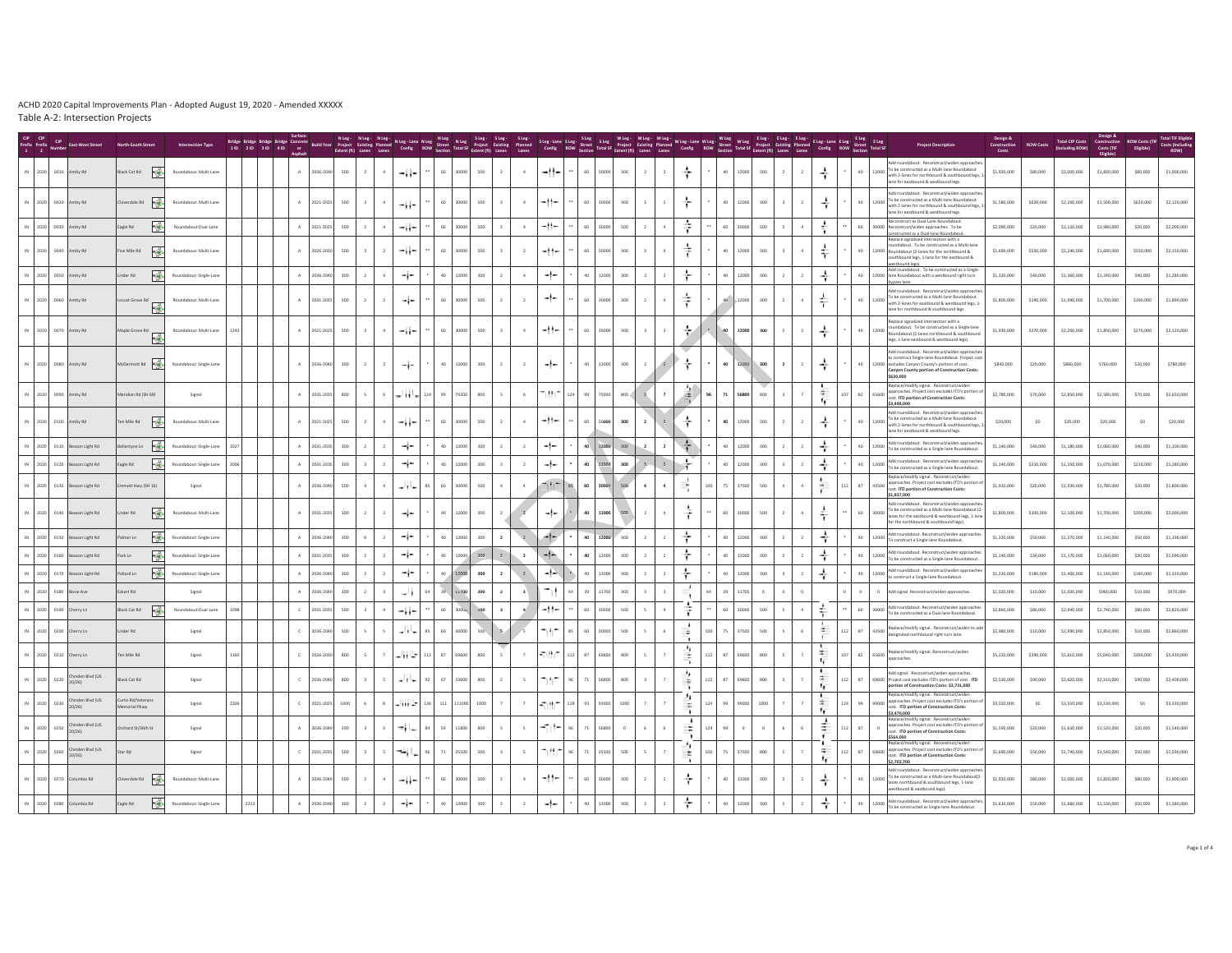|              |                                          |                                        | <b>Intersection Type</b> |      | Bridge Bridge Bridge Bridge: Concrete Mung - Nung - Nung - Nung - Nung - Nung - Sung - Sung - Sung - Sung - Sung - Sung - Sung - Sung - Sung - Sung - Sung - Sung - Sung - Sung - Sung - Sung - Sung - Sung - Sung - Sung - Su |               |           |                                |                |                    |                |       |      |                         | Planned<br>Lanes         | SLeg-Lane SLeg | Config ROW Street |       |                  |                         |                |                     | Wileg - Wileg - Wileg - Wileg - Lane Wileg - Wileg - Eleg - Eleg - Eleg - Eleg - Eleg - Eleg - Eleg - Eleg - Eleg - Eleg - Eleg - Eleg - Eleg - Eleg - Eleg - Eleg - Eleg - Eleg - Eleg - Eleg - Eleg - Eleg - Eleg - Eleg - E |          |                                 |                     |             | <b>Project Descriptio</b>                                                                                                                                                                                      | Construction<br>Costs | <b>ROW Costs</b> | <b>Total CIP Costs</b><br>(Including ROW) Costs (TIF | Construction ROW Costs (TIP<br>Filipible | Eligible) | <b>Total TIF Elip</b><br>Costs (Includi |
|--------------|------------------------------------------|----------------------------------------|--------------------------|------|--------------------------------------------------------------------------------------------------------------------------------------------------------------------------------------------------------------------------------|---------------|-----------|--------------------------------|----------------|--------------------|----------------|-------|------|-------------------------|--------------------------|----------------|-------------------|-------|------------------|-------------------------|----------------|---------------------|--------------------------------------------------------------------------------------------------------------------------------------------------------------------------------------------------------------------------------|----------|---------------------------------|---------------------|-------------|----------------------------------------------------------------------------------------------------------------------------------------------------------------------------------------------------------------|-----------------------|------------------|------------------------------------------------------|------------------------------------------|-----------|-----------------------------------------|
|              | 2020 0010 Amity Rd                       | Black Cat Rd                           | Roundabout: Multi-Lane   |      |                                                                                                                                                                                                                                | A             | 2036-2040 | 500<br>$\overline{2}$          | $4 -$          | دزار د             | 60             | 30000 | 500  | $\overline{2}$          | 4                        | دا ا           | 60                | 30000 | 300              | $\overline{2}$          | $\overline{2}$ | ÷                   | 40                                                                                                                                                                                                                             | 12000    | 300<br>$\overline{2}$           | ÷                   | 40          | Add roundabout. Reconstruct/widen approach<br>To be constructed as a Multi-lane Roundabout<br>12000<br>with 2-lanes for northbound & southbound legs, 1<br>lane for eastbound & westbound legs.                | \$1,920,000           | \$80,000         | \$2,000,000                                          | \$1,820,000                              | \$80,000  | \$1,900,000                             |
|              | IN 2020 0020 Amity Rd                    | overdale Rd $\overline{\phantom{a}}$ , | Roundabout: Multi-Lane   |      |                                                                                                                                                                                                                                | $\mathbb{A}$  | 2021-2025 | 500                            | $4 -$          | درارات             | $60$           | 30000 | 500  | $\overline{3}$          | $\sim$                   | -!!-           | 60                | 30000 | 300              | $\overline{\mathbf{3}}$ | $\overline{2}$ | ÷                   | 40                                                                                                                                                                                                                             | 12000    | 300<br>$\overline{\mathbf{3}}$  | ÷                   | $40$        | Add roundabout. Reconstruct/widen approach<br>To be constructed as a Multi-lane Roundabout<br>with 2-lanes for northbound & southbound legs.<br>lane for eastbound & westbound legs.                           | \$1,580,000           | \$620,000        | \$2,200,000                                          | \$1,500,000                              | \$620,000 | \$2,120,000                             |
|              | 2020 0030 Amity Rd                       | ۱Ö<br>agle Rd                          | Roundabout:Dual-Lane     |      |                                                                                                                                                                                                                                | $\Delta$      | 021-202   | 500                            |                | -11-               | $60$           | 30000 | 500  |                         | 4                        | -11-           | 60                | nnnn  | 500              |                         |                | ÷                   | 60                                                                                                                                                                                                                             | 3000L    | 500                             | ÷                   | 60          | Reconstruct as Dual-Lane Roundabout<br>30000 Reconstruct/widen approaches. To be<br>constructed as a Dual-lane Roundabout                                                                                      | \$2,090,000           | \$20,000         | \$2,110,000                                          | \$1,980,000                              | \$20,000  | \$2,000,000                             |
|              | 2020 0040 Amity Rd                       | Five Mile Rd $\overrightarrow{a}$      | Roundabout: Multi-Lane   |      |                                                                                                                                                                                                                                | A             | 2026-2030 | 500                            |                | ⊸∔∤⊷               | 60             | 30000 | 500  |                         | $\overline{2}$           | -11-           | 60                | 30000 | 300              |                         |                |                     | 40                                                                                                                                                                                                                             | 12000    | 300                             | ÷                   | 40          | Replace signalized intersection with a<br>oundabout. To be constructed as a Multi-lane<br>12000 Roundabout (2-lanes for the northbound &<br>southbound legs, 1-lane for the eastbound &<br>westbound legs)     | \$1,690,000           | \$550,000        | \$2,240,000                                          | \$1,600,000                              | \$550,000 | \$2,150,000                             |
|              | IN 2020 0050 Amity Rd                    | ¦∦<br>der Rd                           | Roundabout: Single-Lan   |      |                                                                                                                                                                                                                                | $\mathbb A$   | 2036-204  | 300                            |                | ≁i∼                | $40\,$         | 12000 | 300  |                         | $\sim$                   | -1-            | 40                | 12000 | 300              |                         |                | ÷                   | 40                                                                                                                                                                                                                             | 12000    | 300                             | ÷                   | $40$        | Add roundabout. To be constructed as a Single<br>12000 ane Roundabout with a westbound right turn                                                                                                              | \$1,320,000           | \$40,000         | \$1,360,000                                          | \$1,240,000                              | \$40,000  | \$1,280,000                             |
|              | 2020 0060 Amity Rd                       | ust Grove Rd<br>Гë                     | Roundabout: Multi-Lane   |      |                                                                                                                                                                                                                                | A             | 2031-2035 | 500<br>$\overline{2}$          | $\overline{2}$ | ÷                  | 60             | 30000 | 500  | $\overline{2}$          | $\overline{2}$           | -∤-            | 60                | 30000 | $300\,$          |                         |                | ÷                   |                                                                                                                                                                                                                                | 40 12000 | 300<br>$\overline{2}$           | ÷                   | 40          | Add roundabout. Reconstruct/widen approac<br>To be constructed as a Multi-lane Roundabout<br>12000<br>with 2-lanes for eastbound & westbound legs, 1<br>lane for northbound & southbound legs.                 | \$1,800,000           | \$190,000        | \$1,990,000                                          | \$1,700,000                              | \$190,000 | \$1,890,000                             |
|              | IN 2020 0070 Amity Rd                    | Maple Grove Rd<br>屦                    | Roundabout: Multi-Lane   | 1243 |                                                                                                                                                                                                                                | A             | 2021-2025 | 500<br>$\overline{\mathbf{3}}$ | $4 -$          | دز زد              | 60             | 30000 | 500  | $\overline{3}$          | 4                        | $-11-$         | 60                | 30000 | 300              | $\overline{3}$          | $\overline{2}$ | ÷                   | 40                                                                                                                                                                                                                             | 12000    | 300<br>$\overline{2}$           | ÷<br>$\overline{2}$ | 40          | Replace signalized intersection with a<br>ndabout. To be constructed as a Single-lane<br>12000<br>Roundabout.(2-lanes northbound & southboun<br>legs, 1-lane eastbound & westbound legs).                      | \$1,930,000           | \$270,000        | \$2,200,000                                          | \$1,850,000                              | \$270,000 | \$2,120,000                             |
|              | IN 2020 0080 Amity Rd                    | McDermott Rd                           | Roundabout: Single-Lane  |      |                                                                                                                                                                                                                                | $\mathbb A$ . | 2036-2040 | 300                            | $\overline{2}$ | ÷                  | $40\,$         | 12000 | 300  |                         | $\overline{2}$           | -1-            | 40                | 12000 | 300              |                         |                | ÷                   | 40                                                                                                                                                                                                                             | 12000    | 300<br>$\overline{2}$           | ÷                   | $40$        | Add roundabout Reconstruct/wideo annonache<br>to construct Single-lane Roundabout. Project cost<br>12000 excludes Canyon County's portion of cost.<br>Canyon County portion of Construction Costs<br>\$620,000 | \$840,000             | \$20,000         | \$860,000                                            | \$760,000                                | \$20,000  | \$780,000                               |
|              | IN 2020 0090 Amity Rd                    | Meridian Rd (SH 69)                    | Signal                   |      |                                                                                                                                                                                                                                | A             | 2031-2035 | 800                            | 6              | -124 <u>  1</u> 24 | 99             | 79200 | 800  | 5                       | 6                        | ከተለተ           | 124<br>99         | 79200 | 800 <sub>0</sub> |                         |                | 斗                   | 71                                                                                                                                                                                                                             | 56800    | 800<br>$\overline{\mathbf{3}}$  | 生<br>17             | 82          | Replace/modify signal. Reconstruct/wide<br>roaches. Project cost excludes ITD's portion o<br>65600 app<br>cost. ITD portion of Construction Costs:<br>\$3,448,000                                              | \$2,780,000           | \$70,000         | \$2,850,000                                          | \$2,580,000                              | \$70,000  | \$2,650,000                             |
|              | IN 2020 0100 Amity Rd                    | Ten Mile Rd                            | Roundabout: Multi-Lane   |      |                                                                                                                                                                                                                                | $\mathbb{A}$  | 2021-2025 | 500                            | $\Delta$       | دزار د             | 60             | 30000 | 500  | $\overline{2}$          | $\ddot{a}$               | -11-           | 60                | 30000 | 300              |                         |                | ÷                   | 40                                                                                                                                                                                                                             | 12000    | 300<br>$\rightarrow$            | ÷                   | 40          | Add roundabout. Reconstruct/widen approach<br>12000 To be constructed as a Multi-lane Roundabout<br>with 2-lanes for northbound & southbound legs,<br>lane for eastbound & westbound legs.                     | \$20,000              | SO               | \$20,000                                             | \$20,000                                 | SO        | \$20,000                                |
|              | 2020 0110 Beacon Light Rd                | F.<br>lantyne Ln                       | Roundabout: Single-Lane  |      |                                                                                                                                                                                                                                | A             | 2031-203  | 300                            |                | ≁i−                | 40             | 12000 | 300  |                         | $\overline{2}$           | -1-            | 40                | 12000 | 300              |                         |                | ÷                   | 40                                                                                                                                                                                                                             | 12000    | 300                             | ÷                   | $40$        | Add roundabout. Reconstruct/widen approache<br>12000<br>To be constructed as a Single-lane Roundabout.                                                                                                         | \$1,140,000           | \$40,000         | \$1,180,000                                          | \$1,060,000                              | \$40,000  | \$1,100,000                             |
|              | 2020 0120 Beacon Light Rd                | ١ë<br>agle Rd                          | Roundabout: Single-Lane  | 2006 |                                                                                                                                                                                                                                | A             | 2031-2035 | 300                            |                | -i-                | 40             | 12000 | 300  |                         | $\overline{2}$           | -1-            | 40                | 12000 | 300              |                         | $\overline{2}$ | 齐                   | 40                                                                                                                                                                                                                             | 12000    | 300                             | ÷                   | 40          | Add roundabout. Reconstruct/widen approach<br>12000<br>To be constructed as a Single-lane Roundabout.                                                                                                          | \$1,140,000           | \$210,000        | \$1,350,000                                          | \$1,070,000                              | \$210,000 | \$1,280,000                             |
|              | 2020 0130 Beacon Light Rd                | mett Hwy (SH 16)                       | Signal                   |      |                                                                                                                                                                                                                                | A             | 2036-204  | 500                            |                | مالواسد            | 60             | 30000 | 500  | $\overline{a}$          | $\overline{a}$           | $+ -$          | 60                | 30000 | 500              | $\mathbf{A}$            | $\bullet$      | ÷                   | 75<br>nn.                                                                                                                                                                                                                      | 37500    | 500<br>$\Delta$                 |                     | 87          | Replace/modify signal. Reconstruct/widen<br>43500 approaches. Project cost excludes ITD's portion o<br>cost. ITD portion of Construction Costs:<br>\$1,837,000                                                 | \$1,910,000           | \$20,000         | \$1,930,000                                          | \$1,780,000                              | \$20,000  | \$1,800,000                             |
|              | IN 2020 0140 Beacon Light Rd             | 侵<br>Linder Rd                         | Roundabout: Multi-Lane   |      |                                                                                                                                                                                                                                | A             | 2031-2035 | 300                            | $\overline{2}$ | -i-                | 40             | 12000 | 300  |                         |                          | -!-            | 40                | 12000 | 500              |                         | $\Delta$       | ÷                   | 60                                                                                                                                                                                                                             | 30000    | 500<br>$\overline{z}$           |                     | 60          | Add roundabout. Reconstruct/widen approache<br>30000 To be constructed as a Multi-lane Roundabout (2-<br>lanes for the eastbound & westbound legs, 1-lan<br>for the northbound & southbound legs)              | \$1,800,000           | \$300,000        | \$2,100,000                                          | \$1,700,000                              | \$300,000 | \$2,000,000                             |
|              | 2020 0150 Beacon Light Rd                | 博<br>Imer Ln                           | Roundabout: Single-Lane  |      |                                                                                                                                                                                                                                | $\mathbb{A}$  | 2036-2040 | 300                            |                | -i-                | 40             | 12000 | 300  | $\overline{2}$          |                          | 4-             | 40                | 12000 | 300              |                         |                | ÷                   | 40                                                                                                                                                                                                                             | 12000    | 300                             | ÷                   | $40$        | Add roundabout. Reconstruct/widen approach<br>12000<br>To construct a Single-lane Roundabout.                                                                                                                  | \$1,220,000           | \$50,000         | \$1,270,000                                          | \$1,140,000                              | \$50,000  | \$1,190,000                             |
|              | 2020 0160 Beacon Light Rd                | 惨<br>Park Ln                           | Roundabout: Single-Lane  |      |                                                                                                                                                                                                                                | $\mathbb{A}$  | 2031-203  | 300                            |                | -i-                | $40\,$         | 12000 | 300  | 2                       | $\overline{2}$           | -l-            | 40                | 12000 | 300              |                         |                | ÷                   | 40                                                                                                                                                                                                                             | 12000    | 300                             | ÷                   | 40          | Add roundabout. Reconstruct/widen approach<br>12000<br>To be constructed as a Single-lane Roundabout                                                                                                           | \$1,140,000           | \$30,000         | \$1,170,000                                          | \$1,060,000                              | \$30,000  | \$1,090,000                             |
|              | 2020 0170 Beacon Light Rd                | ¦∲.<br>ollard Ln                       | Roundabout: Single-Lane  |      |                                                                                                                                                                                                                                | A             | 2036-204  | 300                            |                | −i−                | 40             | 12000 | 300  |                         | $\overline{2}$           | تناوب          |                   | 12000 | 300              |                         |                | ÷                   |                                                                                                                                                                                                                                | 12000    | 300                             | ÷                   | 40          | Add roundabout. Reconstruct/widen approach<br>12000<br>to construct a Single-lane Roundabout.                                                                                                                  | \$1,220,000           | \$180,000        | \$1,400,000                                          | \$1,140,000                              | \$180,000 | \$1,320,000                             |
|              | 2020 0180 Boise Ave                      | kert Rd                                | Signal                   |      |                                                                                                                                                                                                                                | A             | 2036-204  | 300                            |                | m i                |                | 11700 | 300  | $\overline{2}$          | $\overline{\mathbf{3}}$  |                |                   | 11700 | 300              |                         |                |                     | 39                                                                                                                                                                                                                             | 11700    | $\circ$                         |                     | $\circ$     | $\circ$<br>Add signal. Reconstruct/widen approaches.<br>Add roundabout. Reconstruct/widen approach                                                                                                             | \$1,020,000           | \$10,000         | \$1,030,000                                          | \$960,000                                | \$10,000  | \$970,000                               |
|              | 2020 0190 Cherry Ln                      | ١ö<br>Black Cat Rd                     | Roundabout:Dual-Lane     | 1098 |                                                                                                                                                                                                                                | $\mathbb C$   | 2031-2035 | 500                            |                | -11-               | $60$           | 30000 | 500  | $\overline{\mathbf{3}}$ |                          | دا اس          | 60                | 30000 | 500              |                         |                | ÷                   | 60                                                                                                                                                                                                                             | 30000    | 500                             | 수                   | 60          | 30000<br>To be constructed as a Dual-lane Roundabout.                                                                                                                                                          | \$2,860,000           | \$80,000         | \$2,940,000                                          | \$2,740,000                              | \$80,000  | \$2,820,000                             |
|              | 2020 0200 Cherry Ln                      | der Rd                                 | Signal                   |      |                                                                                                                                                                                                                                | $\mathbb C$   | 2036-204  | 500                            |                | ما الم             | 60             | 30000 | 500  |                         |                          | ٦fr            | 60<br>R5          | 30000 | 500              |                         |                | $\equiv$            | m<br>75                                                                                                                                                                                                                        | 37500    | 500                             | ÷                   | $^{\rm 87}$ | 43500 Replace/modify signal. Reconstruct/widen to add<br>designated northbound right turn lane.                                                                                                                | \$2,980,000           | \$10,000         | \$2,990,000                                          | \$2,850,000                              | \$10,000  | \$2,860,000                             |
|              | 2020 0210 Cherry Ln                      | n Mile Rd                              | Signal                   | 160  |                                                                                                                                                                                                                                | $\mathbb C$   | 2026-203  | 800                            |                | 山上                 | 87<br>112      | 69600 | 800  |                         |                          | -380           | 112<br>87         |       | 800              |                         |                | ٠,<br>ŧ             |                                                                                                                                                                                                                                | 6960     | 800                             | х.<br>16            | 82          | Replace/modify signal. Reconstruct/widen<br>65600<br>approaches.                                                                                                                                               | \$5,220,000           | \$390,000        | \$5,610,000                                          | \$5,040,000                              | \$390,000 | \$5,430,000                             |
| 2020 0220    | Chinden Blvd (US<br>20/26                | Black Cat Rd                           | Signal                   |      |                                                                                                                                                                                                                                | $\mathbb C$   | 2036-204  | 800                            |                | حاذاه              | 67<br>92       | 53600 | 800  | $\overline{2}$          | $\overline{\phantom{a}}$ | ١tr            | 71                | 6800  | 800              |                         |                | -11<br>÷            | 87<br>12                                                                                                                                                                                                                       | 69600    | 800                             | $\sim$<br>16        | 87          | Add signal. Reconstruct/widen approaches<br>69600 Project cost excludes ITD's portion of cost. ITD<br>portion of Construction Costs: \$3,731,000                                                               | \$2,530,000           | \$90,000         | \$2,620,000                                          | \$2,310,000                              | \$90,000  | \$2,400,000                             |
|              | Chinden Blvd (US<br>IN 2020 0230 Chinden | Lurtis Rd/Veterans<br>morial Pkwy      | Signal                   | 2206 |                                                                                                                                                                                                                                | $\mathbb C$   | 2021-2025 | 1000                           |                | $3 - 111 -$        | 136 111 111000 |       | 1000 | $\overline{z}$          | $\overline{7}$           | 47.00          | 118 93 93000      |       | 1000             |                         |                | ÷,<br>n a           | 124<br>99                                                                                                                                                                                                                      | 99000    | 1000                            | $\sim$<br>10        | 99          | Replace/modify signal. Reconstruct/wide<br>99000 approaches. Project cost excludes ITD's portion of<br>cost. ITD portion of Construction Costs:<br>\$3,470,000<br>Replace/modify signal. Reconstruct/wide      | \$3,550,000           | SO               | \$3,550,000                                          | \$3,330,000                              | SO        | \$3,330,000                             |
| 2020<br>0250 | hinden Blvd (US<br>20/26                 | chard St/36th St                       | Signal                   |      |                                                                                                                                                                                                                                | $\mathbb{A}$  | 2036-204  | 200                            |                | سا ۋە              | 84<br>59       | 11800 | 800  |                         | $\overline{\phantom{a}}$ | ما ہے۔         |                   | 6800  |                  |                         |                | $\cdot$<br>$\equiv$ |                                                                                                                                                                                                                                |          |                                 | ₫<br>۰.             | 87          | proaches. Project cost excludes ITD's portion<br>$\circ$<br>cost. ITD portion of Construction Costs:<br>\$564,000<br>Replace/modify signal. Reconstruct/wider                                                  | \$1,590,000           | \$20,000         | \$1,610,000                                          | \$1,520,000                              | \$20,000  | \$1,540,000                             |
| 2020 0260    | Chinden Blvd (US<br>20/26                | tar Rd                                 | Signal                   |      |                                                                                                                                                                                                                                | $\mathbb C$   | 2031-2035 | 500                            | 5              | بالمخد             | 96<br>$71\,$   | 35500 | 500  | $\overline{3}$          | $\overline{\phantom{a}}$ | ነዘረ            | 96<br>71          | cona  | 500              |                         |                | ٠.<br>÷<br>٦        | 100<br>75                                                                                                                                                                                                                      | 37500    | 800<br>$\overline{\phantom{a}}$ | $\sim$<br>10        | 87          | 69600 approaches. Project cost excludes ITD's portion o<br>cost. ITD portion of Construction Costs:<br>\$2,702,700                                                                                             | \$1,690,000           | \$50,000         | \$1,740,000                                          | \$1,540,000                              | \$50,000  | \$1,590,000                             |
|              | IN 2020 0270 Columbia Rd                 | $b = \frac{1}{2}$                      | Roundabout: Multi-Lan    |      |                                                                                                                                                                                                                                | $\mathbb A$   | 2036-2040 | 500                            |                | دز زد              | 60             | 30000 | 500  |                         | $\mathbf{A}$             | -11-           | 60                | nnnn  |                  |                         |                | ÷                   | 40                                                                                                                                                                                                                             | 12000    | 300                             | ÷                   | 40          | Add roundabout Reconstruct/wideo annonache<br>To be constructed as a Multi-lane Roundabout(2<br>12000<br>lanes northbound & southbound legs, 1-lane<br>vestbound & eastbound legs).                            | \$1,920,000           | \$80,000         | \$2,000,000                                          | \$1,820,000                              | \$80,000  | \$1,900,000                             |
|              | IN 2020 0280 Columbia Rd                 | ¦∯.<br>agle Rd                         | Roundabout: Single-Land  |      |                                                                                                                                                                                                                                | A             | 2036-204  | 300                            |                | ÷r                 |                | 12000 | 300  |                         |                          |                |                   |       |                  |                         |                |                     |                                                                                                                                                                                                                                | 1200     |                                 | ÷                   | $40\,$      | Add roundabout. Reconstruct/widen approaches<br>12000<br>To be constructed as Single-lane Roundabout.                                                                                                          | \$1,610,000           | \$50,000         | \$1,660,000                                          | \$1,530,000                              | \$50,000  | \$1,580,000                             |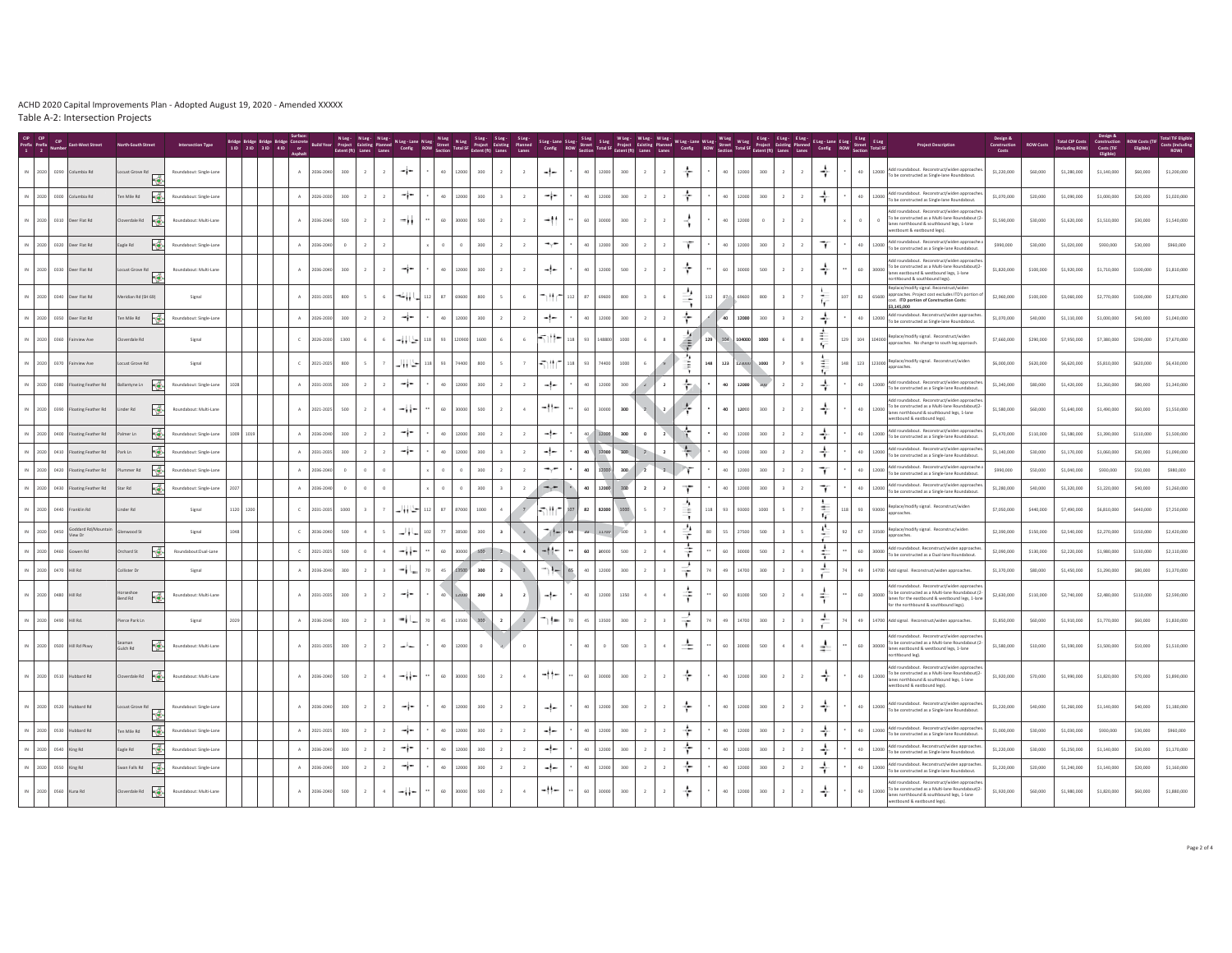|      |              |                                  |                                       |                         |      | Bridge Bridge Bridge Bridge Concrete and Stag. Ning. Ning. Ning. Ning. Ning. Ning. Sing. Sing. Sing.<br>Bridge Bridge Bridge Concrete Build Year Project Existing Planned Config. ROW Street Total SP Project Existing<br>10 210 310 |              |             |         |                |                |          |                 |                  |                                |                         | Steg- Steg-Lane Steg- Steg- Wileg- Wileg- Wileg- Wileg-Lane Wileg-Wileg- Wileg- Eleg- Eleg- Eleg- Eleg- Eleg- Eleg- Eleg- Eleg- Eleg- Eleg- Eleg- Eleg- Eleg- Eleg- Eleg- Eleg- Eleg- Eleg- Eleg- Eleg- Eleg- Eleg- Eleg- Eleg |                 |             |         |                         |                          |        |     |                          |         |                |                                            |        |         |        |                                                                                                                                                                                                                                                                                            |             |           | <b>Total CIP Costs</b><br>(Including ROW) | Nesian &<br>Construction<br>Costs (TIF | <b>ROW Costs (TIF</b><br>Eligible) | <b>Total TIF Eligil</b> |
|------|--------------|----------------------------------|---------------------------------------|-------------------------|------|--------------------------------------------------------------------------------------------------------------------------------------------------------------------------------------------------------------------------------------|--------------|-------------|---------|----------------|----------------|----------|-----------------|------------------|--------------------------------|-------------------------|--------------------------------------------------------------------------------------------------------------------------------------------------------------------------------------------------------------------------------|-----------------|-------------|---------|-------------------------|--------------------------|--------|-----|--------------------------|---------|----------------|--------------------------------------------|--------|---------|--------|--------------------------------------------------------------------------------------------------------------------------------------------------------------------------------------------------------------------------------------------------------------------------------------------|-------------|-----------|-------------------------------------------|----------------------------------------|------------------------------------|-------------------------|
| 2020 | 0290         | umbia Rd                         | cust Grove Rd<br>F                    | Roundabout: Single-Lane |      |                                                                                                                                                                                                                                      | A            | 2036-2040   | 300     |                |                | ÷        | -40             | 2000<br>300      |                                | $\overline{2}$          | -1-                                                                                                                                                                                                                            | 40              | 2000        | 300     | $\overline{2}$          |                          | ÷      |     | 40<br>12000              | 300     |                | ÷<br>$\overline{2}$                        |        | 40      | 12000  | roundabout. Reconstruct/widen appr<br>To be constructed as Single-lane Roundabout.                                                                                                                                                                                                         | \$1,220,000 | \$60,000  | \$1,280,000                               | \$1,140,000                            | \$60,000                           | \$1,200,000             |
| 2020 | 0300         | Columbia Rd                      | l,∉.<br>n Mile Rd                     | Roundabout: Single-Lane |      |                                                                                                                                                                                                                                      | A            | 2026-2030   | 300     |                |                | ≁i∼      | 40              | 12000<br>300     |                                | $\overline{2}$          | -i-                                                                                                                                                                                                                            | 40              | 12000       | 300     | $\overline{2}$          |                          | ÷      |     | 40<br>12000              | 300     | $\overline{2}$ | ÷<br>$\overline{2}$                        |        | 40      | 12000  | Add roundabout. Reconstruct/widen approache<br>To be constructed as Single-lane Roundabout.                                                                                                                                                                                                | \$1,070,000 | \$20,000  | \$1,090,000                               | \$1,000,000                            | \$20,000                           | \$1,020,000             |
|      |              | IN 2020 0310 Deer Flat Rd        | werdale Rd $\overline{\phantom{a}}$ . | Roundabout: Multi-Lane  |      |                                                                                                                                                                                                                                      | A            | 2036-2040   | 500     |                | $\overline{2}$ | ۰.,      | 60              | 30000<br>500     |                                | $\overline{2}$          | $-1$                                                                                                                                                                                                                           | 60              | 30000       | 300     | $\overline{2}$          |                          |        |     | 40<br>12000              | $\circ$ | $\overline{2}$ | $\overline{2}$                             |        | $\circ$ |        | To be constructed as a Multi-lane Roundabout (2<br>anes northbound & southbound legs, 1-lane<br>stbount & eastbound legs).                                                                                                                                                                 | \$1,590,000 | \$30,000  | \$1,620,000                               | \$1,510,000                            | \$30,000                           | \$1,540,000             |
|      | 2020<br>0320 | Deer Flat Rd                     | ∉<br>gle Rd                           | Roundabout: Single-Land |      |                                                                                                                                                                                                                                      | A            | 2036-2040   | $\circ$ |                |                |          |                 | 300              |                                | $\overline{2}$          | $\rightarrow$                                                                                                                                                                                                                  | 40              | 2000        | 300     |                         |                          | τ      |     | 40<br>12000              | 300     |                | Ŧ<br>$\,$ 2 $\,$                           |        | 40      | 12000  | dd roundabout. Reconstruct/widen approache.<br>o be constructed as a Single-lane Roundabout                                                                                                                                                                                                | \$990,000   | \$30,000  | \$1,020,000                               | \$930,000                              | \$30,000                           | \$960,000               |
| 2020 |              | 0330 Deer Flat Rd                | cust Grove Rd<br>嚊                    | Roundabout: Multi-Lane  |      |                                                                                                                                                                                                                                      | A            | 2036-2040   | 300     |                |                | ÷        | 40              | 12000<br>300     |                                | $\overline{2}$          | -l-                                                                                                                                                                                                                            | 40              | 12000       | 500     | $\overline{2}$          |                          | ÷      |     | 60<br>30000              | 500     | $\overline{2}$ | ÷<br>$\overline{2}$                        |        | 60      | 30000  | dd roundabout Reconstruct/widen annroache<br>o be constructed as a Multi-lane Roundabout(2<br>res eastbound & westbound legs, 1-lane<br>rthbound & southbound legs)                                                                                                                        | \$1,820,000 | \$100,000 | \$1,920,000                               | \$1,710,000                            | \$100,000                          | \$1,810,000             |
| 2020 |              | 0340 Deer Flat Rd                | eridian Rd (SH 69)                    | Signal                  |      |                                                                                                                                                                                                                                      | A            | 2031-2035   | 800     |                | 6              | ۰.,      | 87<br>112       | 69600<br>800     |                                | 6                       | ™r                                                                                                                                                                                                                             | 87              | 9600        | 800     |                         |                          | ىر     |     | 87<br>69600              | 800     |                | 厅                                          | 107    | 82      | 65600  | ace/modify signal. Reconstruct/wide<br>proaches. Project cost excludes ITD's portion<br>cost. ITD portion of Construction Costs:<br>\$3,145,000                                                                                                                                            | \$2,960,000 | \$100,000 | \$3,060,000                               | \$2,770,000                            | \$100,000                          | \$2,870,000             |
|      |              | 2020 0350 Deer Flat Rd           | en Mile Rd                            | Roundabout: Single-Land |      |                                                                                                                                                                                                                                      | $\mathbb{A}$ | 2026-2030   | 300     |                |                | ≁i−      | 40              | 300<br>12000     |                                | $\overline{2}$          | —∤—                                                                                                                                                                                                                            | 40              | 12000       | 300     |                         |                          | ÷      |     | 40 <sup>2</sup><br>12000 | 300     |                | ÷                                          |        | 40      | 12000  | Add roundabout. Reconstruct/widen approache<br>o be constructed as Single-lane Roundabout                                                                                                                                                                                                  | \$1,070,000 | \$40,000  | \$1,110,000                               | \$1,000,000                            | \$40,000                           | \$1,040,000             |
| 2020 | 0360         | Fairview Ave                     | verdale Rd                            | Signal                  |      |                                                                                                                                                                                                                                      | $\mathbb{C}$ | 2026-2030   | 1300    |                | 6              | حنا وؤ-  | 93<br>118       | 1600<br>120900   |                                | 6                       | √……                                                                                                                                                                                                                            | 93              | 48800       | 1000    |                         |                          | 睂      | 129 | 104<br>104000            | 1000    |                | ÷<br>15                                    | 129    | 104     | 104000 | approaches. No change to south leg approach.                                                                                                                                                                                                                                               | \$7,660,000 | \$290,000 | \$7,950,000                               | \$7,380,000                            | \$290,000                          | \$7,670,000             |
|      | 2020         | 0370 Fairview Ave                | cust Grove Rd                         | Signal                  |      |                                                                                                                                                                                                                                      | $\mathbb C$  | 2021-2025   | 800     |                |                | 川山       | 93<br>118       | 800<br>74400     |                                | 7                       | 45.11                                                                                                                                                                                                                          | 93              | 74400       | 1000    |                         |                          | 尘目     | 148 | 123<br>123000            | 1000    |                | $\equiv$<br>٠,                             | 148    |         |        | 123   123000 Replace/modify signal. Reconstruct/widen<br>soroaches.                                                                                                                                                                                                                        | \$6,000,000 | \$620,000 | \$6,620,000                               | \$5,810,000                            | \$620,000                          | \$6,430,000             |
|      |              | 2020 0380 Floating Feather Rd    | Ballantyne Ln                         | Roundabout: Single-Lane | 1028 |                                                                                                                                                                                                                                      | A            | 2031-2035   | 300     | $\overline{z}$ |                | ÷        | 40              | 300<br>12000     |                                | $\overline{2}$          | —∤—                                                                                                                                                                                                                            | 40 <sub>1</sub> | 12000       | 300     | $\overline{2}$          | $\overline{\phantom{a}}$ | ÷      |     | 40<br>12000              | 300     | $\overline{z}$ | ÷<br>$\overline{2}$                        |        | - an    | 12000  | Add roundabout. Reconstruct/widen approache<br>o be constructed as a Single-lane Roundabout.                                                                                                                                                                                               | \$1,340,000 | \$80,000  | \$1,420,000                               | \$1,260,000                            | \$80,000                           | \$1,340,000             |
|      |              | IN 2020 0390 Floating Feather Rd | H÷.<br>Linder Rd                      | Roundabout: Multi-Lane  |      |                                                                                                                                                                                                                                      |              | A 2021-2025 | 500     | $\overline{2}$ | $4 -$          | ۱۰۱۰     | 60              | 500<br>30000     |                                | 4                       | $-11-$                                                                                                                                                                                                                         | 60              | 30000       | 300     |                         |                          |        |     | 40 12000                 | 300     | $\overline{2}$ | ÷<br>2                                     |        | 40      |        | dd roundabout. Reconstruct/widen approache<br>12000 To be constructed as a Multi-lane Roundabout(2-<br>es northbound & southbound legs, 1-lane<br>.<br>stbound & eastbound legs).                                                                                                          | \$1,580,000 | \$60,000  | \$1,640,000                               | \$1,490,000                            | \$60,000                           | \$1,550,000             |
| 2020 | 0400         | Floating Feather Rd              | ŀë<br>mer Ln                          | Roundabout: Single-Lane |      | 1009 1019                                                                                                                                                                                                                            | A            | 2036-2040   | 300     |                |                | -i-      |                 | 300<br>12000     |                                | $\overline{2}$          | -1-                                                                                                                                                                                                                            | 40              | 12000       | 300     | $\circ$                 |                          | ÷      |     | 40<br>12000              | 300     |                | ÷<br>$\overline{2}$                        |        | 40      | 12000  | dd roundabout. Reconstruct/widen approach<br>o be constructed as a Single-lane Roundabout                                                                                                                                                                                                  | \$1,470,000 | \$110,000 | \$1,580,000                               | \$1,390,000                            | \$110,000                          | \$1,500,000             |
|      |              | 2020 0410 Floating Feather Rd    | ŀ۶<br>Park In                         | Roundabout: Single-Land |      |                                                                                                                                                                                                                                      | $\Delta$     | 2031-2035   | 300     |                |                | ÷        | 40 <sub>1</sub> | 12000<br>300     |                                | $\overline{2}$          | ⊸!~                                                                                                                                                                                                                            | 40 <sup>1</sup> | 12000       | $300 -$ | $\overline{z}$          |                          | ÷      |     | 40<br>12000              | 300     | $\overline{z}$ | ÷<br>$\overline{z}$                        |        | 40      | 12000  | dd roundabout. Reconstruct/widen approach<br>o be constructed as a Single-lane Rou                                                                                                                                                                                                         | \$1,140,000 | \$30,000  | \$1,170,000                               | \$1,060,000                            | 530000                             | \$1,090,000             |
|      |              | IN 2020 0420 Floating Feather Rd | Т¢.<br>mmer Rd                        | Roundabout: Single-Lane |      |                                                                                                                                                                                                                                      | $\Delta$     | 2036-2040   | $\circ$ |                |                |          | $\sqrt{2}$      | 300              |                                | $\overline{2}$          | سرد                                                                                                                                                                                                                            | 40              | 12000       | 300     | $\overline{z}$          |                          |        |     | 40<br>12000              | 300     | $\overline{z}$ | $\overline{\mathcal{L}}$<br>$\overline{z}$ |        | 40      | 12000  | Add roundabout. Reconstruct/widen approach<br>To be constructed as a Single-lane Roundabou                                                                                                                                                                                                 | \$990,000   | \$50,000  | \$1,040,000                               | \$930,000                              | \$50,000                           | \$980,000               |
|      | 2020 0430 FI | pating Feather Rd                | Feb.<br>tar Rd                        | Roundabout: Single-Lane | 2027 |                                                                                                                                                                                                                                      | A            | 2036-2040   | $\circ$ |                |                |          | $\sim$          | 300              |                                |                         | $\rightarrow$                                                                                                                                                                                                                  |                 | 40<br>12000 | 300     | $\overline{2}$          |                          | ᅮ      |     | 40<br>12000              | 300     |                | T                                          |        | 40      | 12000  | Add roundabout. Reconstruct/widen approach<br>To be constructed as a Single-lane Roundabout                                                                                                                                                                                                | \$1,280,000 | \$40,000  | \$1,320,000                               | \$1,220,000                            | \$40,000                           | \$1,260,000             |
| 2020 |              | 0440 Franklin Rd                 | der Rd                                | Signal                  |      | 1120 1200                                                                                                                                                                                                                            |              | C 2031-2035 | 1000    |                | 7              | حنا ووله | 87<br>112       | 87000<br>1000    |                                |                         | 47.847                                                                                                                                                                                                                         | 82              | 82000       |         |                         |                          | ÷      | 118 | 93<br>93000              | 1000    |                | ÷.<br>16                                   | 118    | 93      | 93000  | Replace/modify signal. Reconstruct/wider<br>pproaches.                                                                                                                                                                                                                                     | \$7,050,000 | S440.000  | \$7,490,000                               | \$6,810,000                            | \$440,000                          | \$7,250,000             |
| 2020 | 0450         | Goddard Rd/Mountair<br>View Dr   | snwood St                             | Signal                  | 1048 |                                                                                                                                                                                                                                      | $\epsilon$   | 2036-2040   | 500     |                |                | بالجالسة | 77<br>102       | 300<br>38500     | $\overline{a}$                 | 3 <sup>1</sup>          | $-4-$                                                                                                                                                                                                                          | 95              | 11700       | 500     |                         |                          | ୬<br>÷ |     | 55<br>27500              | 500     |                | 씃                                          | 92     | 67      | 33500  | Replace/modify signal. Reconstruc/widen<br>roaches.                                                                                                                                                                                                                                        | \$2,390,000 | \$150,000 | \$2,540,000                               | \$2,270,000                            | \$150,000                          | \$2,420,000             |
| 2020 | 0460         | iowen Rd                         | Т¢.<br>rchard St                      | Roundabout:Dual-Lane    |      |                                                                                                                                                                                                                                      | $\mathbb{C}$ | 2021-2025   | 500     |                |                | -ii-     | 60              | 00003<br>500     |                                |                         | $-11-$                                                                                                                                                                                                                         | 60              | 0000        | 500     |                         |                          | ÷      |     | 60<br>30000              | 500     |                | ÷                                          |        | 60      | 30000  | dd roundabout. Reconstruct/widen approach<br>To be constructed as a Dual-lane Roundabout.                                                                                                                                                                                                  | \$2,090,000 | \$130,000 | \$2,220,000                               | \$1,980,000                            | \$130,000                          | \$2,110,000             |
|      | 2020<br>0470 | Hill Rd                          | <b>Illister</b> Dr                    | Signal                  |      |                                                                                                                                                                                                                                      | $\mathbb A$  | 2036-204    | 300     |                |                | mil.     | 45              | 13500<br>300     |                                | $\overline{\mathbf{3}}$ |                                                                                                                                                                                                                                | 40              | 12000       | 300     | $\overline{2}$          |                          | 亍      |     | 49<br>14700              | 300     |                | ÷                                          | $74\,$ | 49      |        | 14700 Add signal. Reconstruct/widen approache                                                                                                                                                                                                                                              | \$1,370,000 | \$80,000  | \$1,450,000                               | \$1,290,000                            | \$80,000                           | \$1,370,000             |
| 2020 |              | 0480 Hill Rd                     | Horseshoe<br>Bend Rd<br><b>R</b>      | Roundabout: Multi-Lan   |      |                                                                                                                                                                                                                                      | $\mathbb A$  | 2031-2035   | 300     |                |                | -i-      |                 |                  | 300<br>$\overline{\mathbf{3}}$ | $\overline{2}$          | -!-                                                                                                                                                                                                                            | 40              | 12000       | 1350    | $\ddot{a}$              |                          | ÷      |     | 60<br>81000              | 500     | $\,$ 2 $\,$    | ŧ<br>$\,$ 4 $\,$                           |        | 60      | 30000  | dd roundabout. Reconstruct/widen approach<br>To be constructed as a Multi-lane Roundabout (2-<br>lanes for the eastbound & westbound legs, 1-lane<br>for the northbound & southbound legs).                                                                                                | \$2,630,000 | \$110,000 | \$2,740,000                               | \$2,480,000                            | \$110,000                          | \$2,590,000             |
| 2020 |              | 0490 Hill Rd.                    | Pierce Park Ln                        | Signal                  | 2029 |                                                                                                                                                                                                                                      | $\mathbb{A}$ | 2036-2040   | 300     |                |                | milu     | 45              | 300<br>13500     | $\overline{2}$                 | $\overline{\mathbf{3}}$ | コート                                                                                                                                                                                                                            | 45              | 3500        | 300     | $\overline{2}$          |                          | Ŧ      |     | 49<br>14700              | 300     |                | ÷<br>$\overline{\mathbf{3}}$               |        | 49      |        | 14700 Add signal. Reconstruct/widen approaches.                                                                                                                                                                                                                                            | \$1,850,000 | \$60,000  | \$1,910,000                               | \$1,770,000                            | \$60,000                           | \$1,830,000             |
|      |              | 2020 0500 Hill Rd Pkwy           | ∣.∲<br>Guich Rd                       | Roundabout: Multi-Lane  |      |                                                                                                                                                                                                                                      | A            | 2031-2035   | 300     |                |                | سامہ     | 40              | $\circ$<br>12000 |                                | $\sim$                  |                                                                                                                                                                                                                                | 40              |             | 500     | $\overline{\mathbf{3}}$ |                          | ≐      |     | 60<br>30000              | 500     | $\Delta$       | ÷                                          |        | 60      | 30000  | Add roundabout. Reconstruct/widen approach<br>To be constructed as a Multi-lane Roundabout (2<br>nes eastbound & westbound legs, 1-lane<br>rthbound leg).                                                                                                                                  | \$1,580,000 | \$10,000  | \$1,590,000                               | \$1,500,000                            | \$10,000                           | \$1,510,000             |
|      |              | 2020 0510 Hubbard Rd             | overdale Rd                           | Roundabout: Multi-Lane  |      |                                                                                                                                                                                                                                      |              | A 2036-2040 | 500     | $\overline{2}$ | $4 -$          | دز د     | 60<br>$\ddotsc$ | 30000<br>500     | 2                              | $4 -$                   | $-11-$                                                                                                                                                                                                                         | 60              | 30000       | 300     | $\overline{2}$          |                          | ÷      |     | 40<br>12000              | 300     | $\overline{2}$ | ÷<br>2                                     |        | 40      | 12000  | Add roundabout. Reconstruct/widen approach<br>To be constructed as a Multi-lane Roundabout(2-<br>lanes northbound & southbound legs, 1-lane<br>stbound & eastbound legs).                                                                                                                  | \$1,920,000 | \$70,000  | \$1,990,000                               | \$1,820,000                            | \$70,000                           | \$1,890,000             |
| 2020 |              | 0520 Hubbard Rd                  | scust Grove Rd                        | Roundabout: Single-Lan  |      |                                                                                                                                                                                                                                      | A            | 2036-2040   | 300     |                |                | ÷        | 40              | 300<br>2000      |                                | $\overline{2}$          | $-1-$                                                                                                                                                                                                                          | 40              | 12000       | 300     | $\mathbf{2}$            |                          | ÷      |     | 40<br>12000              | 300     |                | ÷<br>$\overline{2}$                        |        | 40      | 12000  | Add roundabout. Reconstruct/widen approach<br>To be constructed as a Single-lane Roundabout.                                                                                                                                                                                               | \$1,220,000 | \$40,000  | \$1,260,000                               | \$1,140,000                            | \$40,000                           | \$1,180,000             |
|      | 2020<br>0530 | Hubbard Rd                       | ŀë.<br>n Mile Rd                      | Roundabout: Single-Lane |      |                                                                                                                                                                                                                                      | $\Delta$     | 2021-2025   | 300     |                |                | ≁i−      | 40              | 12000<br>300     |                                | $\overline{2}$          | ⊸!~                                                                                                                                                                                                                            | $40 -$          | 2000        | 300     |                         |                          | ÷      |     | 40<br>12000              | 300     |                | ÷                                          |        | 40      |        | Add roundabout. Reconstruct/widen approache<br>12000 To be constructed as a Single-lane Roundabout.                                                                                                                                                                                        | \$1,000,000 | \$30,000  | \$1,030,000                               | \$930,000                              | \$30,000                           | \$960,000               |
|      | 2020<br>0540 | King Rd                          | ŀ÷.<br>agle Rd                        | Roundabout: Single-Lane |      |                                                                                                                                                                                                                                      | A            | 2036-204    | 300     |                |                | ÷        | 40              | 12000<br>300     |                                | $\overline{2}$          | -1-                                                                                                                                                                                                                            | 40              | 2000        | 300     | $\overline{2}$          |                          | ÷      |     | 40<br>12000              | 300     |                | ÷                                          |        | $40\,$  | 12000  | dd roundabout. Reconstruct/widen approaches<br>To be constructed as Single-lane Roundabout.                                                                                                                                                                                                | \$1,220,000 | \$30,000  | \$1,250,000                               | \$1,140,000                            | \$30,000                           | \$1,170,000             |
|      | 2020         | 0550 King Rd                     | Feb.<br>van Falls Rd                  | Roundabout: Single-Lane |      |                                                                                                                                                                                                                                      | A            | 2036-2040   | 300     |                |                | ÷        | $-40$           | 12000<br>300     |                                | $\overline{2}$          | -1-                                                                                                                                                                                                                            | 40              | 2000        | 300     | $\overline{2}$          |                          | ÷      |     | 40<br>12000              | 300     |                | ÷                                          |        | 40      | 12000  | dd roundabout. Reconstruct/widen approaches<br>To be constructed as Single-lane Roundabout.                                                                                                                                                                                                | \$1,220,000 | \$20,000  | \$1,240,000                               | \$1,140,000                            | \$20,000                           | \$1,160,000             |
|      | 2020         | 0560 Kuna Rd                     | Feb.<br>verdale Rd                    | Roundabout: Multi-Lane  |      |                                                                                                                                                                                                                                      | A            | 2036-2040   | 500     |                |                | −i i −   |                 | 500<br>30000     |                                |                         | -۱۱                                                                                                                                                                                                                            |                 | 0000        | 300     |                         |                          |        |     | 40<br>12000              | 300     |                | ÷<br>$\overline{2}$                        |        | 40      |        | Add roundabout. Reconstruct/widen approach<br>To be constructed as a Multi-lane Roundabout(2-<br>12000   1900 - 1900   1900 - 1900   1900 - 1900   1900   1900   1900   1900   1900   1900   1900   1900   190<br>lanes northbound & southbound legs, 1-lane<br>stbound & eastbound legs). | \$1,920,000 | \$60,000  | \$1,980,000                               | \$1,820,000                            | \$60,000                           | \$1,880,000             |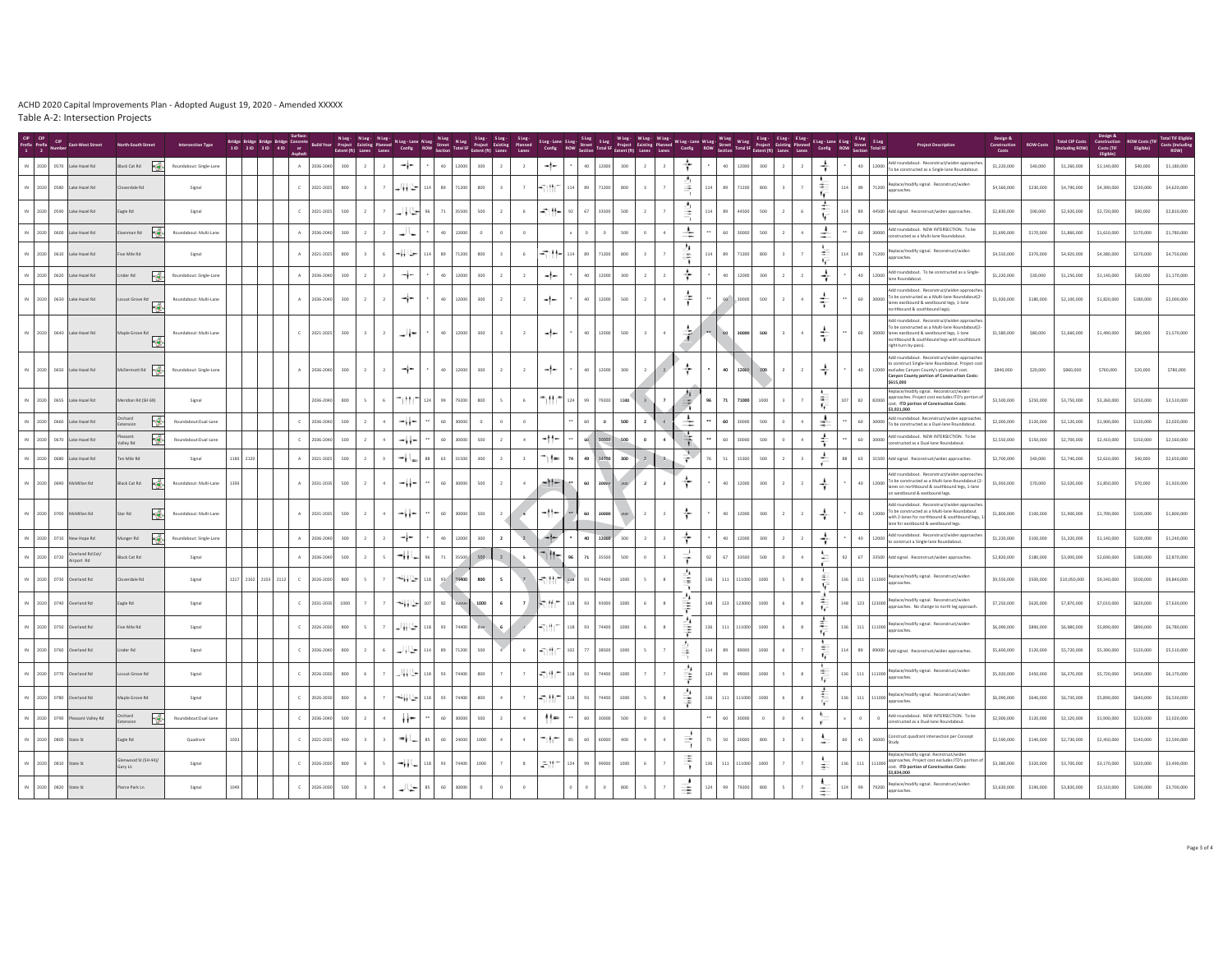|                       | <b>CIP</b>    | <b>Fact-Mest Stree</b>          |                                   |                         |      | Bridge Bridge Bridge Bridge Concrete<br>11D 21D 31D 41D or |              |             | Extent (ft) Lanes Lanes |                |              |     | NLeg- NLeg- NLeg- NLeg-Lane NLeg- NLeg SLeg- SLeg- SLeg-<br>Project Existing Planned Config ROW Street Total SF Project Existing Planned<br>Extent (ft) Lanes Lanes Config ROW Section Total SF Extent (ft) Lanes Lanes |         |                          |                         |                               |     |             |         |                         |                |                      |           |                 |                  | Steg-Lane Steg: Steg: Wileg- Wileg- Wileg- Wileg- Wileg-Lane Wileg- Wileg: Wileg: Eleg- Eleg- Eleg- Eleg- Eleg<br>Config: ROW Street Total SF Project Existing Planned Config: ROW Street Total SF Project Existing Planned Confi |                |                                     |     |                                     |                                                                                                                                                                                                                       | Construction<br>Costs | <b>ROW Costs</b> | <b>Total CIP Costs</b><br>(Including ROW) | Construction<br>Costs (TIF | <b>ROW Costs (TI</b><br><b>Eligible</b> | <b>Total TIF Elig</b><br><b>Costs (Inclu</b><br>ROW) |
|-----------------------|---------------|---------------------------------|-----------------------------------|-------------------------|------|------------------------------------------------------------|--------------|-------------|-------------------------|----------------|--------------|-----|-------------------------------------------------------------------------------------------------------------------------------------------------------------------------------------------------------------------------|---------|--------------------------|-------------------------|-------------------------------|-----|-------------|---------|-------------------------|----------------|----------------------|-----------|-----------------|------------------|-----------------------------------------------------------------------------------------------------------------------------------------------------------------------------------------------------------------------------------|----------------|-------------------------------------|-----|-------------------------------------|-----------------------------------------------------------------------------------------------------------------------------------------------------------------------------------------------------------------------|-----------------------|------------------|-------------------------------------------|----------------------------|-----------------------------------------|------------------------------------------------------|
| IN 2020 0570          |               | Lake Hazel Rd                   | ¦∦¥<br>lack Cat Rd                | Roundabout: Single-Land |      |                                                            |              | A 2036-2040 | 300                     | $\overline{2}$ | ÷            |     | 40<br>12000                                                                                                                                                                                                             | 300     | $\overline{2}$           | $\overline{2}$          | -1-                           |     | 12000<br>40 | 300     | $\overline{2}$          |                | ÷                    | $\bullet$ | $40 -$          | 12000            | 300                                                                                                                                                                                                                               | $\overline{2}$ | ÷                                   |     | $40\,$<br>12000                     | Add roundabout. Reconstruct/widen approach<br>To be constructed as a Single-lane Roundabout                                                                                                                           | \$1,220,000           | \$40,000         | \$1,260,000                               | \$1,140,000                | \$40,000                                | \$1,180,000                                          |
|                       |               | 2020 0580 Lake Hazel Rd         | verdale Rd                        | Signal                  |      |                                                            | $\mathbb C$  | 2021-2025   | 800                     | 7              | حیا اوار     |     | 89<br>71200                                                                                                                                                                                                             | 800     |                          | $\overline{7}$          | のせく                           |     | 71200<br>89 | $800\,$ |                         |                | 슾<br>n.              | 114       | 89              | 71200            | 800                                                                                                                                                                                                                               |                | $\sim$<br>٠,                        |     | 89<br>71200                         | Replace/modify signal. Reconstruct/widen<br>proaches.                                                                                                                                                                 | \$4,560,000           | \$230,000        | \$4,790,000                               | \$4,390,000                | \$230,000                               | \$4,620,000                                          |
|                       |               | 2020 0590 Lake Hazel Rd         | gle Rd                            | Signal                  |      |                                                            | $\mathbb C$  | 2021-202    | 500                     |                | مناواء       |     | $\scriptstyle{71}$<br>35500                                                                                                                                                                                             | 500     |                          | $6\overline{6}$         | モサト                           |     | 67<br>33500 | 500     |                         |                | ÷,<br>$\frac{1}{2}$  | 114       | 89              |                  | 500                                                                                                                                                                                                                               |                | ÷                                   |     | 89                                  | 44500 Add signal. Reconstruct/widen approaches                                                                                                                                                                        | \$2,830,000           | \$90,000         | \$2,920,000                               | \$2,720,000                | \$90,000                                | \$2,810,000                                          |
|                       |               | IN 2020 0600 Lake Hazel Rd      | Feb<br>enman Rd                   | Roundabout: Multi-Lane  |      |                                                            | A            | 2036-204    | 300                     |                |              |     | 40<br>12000                                                                                                                                                                                                             | $\circ$ |                          |                         |                               |     |             | 500     |                         |                | ÷                    |           | 60              | 30000            | 500                                                                                                                                                                                                                               |                | ÷                                   |     | 60                                  | 30000 Add roundabout. NEW INTERSECTION. To be<br>constructed as a Multi-lane Roundabout.                                                                                                                              | \$1,690,000           | \$170,000        | \$1,860,000                               | \$1,610,000                | \$170,000                               | \$1,780,000                                          |
|                       |               | 2020 0610 Lake Hazel Rd         | ve Mile Rd                        | Signal                  |      |                                                            | A            | 2021-202    | 800                     | 6              | 当日           |     | 89<br>71200                                                                                                                                                                                                             | 800     | $\overline{2}$           | 6                       | $-20.14-1.0$                  |     | 89<br>71200 | 800     |                         |                | ٠<br>÷               | 114       | 89              | 71200            | 800                                                                                                                                                                                                                               |                | 荃<br>ĸ                              |     | 89<br>71200                         | Replace/modify signal. Reconstruct/widen<br>proaches.                                                                                                                                                                 | \$4,550,000           | \$370,000        | \$4,920,000                               | \$4,380,000                | \$370,000                               | \$4,750,000                                          |
|                       |               | 2020 0620 Lake Hazel Rd         | Ā.<br>nder Rd                     | Roundabout: Single-Land |      |                                                            | A            | 2036-204    | 300                     |                | ÷            |     | 40<br>12000                                                                                                                                                                                                             | 300     |                          | $\overline{2}$          | -!-                           |     | 40<br>12000 | 300     | $\mathbf{2}$            |                | ÷                    |           | 40              | 12000            | 300                                                                                                                                                                                                                               |                | ÷                                   |     | 40<br>12000                         | Add roundabout. To be constructed as a Single<br>lane Roundahout                                                                                                                                                      | \$1,220,000           | \$30,000         | \$1,250,000                               | \$1,140,000                | \$30,000                                | \$1,170,000                                          |
|                       |               | IN 2020 0630 Lake Hazel Rd      | Locust Grove Rd                   | Roundabout: Multi-Lane  |      |                                                            | A            | 2036-2040   | 300                     |                | ⊸i−          |     | 40<br>12000                                                                                                                                                                                                             | 300     |                          | $\overline{2}$          | -1-                           |     | 12000<br>40 | 500     | $\overline{2}$          |                | 수                    |           | 60 <sup>1</sup> | 30000            | 500<br>$\overline{2}$                                                                                                                                                                                                             |                | $\overrightarrow{\tau}$             |     | 60<br>30000                         | Add roundabout. Reconstruct/widen approache<br>To be constructed as a Multi-lane Roundabout(2-<br>lanes eastbound & westbound legs, 1-lane<br>thbound & southbound legs).                                             | \$1,920,000           | \$180,000        | \$2,100,000                               | \$1,820,000                | \$180,000                               | \$2,000,000                                          |
|                       |               | 2020 0640 Lake Hazel Rd         | Maple Grove Rd<br>慘               | Roundabout: Multi-Lane  |      |                                                            | $\subset$    | 2021-2025   | 300                     | $2^{\circ}$    | -ال-         |     | 40<br>12000                                                                                                                                                                                                             | 300     |                          | $\overline{2}$          | -1-                           |     | 12000<br>40 | 500     | $\overline{\mathbf{3}}$ |                | ÷                    |           | 60              | 30000            | 500                                                                                                                                                                                                                               | $\sim$         | ÷                                   |     | 60                                  | Add roundabout. Reconstruct/widen approache<br>To be constructed as a Multi-lane Roundabout(2-<br>30000 lanes eastbound & westbound legs, 1-lane<br>rthbound & southbound legs with southbour<br>right-turn by-pass). | \$1,580,000           | \$80,000         | \$1,660,000                               | \$1,490,000                | \$80,000                                | \$1,570,000                                          |
|                       |               | 2020 0650 Lake Hazel Rd         | McDermott Rd                      | Roundabout: Single-Lane |      |                                                            | A            | 2036-2040   | 300                     | $2^{\circ}$    | ≁j∼          |     | 40<br>12000                                                                                                                                                                                                             | 300     | $\overline{2}$           | $\overline{2}$          | -1-                           |     | 40<br>12000 | $300\,$ | $\overline{2}$          |                | ÷                    |           | 40              | 12000            | 300                                                                                                                                                                                                                               | $\overline{2}$ | ÷                                   |     | $40\,$                              | Add roundabout. Reconstruct/widen approache<br>onstruct Single-lane Roundabout. Project cost<br>12000 excludes Canyon County's portion of cost.<br>Canyon County portion of Construction Costs:<br>\$615,000          | \$840,000             | \$20,000         | \$860,000                                 | \$760,000                  | \$20,000                                | \$780,000                                            |
|                       |               | 2020 0655 Lake Hazel Rd         | ridian Rd (SH 69)                 | Signal                  |      |                                                            |              | 2036-204    | 800                     | 6              | n th         |     | 99<br>79200                                                                                                                                                                                                             | 800     |                          | 6                       | hĦr                           | 124 | 79200<br>99 | 1000    |                         |                | $\equiv$             | as.       | 71              | 71000            | 1000                                                                                                                                                                                                                              |                | $\sim$<br>ĸ                         |     | 82<br>82000                         | eplace/modify signal. Reconstruct/wide<br>proaches. Project cost excludes ITD's portion o<br>cost. ITD portion of Construction Costs:<br>\$3,921,000                                                                  | \$3,500,000           | \$250,000        | \$3,750,000                               | \$3,260,000                | \$250,000                               | \$3,510,000                                          |
|                       |               | 2020 0660 Lake Hazel Rd         | rchard<br>۱¢                      | Roundabout:Dual-Lane    |      |                                                            | $\mathbb C$  | 2036-204    | 500                     |                | -زۇ-         |     | 60<br>30000                                                                                                                                                                                                             |         |                          | $\circ$                 |                               |     | $\circ$     | 500     |                         |                | ÷                    |           | 60              |                  | 500                                                                                                                                                                                                                               |                | ÷                                   |     | 60<br>30000                         | Add roundabout. Reconstruct/widen approaches<br>To be constructed as a Dual-lane Roundabout.                                                                                                                          | \$2,000,000           | \$120,000        | \$2,120,000                               | \$1,900,000                | \$120,000                               | \$2,020,000                                          |
|                       |               | 2020 0670 Lake Hazel Rd         | tnezes<br>l∲.<br>Valley Rd        | Roundabout:Dual-Lane    |      |                                                            | $\mathbb C$  | 2036-204    | 500                     |                | -ii-         |     | 60<br>30000                                                                                                                                                                                                             | 500     |                          | 4                       | $-11-$                        |     |             | 500     | $\mathbf 0$             |                | Ŧ                    |           | 60              |                  | 500                                                                                                                                                                                                                               |                | ÷                                   |     | 60<br>30000                         | Add roundabout. NEW INTERSECTION. To be<br>onstructed as a Dual-lane Roundabout.                                                                                                                                      | \$2,550,000           | \$150,000        | \$2,700,000                               | \$2,410,000                | \$150,000                               | \$2,560,000                                          |
|                       |               | 2020 0680 Lake Hazel Rd         | Ten Mile Rd                       | Signal                  |      | 1183 2120                                                  | A            | 2021-2025   | 500                     | $\overline{3}$ | -11          |     | 63<br>31500                                                                                                                                                                                                             | 300     | $\overline{2}$           | $\overline{\mathbf{3}}$ | ⇒ (−                          | 74  | 14700<br>49 | 300     | $\overline{2}$          |                | $\frac{\sqrt{2}}{1}$ |           | 51              | 15300            | 500                                                                                                                                                                                                                               |                | ÷                                   |     | 63                                  | 31500 Add signal. Reconstruct/widen approaches.                                                                                                                                                                       | \$2,700,000           | \$40,000         | \$2,740,000                               | \$2,610,000                | \$40,000                                | \$2,650,000                                          |
|                       |               | 2020 0690 McMillan Rd           | H≉.<br>Black Cat Rd               | Roundabout: Multi-Lane  | 1393 |                                                            | A            | 2031-203    | 500                     |                | つうらい         |     | 60<br>coons                                                                                                                                                                                                             | 500     |                          | $\Delta$                | $-11-$                        |     | 60          | 300     | $2^{\circ}$             | $\overline{2}$ | ÷                    |           | 40              | 12000            | 300                                                                                                                                                                                                                               |                | $\div$                              |     | 40<br>12000                         | Add roundabout. Reconstruct/widen approach<br>To be constructed as a Multi-lane Roundabout (2-<br>anes on northbound & southbound legs, 1-lane<br>westbound & eastbound legs.                                         | \$1,950,000           | \$70,000         | \$2,020,000                               | \$1,850,000                | \$70,000                                | \$1,920,000                                          |
|                       |               | IN 2020 0700 McMillan Rd        | F.<br>Star Rd                     | Roundabout: Multi-Lane  |      |                                                            | A            | 2031-2035   | 500                     | $\mathbf{a}$   | -ii-         |     | 60<br>30000                                                                                                                                                                                                             | 500     |                          | $\overline{a}$          | -11-                          |     | 60 30000    | 300     | $\overline{2}$          | $\overline{z}$ | ÷                    |           | 40              | 12000            | 300<br>$\overline{\phantom{a}}$                                                                                                                                                                                                   | $\overline{2}$ |                                     |     | 40<br>12000                         | Add roundabout. Reconstruct/widen approache<br>To be constructed as a Multi-lane Roundabout<br>with 2-lanes for northbound & southbound legs,<br>lane for eastbound & westbound legs                                  | \$1,800,000           | \$100,000        | \$1,900,000                               | \$1,700,000                | \$100,000                               | \$1,800,000                                          |
|                       |               | 2020 0710 New Hope Rd           | ls≸.<br>Munger Rd                 | Roundabout: Single-Lane |      |                                                            | $\mathbb{A}$ | 2036-204    | 300                     |                | −i−          |     | 40<br>12000                                                                                                                                                                                                             | 300     | $\overline{2}$           |                         | 45                            |     | 40<br>12000 | 300     | $\overline{2}$          |                | ÷                    |           | 40              | 12000            | 300                                                                                                                                                                                                                               |                | ÷                                   |     | 40<br>12000                         | Add roundabout. Reconstruct/widen approache<br>o construct a Single-lane Roundabout                                                                                                                                   | \$1,220,000           | \$100,000        | \$1,320,000                               | \$1,140,000                | \$100,000                               | \$1,240,000                                          |
| 2020 0720             |               | Overland Rd Ext<br>Airport Rd   | ack Cat Rd                        | Signal                  |      |                                                            | A            | 2036-204    | 500                     |                | -11          |     | 71<br>35500                                                                                                                                                                                                             | 500     |                          |                         | mitte                         |     | 71<br>35500 | 500     | $\circ$                 |                | ÷                    |           | 67              | 22500            | 500                                                                                                                                                                                                                               |                | 노                                   |     | 67                                  | 33500 Add signal. Reconstruct/widen approaches.                                                                                                                                                                       | \$2,820,000           | \$180,000        | \$3,000,000                               | \$2,690,000                | \$180,000                               | \$2,870,000                                          |
|                       |               | 2020 0730 Overland Rd           | erdale Rd                         | Signal                  |      | 1217 2102 2103 2112                                        | $\mathbb C$  | 2026-203    | 800                     |                | حیا وباعة    |     | 74400                                                                                                                                                                                                                   | 800     | $\overline{\phantom{a}}$ |                         | ا المستقبل                    |     | 74400       | 1000    | 5                       |                | ÷                    | 136       | 111             | 11000            | 1000                                                                                                                                                                                                                              | $\mathbf 8$    | $\pm$<br>$\mathcal{F}_{\mathbf{r}}$ | 136 | $111\,$                             | Replace/modify signal. Reconstruct/widen<br>proaches.                                                                                                                                                                 | \$9,550,000           | \$500,000        | \$10,050,000                              | \$9,340,000                | \$500,000                               | \$9,840,000                                          |
|                       |               | 2020 0740 Overland Rd           | agle Rd                           | Signal                  |      |                                                            | $\mathbb C$  | 2031-2035   | 1000                    |                | میں اور ب    |     | 82<br>82000                                                                                                                                                                                                             | 1000    | 6                        |                         | م الرجا                       | 118 | 93000<br>93 | 1000    |                         |                | ÷.<br>≢              | 148       | 123             | 123000           | 1000                                                                                                                                                                                                                              |                | ÷<br>1.                             | 148 | 123<br>123000                       | Replace/modify signal. Reconstruct/wider<br>approaches. No change to north leg approach                                                                                                                               | \$7,250,000           | \$620,000        | \$7,870,000                               | \$7,010,000                | \$620,000                               | \$7,630,000                                          |
| 2020                  | 0750          | Overland Rd                     | ve Mile Rd                        | Signal                  |      |                                                            |              | 2026-203    | 800                     |                | من اوار      |     | 93<br>74400                                                                                                                                                                                                             | $500 -$ |                          |                         | والمنافذ                      |     | 74400       | 1000    | $\epsilon$              |                | 条                    |           | 111             |                  | 1000                                                                                                                                                                                                                              |                | ÷<br>$\mathbf{r}$                   |     | 111                                 | Replace/modify signal. Reconstruct/wider<br>annoughes.                                                                                                                                                                | \$6,090,000           | \$890,000        | \$6,980,000                               | \$5,890,000                | \$890,000                               | \$6,780,000                                          |
|                       |               | 2020 0760 Overland Rd           | nder Rd                           | Signal                  |      |                                                            | $\mathbb C$  | 2036-204    | 800                     | 6              | معنا والمد   | 114 | 89<br>71200                                                                                                                                                                                                             | 500     |                          | $\,$ 6                  | -11                           | 102 | 77<br>38500 | 1000    | $\sf S$                 |                | ÷                    | 114       | 89              | 89000            | 1000                                                                                                                                                                                                                              |                | $\equiv$                            |     | 89                                  | 89000 Add signal. Reconstruct/widen approaches                                                                                                                                                                        | \$5,600,000           | \$120,000        | \$5,720,000                               | \$5,390,000                | \$120,000                               | \$5,510,000                                          |
|                       |               | IN 2020 0770 Overland Rd        | ocust Grove Rd                    | Signal                  |      |                                                            | $\mathbb C$  | 2026-2030   | 800                     | 2、副体学          |              | 118 | 93<br>74400                                                                                                                                                                                                             | 800     |                          | $\tau$                  | 45.997                        | 118 | 74400<br>93 | 1000    |                         |                | ⇞                    | 124       | 99              | 99000            | 1000                                                                                                                                                                                                                              | $\mathbf{g}$   | $\sim$                              | 136 |                                     | 111 111000 Replace/modify signal. Reconstruct/widen<br>approaches                                                                                                                                                     | \$5,920,000           | \$450,000        | \$6,370,000                               | \$5,720,000                | \$450,000                               | \$6,170,000                                          |
| 2020 0780             |               | verland Rd                      | laple Grove Rd                    | Signal                  |      |                                                            | $\epsilon$   | 2026-203    | 800                     |                | تا الما      |     | 93<br>74400                                                                                                                                                                                                             | 800     |                          |                         | والموالي                      |     | 4400        | 1000    |                         |                | ⇞                    |           | $111$           |                  | 1000                                                                                                                                                                                                                              |                | ÷                                   |     | 111                                 | Replace/modify signal. Reconstruct/wider<br>pproaches.                                                                                                                                                                | \$6,090,000           | \$640,000        | \$6,730,000                               | \$5,890,000                | \$640,000                               | \$6,530,000                                          |
|                       |               | IN 2020 0790 Pleasant Valley Rd | rchard<br>$\mathcal{A}$<br>ension | Roundabout:Dual-Lane    |      |                                                            | $\mathbb{C}$ | 2036-204    | 500                     |                | $\mathbf{r}$ |     | 60<br>30000                                                                                                                                                                                                             | 500     |                          | $\ddot{4}$              | $^{\prime\prime\prime\prime}$ |     | 60<br>30000 | 500     | $\circ$                 |                |                      |           | 60              | $\circ$<br>30000 |                                                                                                                                                                                                                                   |                | $\sqrt{2}$                          |     | $\circ$<br>$\overline{\phantom{0}}$ | Add roundabout. NEW INTERSECTION. To be<br>onstructed as a Dual-lane Roundabout                                                                                                                                       | \$2,000,000           | \$120,000        | \$2,120,000                               | \$1,900,000                | \$120,000                               | \$2,020,000                                          |
| 2020 0800 State St    |               |                                 | agle Rd                           | Quadrant                | 1033 |                                                            | $\mathbb{C}$ | 2021-2025   | 400                     | $\overline{z}$ | ۰u           |     | 60<br>24000                                                                                                                                                                                                             | 1000    |                          | $\Delta$                | ١t٢                           |     | 60<br>conna | 400     | $4 -$                   |                | ₹                    |           | 50              | zonog            | 800                                                                                                                                                                                                                               | $\overline{3}$ | $\ddot{\phantom{1}}$                |     | 45<br>36000                         | onstruct quadrant intersection per Concept                                                                                                                                                                            | \$2,590,000           | \$140,000        | \$2,730,000                               | \$2,450,000                | \$140,000                               | \$2,590,000                                          |
| IN 2020 0810 State St |               |                                 | enwood St (SH 44)/<br>Gary Ln     | Signal                  |      |                                                            | $\epsilon$   | 2026-2030   | 800                     | $\mathbb{R}$   | -11          | 118 | 93<br>74400                                                                                                                                                                                                             | 1000    |                          | 8                       | 通出口                           | 124 | 99000<br>99 | 1000    |                         |                | ÷                    | 136       | 111             | 11000            | 1000                                                                                                                                                                                                                              |                | 壬                                   | 136 | 111                                 | Replace/modify signal, Recnstruct/widen<br>proaches. Project cost excludes ITD's portion<br>111000 app<br>cost. ITD portion of Construction Costs:<br>\$3,834,000                                                     | \$3,380,000           | \$320,000        | \$3,700,000                               | \$3,170,000                | \$320,000                               | \$3,490,000                                          |
| 2020                  | 0820 State St |                                 | erce Park Ln                      |                         |      |                                                            |              | 2026-203    | 500                     |                |              |     |                                                                                                                                                                                                                         |         |                          |                         |                               |     |             |         |                         |                | Ξ                    |           |                 |                  | 800                                                                                                                                                                                                                               |                | $\ddot{\phantom{1}}$<br>$\equiv$    |     |                                     | place/modify signal. Reconstruct/wide<br>proaches                                                                                                                                                                     | \$3,630,000           | \$190,000        | \$3,820,000                               | \$3,510,000                | \$190,000                               | \$3,700,000                                          |